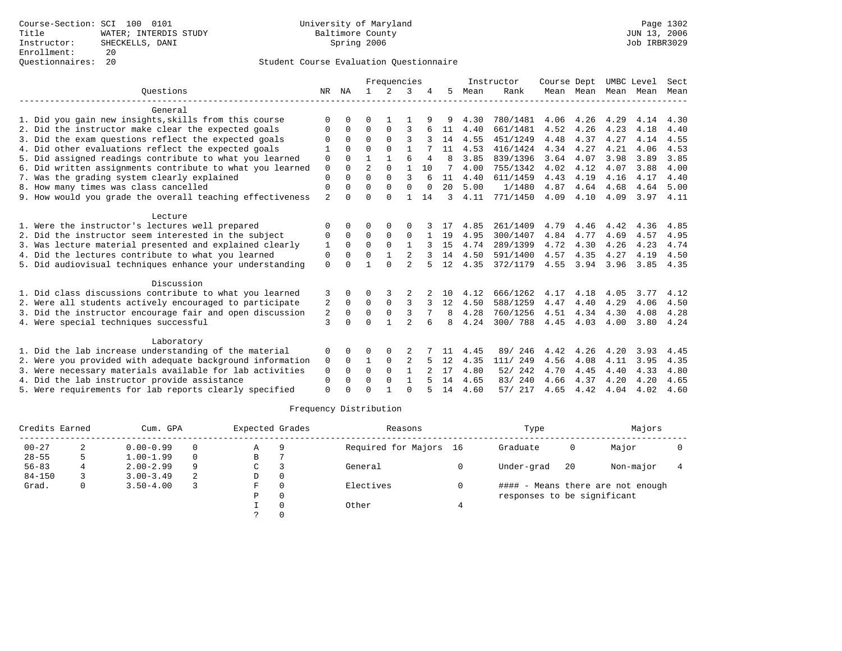|                                                           |                |          |                | Frequencies   |                |                |              |      | Instructor | Course Dept |           | UMBC Level |      | Sect |
|-----------------------------------------------------------|----------------|----------|----------------|---------------|----------------|----------------|--------------|------|------------|-------------|-----------|------------|------|------|
| Ouestions                                                 | NR             | ΝA       | $\mathbf{1}$   | $\mathcal{L}$ | 3              |                | 5.           | Mean | Rank       |             | Mean Mean | Mean       | Mean | Mean |
| General                                                   |                |          |                |               |                |                |              |      |            |             |           |            |      |      |
| 1. Did you gain new insights, skills from this course     | $\Omega$       | U        | O              |               |                |                |              | 4.30 | 780/1481   | 4.06        | 4.26      | 4.29       | 4.14 | 4.30 |
| 2. Did the instructor make clear the expected goals       | $\Omega$       | $\Omega$ | $\Omega$       | 0             | 3              |                | 11           | 4.40 | 661/1481   | 4.52        | 4.26      | 4.23       | 4.18 | 4.40 |
| 3. Did the exam questions reflect the expected goals      | $\Omega$       | $\Omega$ | $\Omega$       | $\Omega$      | ς              |                | 14           | 4.55 | 451/1249   | 4.48        | 4.37      | 4.27       | 4.14 | 4.55 |
| 4. Did other evaluations reflect the expected goals       |                | $\Omega$ | $\Omega$       | $\Omega$      | 1              |                | 11           | 4.53 | 416/1424   | 4.34        | 4.27      | 4.21       | 4.06 | 4.53 |
| 5. Did assigned readings contribute to what you learned   | 0              | 0        | 1              |               | 6              | $\overline{4}$ | $\mathsf{R}$ | 3.85 | 839/1396   | 3.64        | 4.07      | 3.98       | 3.89 | 3.85 |
| 6. Did written assignments contribute to what you learned | $\mathbf 0$    | $\Omega$ | $\overline{a}$ | $\Omega$      | $\mathbf{1}$   | 10             | 7            | 4.00 | 755/1342   | 4.02        | 4.12      | 4.07       | 3.88 | 4.00 |
| 7. Was the grading system clearly explained               | $\Omega$       |          | $\Omega$       | $\Omega$      | 3              |                | 11           | 4.40 | 611/1459   | 4.43        | 4.19      | 4.16       | 4.17 | 4.40 |
| 8. How many times was class cancelled                     | 0              | 0        | $\Omega$       | $\Omega$      | $\Omega$       | $\Omega$       | 20           | 5.00 | 1/1480     | 4.87        | 4.64      | 4.68       | 4.64 | 5.00 |
| 9. How would you grade the overall teaching effectiveness | $\overline{a}$ | $\Omega$ | $\Omega$       | $\cap$        |                | 14             | २            | 4.11 | 771/1450   | 4.09        | 4.10      | 4.09       | 3.97 | 4.11 |
| Lecture                                                   |                |          |                |               |                |                |              |      |            |             |           |            |      |      |
| 1. Were the instructor's lectures well prepared           | $\Omega$       |          | 0              | $\Omega$      | O              |                |              | 4.85 | 261/1409   | 4.79        | 4.46      | 4.42       | 4.36 | 4.85 |
| 2. Did the instructor seem interested in the subject      | 0              | $\Omega$ | 0              | 0             | $\mathbf 0$    |                | 19           | 4.95 | 300/1407   | 4.84        | 4.77      | 4.69       | 4.57 | 4.95 |
| 3. Was lecture material presented and explained clearly   | 1              | $\Omega$ | $\Omega$       | $\Omega$      | $\mathbf{1}$   |                | 15           | 4.74 | 289/1399   | 4.72        | 4.30      | 4.26       | 4.23 | 4.74 |
| 4. Did the lectures contribute to what you learned        | $\Omega$       | $\Omega$ | $\Omega$       |               | $\overline{2}$ |                | 14           | 4.50 | 591/1400   | 4.57        | 4.35      | 4.27       | 4.19 | 4.50 |
| 5. Did audiovisual techniques enhance your understanding  | $\Omega$       |          |                | $\cap$        | $\mathfrak{D}$ |                | 12           | 4.35 | 372/1179   | 4.55        | 3.94      | 3.96       | 3.85 | 4.35 |
| Discussion                                                |                |          |                |               |                |                |              |      |            |             |           |            |      |      |
| 1. Did class discussions contribute to what you learned   | 3              | 0        | 0              |               |                |                | 10           | 4.12 | 666/1262   | 4.17        | 4.18      | 4.05       | 3.77 | 4.12 |
| 2. Were all students actively encouraged to participate   | 2              | $\Omega$ | $\Omega$       | $\Omega$      | 3              | 3              | 12           | 4.50 | 588/1259   | 4.47        | 4.40      | 4.29       | 4.06 | 4.50 |
| 3. Did the instructor encourage fair and open discussion  | 2              | $\Omega$ | $\mathbf 0$    | $\mathbf 0$   | 3              |                | 8            | 4.28 | 760/1256   | 4.51        | 4.34      | 4.30       | 4.08 | 4.28 |
| 4. Were special techniques successful                     | 3              | $\Omega$ | $\cap$         |               | $\mathcal{D}$  | 6              | я            | 4.24 | 300/788    | 4.45        | 4.03      | 4.00       | 3.80 | 4.24 |
| Laboratory                                                |                |          |                |               |                |                |              |      |            |             |           |            |      |      |
| 1. Did the lab increase understanding of the material     | 0              | 0        | O              | 0             |                |                | 11           | 4.45 | 246<br>89/ | 4.42        | 4.26      | 4.20       | 3.93 | 4.45 |
| 2. Were you provided with adequate background information | 0              | $\Omega$ | 1              | $\Omega$      | 2              |                | 12           | 4.35 | 111/ 249   | 4.56        | 4.08      | 4.11       | 3.95 | 4.35 |
| 3. Were necessary materials available for lab activities  | $\Omega$       | $\Omega$ | $\Omega$       | $\Omega$      |                |                | 17           | 4.80 | 52/ 242    | 4.70        | 4.45      | 4.40       | 4.33 | 4.80 |
| 4. Did the lab instructor provide assistance              | $\Omega$       | 0        | $\Omega$       | $\Omega$      | $\mathbf{1}$   |                | 14           | 4.65 | 83/240     | 4.66        | 4.37      | 4.20       | 4.20 | 4.65 |
| 5. Were requirements for lab reports clearly specified    | $\Omega$       |          | U              |               | $\cap$         |                | 14           | 4.60 | 57/ 217    | 4.65        | 4.42      | 4.04       | 4.02 | 4.60 |

| Credits Earned |   | Cum. GPA      |          | Expected Grades |          | Reasons                | Type                        |    | Majors                            |  |  |
|----------------|---|---------------|----------|-----------------|----------|------------------------|-----------------------------|----|-----------------------------------|--|--|
| $00 - 27$      | 2 | $0.00 - 0.99$ | $\Omega$ | A               | 9        | Required for Majors 16 | Graduate                    | 0  | Major                             |  |  |
| $28 - 55$      |   | $1.00 - 1.99$ | $\Omega$ | В               |          |                        |                             |    |                                   |  |  |
| $56 - 83$      | 4 | $2.00 - 2.99$ | 9        | C               |          | General                | Under-grad                  | 20 | Non-major                         |  |  |
| $84 - 150$     |   | $3.00 - 3.49$ | -2.      | D               | $\Omega$ |                        |                             |    |                                   |  |  |
| Grad.          | 0 | $3.50 - 4.00$ |          | F               | $\Omega$ | Electives              |                             |    | #### - Means there are not enough |  |  |
|                |   |               |          | P               | $\Omega$ |                        | responses to be significant |    |                                   |  |  |
|                |   |               |          |                 |          | Other                  |                             |    |                                   |  |  |
|                |   |               |          |                 |          |                        |                             |    |                                   |  |  |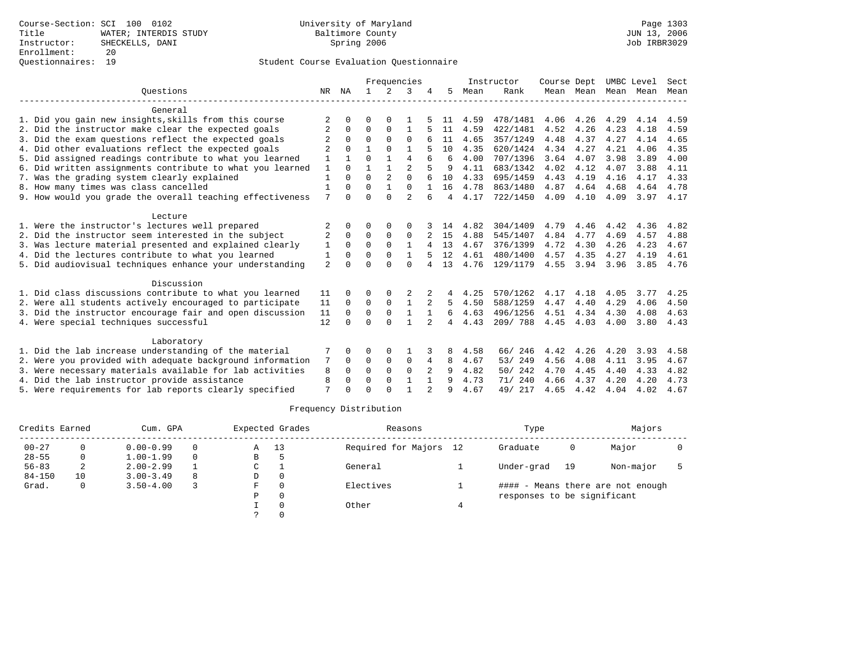|                                                           |                |          |          |                | Frequencies    |                |    |      | Instructor | Course Dept |      | UMBC Level          |      | Sect |
|-----------------------------------------------------------|----------------|----------|----------|----------------|----------------|----------------|----|------|------------|-------------|------|---------------------|------|------|
| Ouestions                                                 | NR             | ΝA       |          | 2              | 3              |                | 5  | Mean | Rank       |             |      | Mean Mean Mean Mean |      | Mean |
| General                                                   |                |          |          |                |                |                |    |      |            |             |      |                     |      |      |
| 1. Did you gain new insights, skills from this course     | 2              |          |          |                |                |                | 11 | 4.59 | 478/1481   | 4.06        | 4.26 | 4.29                | 4.14 | 4.59 |
| 2. Did the instructor make clear the expected goals       | 2              | $\Omega$ | $\Omega$ | $\Omega$       | 1              |                | 11 | 4.59 | 422/1481   | 4.52        | 4.26 | 4.23                | 4.18 | 4.59 |
| 3. Did the exam questions reflect the expected goals      | 2              | $\Omega$ | $\Omega$ | $\Omega$       | $\Omega$       |                | 11 | 4.65 | 357/1249   | 4.48        | 4.37 | 4.27                | 4.14 | 4.65 |
| 4. Did other evaluations reflect the expected goals       | 2              | $\cap$   |          | $\Omega$       |                |                | 10 | 4.35 | 620/1424   | 4.34        | 4.27 | 4.21                | 4.06 | 4.35 |
| 5. Did assigned readings contribute to what you learned   |                |          | $\Omega$ |                | 4              |                | 6  | 4.00 | 707/1396   | 3.64        | 4.07 | 3.98                | 3.89 | 4.00 |
| 6. Did written assignments contribute to what you learned | 1              | $\cap$   |          |                | $\mathfrak{D}$ |                | 9  | 4.11 | 683/1342   | 4.02        | 4.12 | 4.07                | 3.88 | 4.11 |
| 7. Was the grading system clearly explained               |                |          | $\Omega$ | $\mathfrak{D}$ | $\Omega$       |                | 10 | 4.33 | 695/1459   | 4.43        | 4.19 | 4.16                | 4.17 | 4.33 |
| 8. How many times was class cancelled                     | 1              | $\Omega$ | $\Omega$ |                | $\Omega$       |                | 16 | 4.78 | 863/1480   | 4.87        | 4.64 | 4.68                | 4.64 | 4.78 |
| 9. How would you grade the overall teaching effectiveness | 7              |          | $\Omega$ | $\Omega$       | $\overline{2}$ |                | 4  | 4.17 | 722/1450   | 4.09        | 4.10 | 4.09                | 3.97 | 4.17 |
| Lecture                                                   |                |          |          |                |                |                |    |      |            |             |      |                     |      |      |
| 1. Were the instructor's lectures well prepared           | 2              |          | $\Omega$ | $\Omega$       | $\Omega$       |                | 14 | 4.82 | 304/1409   | 4.79        | 4.46 | 4.42                | 4.36 | 4.82 |
| 2. Did the instructor seem interested in the subject      | 2              | $\Omega$ | $\Omega$ | $\Omega$       | $\Omega$       |                | 15 | 4.88 | 545/1407   | 4.84        | 4.77 | 4.69                | 4.57 | 4.88 |
| 3. Was lecture material presented and explained clearly   | 1              | $\Omega$ | $\Omega$ | $\Omega$       |                |                | 13 | 4.67 | 376/1399   | 4.72        | 4.30 | 4.26                | 4.23 | 4.67 |
| 4. Did the lectures contribute to what you learned        | 1              |          | $\Omega$ |                |                |                | 12 | 4.61 | 480/1400   | 4.57        | 4.35 | 4.27                | 4.19 | 4.61 |
| 5. Did audiovisual techniques enhance your understanding  | $\overline{2}$ |          | $\Omega$ | $\cap$         | $\Omega$       |                | 13 | 4.76 | 129/1179   | 4.55        | 3.94 | 3.96                | 3.85 | 4.76 |
| Discussion                                                |                |          |          |                |                |                |    |      |            |             |      |                     |      |      |
| 1. Did class discussions contribute to what you learned   | 11             |          |          |                |                |                |    | 4.25 | 570/1262   | 4.17        | 4.18 | 4.05                | 3.77 | 4.25 |
| 2. Were all students actively encouraged to participate   | 11             | $\Omega$ | 0        | 0              |                |                | 5  | 4.50 | 588/1259   | 4.47        | 4.40 | 4.29                | 4.06 | 4.50 |
| 3. Did the instructor encourage fair and open discussion  | 11             | $\Omega$ | $\Omega$ | $\Omega$       |                |                | 6  | 4.63 | 496/1256   | 4.51        | 4.34 | 4.30                | 4.08 | 4.63 |
| 4. Were special techniques successful                     | 12             | $\cap$   | $\Omega$ | $\cap$         |                |                | 4  | 4.43 | 209/788    | 4.45        | 4.03 | 4.00                | 3.80 | 4.43 |
| Laboratory                                                |                |          |          |                |                |                |    |      |            |             |      |                     |      |      |
| 1. Did the lab increase understanding of the material     |                |          | ∩        | $\Omega$       |                |                | 8  | 4.58 | 66/ 246    | 4.42        | 4.26 | 4.20                | 3.93 | 4.58 |
| 2. Were you provided with adequate background information | 7              | $\Omega$ | $\Omega$ | $\Omega$       | 0              | 4              | 8  | 4.67 | 53/ 249    | 4.56        | 4.08 | 4.11                | 3.95 | 4.67 |
| 3. Were necessary materials available for lab activities  | 8              | $\Omega$ | $\Omega$ | $\Omega$       | $\Omega$       | 2              | 9  | 4.82 | 242<br>50/ | 4.70        | 4.45 | 4.40                | 4.33 | 4.82 |
| 4. Did the lab instructor provide assistance              | 8              | $\Omega$ | $\Omega$ | $\Omega$       |                |                | 9  | 4.73 | 71/ 240    | 4.66        | 4.37 | 4.20                | 4.20 | 4.73 |
| 5. Were requirements for lab reports clearly specified    | 7              | $\cap$   | $\cap$   | $\cap$         |                | $\mathfrak{D}$ | 9  | 4.67 | 49/ 217    | 4.65        | 4.42 | 4.04                | 4.02 | 4.67 |

| Credits Earned |    | Cum. GPA      |          |   | Expected Grades | Reasons                | Type                        |    | Majors                            |  |  |
|----------------|----|---------------|----------|---|-----------------|------------------------|-----------------------------|----|-----------------------------------|--|--|
| $00 - 27$      |    | $0.00 - 0.99$ | $\Omega$ | A | 13              | Required for Majors 12 | Graduate                    | 0  | Major                             |  |  |
| $28 - 55$      | 0  | $1.00 - 1.99$ | $\Omega$ | В |                 |                        |                             |    |                                   |  |  |
| $56 - 83$      |    | $2.00 - 2.99$ |          | C |                 | General                | Under-grad                  | 19 | Non-major                         |  |  |
| $84 - 150$     | 10 | $3.00 - 3.49$ | 8        | D |                 |                        |                             |    |                                   |  |  |
| Grad.          | 0  | $3.50 - 4.00$ |          | F |                 | Electives              |                             |    | #### - Means there are not enough |  |  |
|                |    |               |          | P |                 |                        | responses to be significant |    |                                   |  |  |
|                |    |               |          |   |                 | Other                  |                             |    |                                   |  |  |
|                |    |               |          |   |                 |                        |                             |    |                                   |  |  |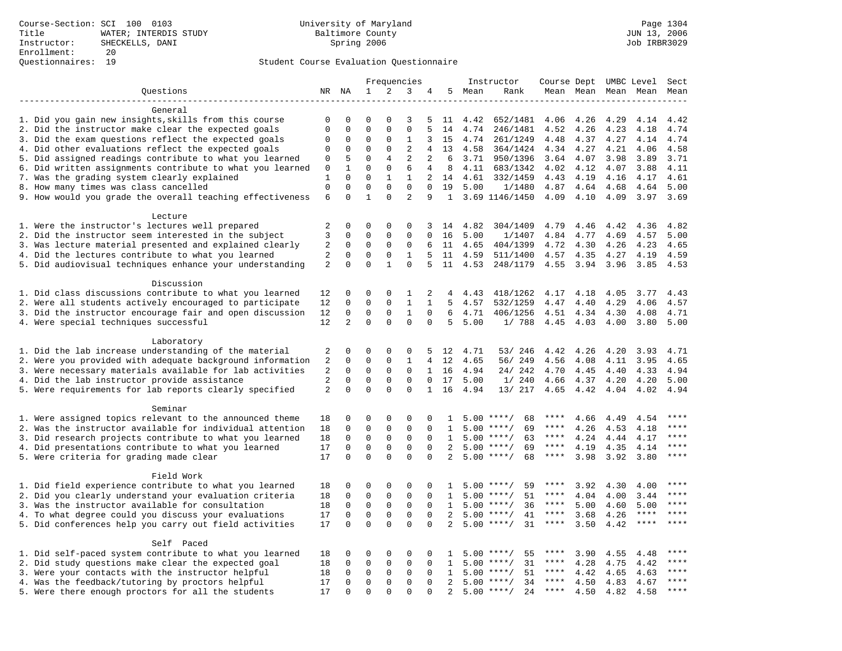|                                                           |                  |                          |                         |                             | Frequencies                 |                         |                     |      | Instructor                         | Course Dept UMBC Level   |      |                     |              | Sect         |
|-----------------------------------------------------------|------------------|--------------------------|-------------------------|-----------------------------|-----------------------------|-------------------------|---------------------|------|------------------------------------|--------------------------|------|---------------------|--------------|--------------|
| Questions                                                 |                  | NR NA                    | $\mathbf{1}$            | 2                           | 3                           | 4                       | 5                   | Mean | Rank                               |                          |      | Mean Mean Mean Mean |              | Mean         |
|                                                           |                  |                          |                         |                             |                             |                         |                     |      |                                    |                          |      |                     |              |              |
| General                                                   |                  |                          |                         |                             |                             |                         |                     |      |                                    |                          |      |                     |              |              |
| 1. Did you gain new insights, skills from this course     | 0                | 0                        | $\Omega$                | $\Omega$                    | 3                           | 5                       | 11                  | 4.42 | 652/1481                           | 4.06                     | 4.26 | 4.29                | 4.14         | 4.42         |
| 2. Did the instructor make clear the expected goals       | $\mathbf{0}$     | $\mathbf 0$              | $\mathbf 0$             | $\mathbf{0}$                | $\mathbf 0$                 | 5                       | 14                  | 4.74 | 246/1481                           | 4.52                     | 4.26 | 4.23                | 4.18         | 4.74         |
| 3. Did the exam questions reflect the expected goals      | 0                | $\mathbf 0$              | 0                       | 0                           | 1                           | 3                       | 15                  | 4.74 | 261/1249                           | 4.48                     | 4.37 | 4.27                | 4.14         | 4.74         |
| 4. Did other evaluations reflect the expected goals       | $\mathbf 0$      | $\mathbf 0$              | $\mathbf 0$             | $\mathbf{0}$                | $\overline{2}$              | 4                       | 13                  | 4.58 | 364/1424                           | 4.34                     | 4.27 | 4.21                | 4.06         | 4.58         |
| 5. Did assigned readings contribute to what you learned   | 0                | 5                        | $\mathbf 0$             | 4                           | $\overline{2}$              | 2                       | 6                   | 3.71 | 950/1396                           | 3.64                     | 4.07 | 3.98                | 3.89         | 3.71         |
| 6. Did written assignments contribute to what you learned | $\mathbf{0}$     | $\mathbf{1}$<br>$\Omega$ | $\Omega$                | $\mathbf 0$                 | 6                           | 4                       | 8                   | 4.11 | 683/1342                           | 4.02                     | 4.12 | 4.07                | 3.88         | 4.11         |
| 7. Was the grading system clearly explained               | 1                | $\mathbf 0$              | $\Omega$<br>$\mathbf 0$ | $\mathbf{1}$<br>$\mathbf 0$ | $\mathbf{1}$<br>$\mathbf 0$ | $\overline{2}$          | 14                  | 4.61 | 332/1459                           | 4.43                     | 4.19 | 4.16                | 4.17         | 4.61         |
| 8. How many times was class cancelled                     | $\mathbf 0$<br>6 | $\Omega$                 | $\mathbf{1}$            | $\Omega$                    | $\overline{2}$              | $\mathbf 0$<br>9        | 19                  | 5.00 | 1/1480                             | 4.87<br>4.09             | 4.64 | 4.68<br>4.09        | 4.64<br>3.97 | 5.00<br>3.69 |
| 9. How would you grade the overall teaching effectiveness |                  |                          |                         |                             |                             |                         |                     |      | 1 3.69 1146/1450                   |                          | 4.10 |                     |              |              |
| Lecture                                                   |                  |                          |                         |                             |                             |                         |                     |      |                                    |                          |      |                     |              |              |
| 1. Were the instructor's lectures well prepared           | 2                | $\mathbf 0$              | 0                       | 0                           | 0                           | 3                       | 14                  | 4.82 | 304/1409                           | 4.79                     | 4.46 | 4.42                | 4.36         | 4.82         |
| 2. Did the instructor seem interested in the subject      | 3                | $\mathbf 0$              | $\mathbf 0$             | 0                           | 0                           | $\Omega$                | 16                  | 5.00 | 1/1407                             | 4.84                     | 4.77 | 4.69                | 4.57         | 5.00         |
| 3. Was lecture material presented and explained clearly   | 2                | $\mathbf 0$              | $\mathbf 0$             | $\mathbf 0$                 | 0                           | 6                       | 11                  | 4.65 | 404/1399                           | 4.72                     | 4.30 | 4.26                | 4.23         | 4.65         |
| 4. Did the lectures contribute to what you learned        | 2                | $\Omega$                 | $\Omega$                | $\Omega$                    | $\mathbf{1}$                | 5                       | 11                  | 4.59 | 511/1400                           | 4.57                     | 4.35 | 4.27                | 4.19         | 4.59         |
| 5. Did audiovisual techniques enhance your understanding  | 2                | $\Omega$                 | $\Omega$                | $\mathbf{1}$                | $\Omega$                    | 5                       | 11                  | 4.53 | 248/1179                           | 4.55                     | 3.94 | 3.96                | 3.85         | 4.53         |
|                                                           |                  |                          |                         |                             |                             |                         |                     |      |                                    |                          |      |                     |              |              |
| Discussion                                                |                  |                          |                         |                             |                             |                         |                     |      |                                    |                          |      |                     |              |              |
| 1. Did class discussions contribute to what you learned   | 12               | 0                        | 0                       | 0                           | 1                           | 2                       | 4                   | 4.43 | 418/1262                           | 4.17                     | 4.18 | 4.05                | 3.77         | 4.43         |
| 2. Were all students actively encouraged to participate   | 12               | $\mathbf 0$              | $\mathbf 0$             | $\mathbf 0$                 | $\mathbf{1}$                | $\mathbf{1}$            | 5                   | 4.57 | 532/1259                           | 4.47                     | 4.40 | 4.29                | 4.06         | 4.57         |
| 3. Did the instructor encourage fair and open discussion  | 12               | 0                        | $\mathbf 0$             | $\mathbf{0}$                | $\mathbf{1}$                | 0                       | 6                   | 4.71 | 406/1256                           | 4.51                     | 4.34 | 4.30                | 4.08         | 4.71         |
| 4. Were special techniques successful                     | 12               | 2                        | $\Omega$                | $\Omega$                    | $\Omega$                    | $\Omega$                | 5                   | 5.00 | 1/ 788                             | 4.45                     | 4.03 | 4.00                | 3.80         | 5.00         |
|                                                           |                  |                          |                         |                             |                             |                         |                     |      |                                    |                          |      |                     |              |              |
| Laboratory                                                |                  |                          |                         |                             |                             |                         |                     |      |                                    |                          |      |                     |              |              |
| 1. Did the lab increase understanding of the material     | 2                | 0                        | 0                       | 0                           | 0                           |                         | 5 12                | 4.71 | 53/ 246                            | 4.42                     | 4.26 | 4.20                | 3.93         | 4.71         |
| 2. Were you provided with adequate background information | 2                | 0                        | 0                       | 0                           | 1                           | $\overline{4}$          | 12                  | 4.65 | 56/ 249                            | 4.56                     | 4.08 | 4.11                | 3.95         | 4.65         |
| 3. Were necessary materials available for lab activities  | 2                | $\mathbf 0$              | $\mathbf 0$             | $\mathbf 0$                 | $\mathbf 0$                 |                         | 1 16                | 4.94 | 24/ 242                            | 4.70                     | 4.45 | 4.40                | 4.33         | 4.94         |
| 4. Did the lab instructor provide assistance              | 2                | $\Omega$                 | $\mathbf 0$             | $\mathbf{0}$                | $\Omega$                    | $\Omega$                | 17                  | 5.00 | 1/240                              | 4.66                     | 4.37 | 4.20                | 4.20         | 5.00         |
| 5. Were requirements for lab reports clearly specified    | 2                | $\mathbf 0$              | $\Omega$                | $\Omega$                    | $\Omega$                    | $\mathbf{1}$            | 16                  | 4.94 | 13/ 217                            | 4.65                     | 4.42 | 4.04                | 4.02         | 4.94         |
|                                                           |                  |                          |                         |                             |                             |                         |                     |      |                                    |                          |      |                     |              |              |
| Seminar                                                   |                  |                          |                         |                             |                             |                         |                     |      |                                    |                          |      |                     |              |              |
| 1. Were assigned topics relevant to the announced theme   | 18               | $\mathbf 0$              | 0                       | $\Omega$                    | $\Omega$                    | $\Omega$                | -1.                 |      | $5.00$ ****/<br>68                 | ****                     | 4.66 | 4.49                | 4.54         | ****<br>**** |
| 2. Was the instructor available for individual attention  | 18               | $\mathbf 0$              | $\mathbf 0$             | $\mathbf 0$                 | $\mathbf{0}$                | $\Omega$                | $\mathbf{1}$        |      | 69<br>$5.00$ ****/                 | ****                     | 4.26 | 4.53                | 4.18         | ****         |
| 3. Did research projects contribute to what you learned   | 18               | $\mathbf 0$              | $\mathbf 0$             | $\mathsf 0$                 | $\mathbf 0$                 | $\mathbf 0$             | $\mathbf{1}$        |      | $5.00$ ****/<br>63                 | $***$ * *<br>$***$ * * * | 4.24 | 4.44                | 4.17         | $***$        |
| 4. Did presentations contribute to what you learned       | 17               | $\mathbf 0$<br>$\Omega$  | $\mathbf 0$<br>$\Omega$ | $\mathbf 0$<br>$\Omega$     | $\mathbf 0$<br>$\Omega$     | $\mathbf 0$<br>$\Omega$ | 2<br>$\overline{2}$ |      | $5.00$ ****/<br>69<br>$5.00$ ****/ | $***$ * * *              | 4.19 | 4.35                | 4.14         | ****         |
| 5. Were criteria for grading made clear                   | 17               |                          |                         |                             |                             |                         |                     |      | 68                                 |                          | 3.98 | 3.92                | 3.80         |              |
| Field Work                                                |                  |                          |                         |                             |                             |                         |                     |      |                                    |                          |      |                     |              |              |
| 1. Did field experience contribute to what you learned    | 18               | $\mathbf 0$              | 0                       | 0                           | 0                           | 0                       | 1                   |      | 59<br>$5.00$ ****/                 | ****                     | 3.92 | 4.30                | 4.00         | ****         |
| 2. Did you clearly understand your evaluation criteria    | 18               | $\mathbf 0$              | $\mathbf 0$             | $\mathbf 0$                 | $\mathbf 0$                 | $\Omega$                | $\mathbf{1}$        |      | 51<br>$5.00$ ****/                 | ****                     | 4.04 | 4.00                | 3.44         | ****         |
| 3. Was the instructor available for consultation          | 18               | $\mathbf 0$              | $\mathbf 0$             | $\mathbf 0$                 | $\mathbf 0$                 | $\Omega$                | $\mathbf{1}$        |      | 36<br>$5.00$ ****/                 | ****                     | 5.00 | 4.60                | 5.00         | ****         |
| 4. To what degree could you discuss your evaluations      | 17               | $\mathbf{0}$             | $\mathbf 0$             | $\mathbf 0$                 | $\mathbf 0$                 | $\Omega$                | 2                   | 5.00 | $***/$<br>41                       | $***$ * * *              | 3.68 | 4.26                | $***$ * * *  | ****         |
| 5. Did conferences help you carry out field activities    | 17               | $\Omega$                 | $\Omega$                | $\Omega$                    | $\Omega$                    | $\Omega$                | 2                   |      | 31<br>$5.00$ ****/                 | $***$ * *                | 3.50 | 4.42                | ****         | ****         |
|                                                           |                  |                          |                         |                             |                             |                         |                     |      |                                    |                          |      |                     |              |              |
| Self Paced                                                |                  |                          |                         |                             |                             |                         |                     |      |                                    |                          |      |                     |              |              |
| 1. Did self-paced system contribute to what you learned   | 18               | 0                        | 0                       | 0                           | 0                           | 0                       | 1                   |      | $5.00$ ****/<br>55                 | ****                     | 3.90 | 4.55                | 4.48         |              |
| 2. Did study questions make clear the expected goal       | 18               | $\mathbf 0$              | 0                       | $\mathbf 0$                 | $\mathbf 0$                 | 0                       | 1                   |      | 31<br>$5.00$ ****/                 | ****                     | 4.28 | 4.75                | 4.42         | $***$        |
| 3. Were your contacts with the instructor helpful         | 18               | $\Omega$                 | $\mathbf 0$             | $\mathbf 0$                 | 0                           | $\Omega$                | 1                   | 5.00 | 51<br>$***/$                       | $***$ * *                | 4.42 | 4.65                | 4.63         | $***$        |
| 4. Was the feedback/tutoring by proctors helpful          | 17               | $\Omega$                 | $\mathbf 0$             | $\mathbf 0$                 | $\Omega$                    | $\Omega$                | 2                   |      | $5.00$ ****/<br>34                 | ****                     | 4.50 | 4.83                | 4.67         | $***$        |
| 5. Were there enough proctors for all the students        | 17               | $\Omega$                 | $\Omega$                | $\Omega$                    | $\Omega$                    | $\Omega$                | 2                   |      | $5.00$ ****/<br>24                 | $***$ * *                | 4.50 | 4.82                | 4.58         | $***$        |
|                                                           |                  |                          |                         |                             |                             |                         |                     |      |                                    |                          |      |                     |              |              |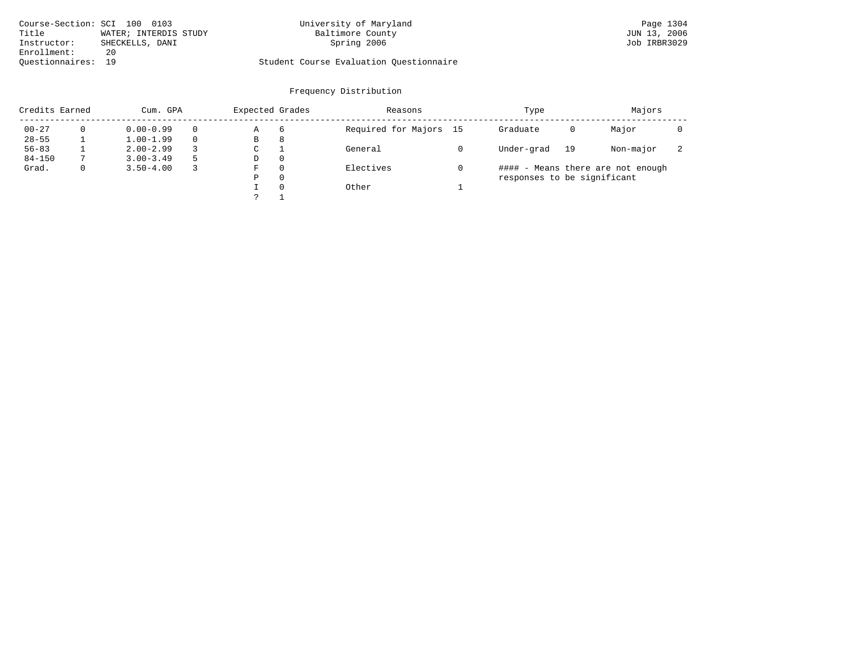| Course-Section: SCI 100 0103 |                       | University of Maryland                  | Page 1304    |
|------------------------------|-----------------------|-----------------------------------------|--------------|
| Title                        | WATER; INTERDIS STUDY | Baltimore County                        | JUN 13, 2006 |
| Instructor:                  | SHECKELLS, DANI       | Spring 2006                             | Job IRBR3029 |
| Enrollment:                  | 20                    |                                         |              |
| Ouestionnaires: 19           |                       | Student Course Evaluation Questionnaire |              |

| Credits Earned |   | Cum. GPA      | Expected Grades |          | Reasons                | Type                        |    | Majors                            |                          |  |
|----------------|---|---------------|-----------------|----------|------------------------|-----------------------------|----|-----------------------------------|--------------------------|--|
| $00 - 27$      |   | $0.00 - 0.99$ | Α               | 6        | Required for Majors 15 | Graduate                    | 0  | Major                             |                          |  |
| $28 - 55$      |   | $1.00 - 1.99$ | В               | 8        |                        |                             |    |                                   |                          |  |
| $56 - 83$      |   | $2.00 - 2.99$ | C               |          | General                | Under-grad                  | 19 | Non-major                         | $\overline{\phantom{a}}$ |  |
| $84 - 150$     |   | $3.00 - 3.49$ | D               | $\Omega$ |                        |                             |    |                                   |                          |  |
| Grad.          | 0 | $3.50 - 4.00$ | F               | $\Omega$ | Electives              |                             |    | #### - Means there are not enough |                          |  |
|                |   |               | Ρ               | $\Omega$ |                        | responses to be significant |    |                                   |                          |  |
|                |   |               |                 | $\Omega$ | Other                  |                             |    |                                   |                          |  |
|                |   |               |                 |          |                        |                             |    |                                   |                          |  |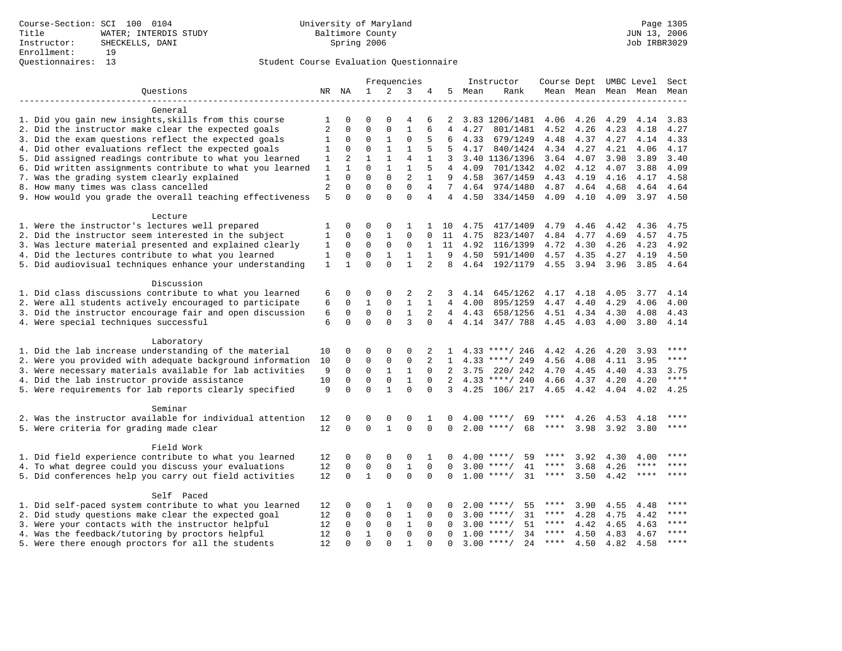|                                                           |                |              |              |              | Frequencies    |                |                |         | Instructor          | Course Dept UMBC Level |           |      |             | Sect        |
|-----------------------------------------------------------|----------------|--------------|--------------|--------------|----------------|----------------|----------------|---------|---------------------|------------------------|-----------|------|-------------|-------------|
| Ouestions                                                 |                | NR NA        | $\mathbf{1}$ | 2            | 3              | 4              | 5              | Mean    | Rank                |                        | Mean Mean |      | Mean Mean   | Mean        |
|                                                           |                |              |              |              |                |                |                |         |                     |                        |           |      |             |             |
| General                                                   |                |              |              |              |                |                |                |         |                     |                        |           |      |             |             |
| 1. Did you gain new insights, skills from this course     | 1              | $\Omega$     | $\Omega$     | $\Omega$     | 4              | 6              | 2              |         | 3.83 1206/1481      | 4.06                   | 4.26      | 4.29 | 4.14        | 3.83        |
| 2. Did the instructor make clear the expected goals       | $\overline{2}$ | $\Omega$     | $\Omega$     | $\Omega$     | $\mathbf{1}$   | 6              | 4              | 4.27    | 801/1481            | 4.52                   | 4.26      | 4.23 | 4.18        | 4.27        |
| 3. Did the exam questions reflect the expected goals      | 1              | $\mathbf 0$  | $\Omega$     | $\mathbf{1}$ | $\Omega$       | 5              | 6              | 4.33    | 679/1249            | 4.48                   | 4.37      | 4.27 | 4.14        | 4.33        |
| 4. Did other evaluations reflect the expected goals       | 1              | $\mathbf 0$  | $\mathbf 0$  | $\mathbf{1}$ | $\mathbf{1}$   | 5              | 5              | 4.17    | 840/1424            | 4.34                   | 4.27      | 4.21 | 4.06        | 4.17        |
| 5. Did assigned readings contribute to what you learned   | 1              | 2            | $\mathbf{1}$ | $\mathbf{1}$ | $\overline{4}$ | $\mathbf{1}$   | 3              |         | 3.40 1136/1396      | 3.64                   | 4.07      | 3.98 | 3.89        | 3.40        |
| 6. Did written assignments contribute to what you learned | 1              | $\mathbf{1}$ | $\Omega$     | $\mathbf{1}$ | $\mathbf{1}$   | 5              | 4              | 4.09    | 701/1342            | 4.02                   | 4.12      | 4.07 | 3.88        | 4.09        |
| 7. Was the grading system clearly explained               | 1              | $\Omega$     | $\Omega$     | $\mathbf{0}$ | $\overline{2}$ | $\mathbf{1}$   | 9              | 4.58    | 367/1459            | 4.43                   | 4.19      | 4.16 | 4.17        | 4.58        |
| 8. How many times was class cancelled                     | 2              | $\Omega$     | $\Omega$     | $\Omega$     | $\Omega$       | 4              | 7              | 4.64    | 974/1480            | 4.87                   | 4.64      | 4.68 | 4.64        | 4.64        |
| 9. How would you grade the overall teaching effectiveness | 5              | $\Omega$     | $\Omega$     | $\Omega$     | $\Omega$       | $\overline{4}$ | $\overline{4}$ | 4.50    | 334/1450            | 4.09                   | 4.10      | 4.09 | 3.97        | 4.50        |
|                                                           |                |              |              |              |                |                |                |         |                     |                        |           |      |             |             |
| Lecture                                                   |                |              |              |              |                |                |                |         |                     |                        |           |      |             |             |
| 1. Were the instructor's lectures well prepared           | 1              | $\mathbf 0$  | 0            | 0            | 1              | $\mathbf{1}$   | 10             | 4.75    | 417/1409            | 4.79                   | 4.46      | 4.42 | 4.36        | 4.75        |
| 2. Did the instructor seem interested in the subject      | 1              | 0            | 0            | $\mathbf{1}$ | 0              | 0              | 11             | 4.75    | 823/1407            | 4.84                   | 4.77      | 4.69 | 4.57        | 4.75        |
| 3. Was lecture material presented and explained clearly   | 1              | $\mathbf 0$  | 0            | 0            | $\Omega$       | $\mathbf{1}$   | 11             | 4.92    | 116/1399            | 4.72                   | 4.30      | 4.26 | 4.23        | 4.92        |
| 4. Did the lectures contribute to what you learned        | 1              | 0            | $\mathbf 0$  | $\mathbf{1}$ | $\mathbf{1}$   | $\mathbf{1}$   | 9              | 4.50    | 591/1400            | 4.57                   | 4.35      | 4.27 | 4.19        | 4.50        |
| 5. Did audiovisual techniques enhance your understanding  | $\mathbf{1}$   | $\mathbf{1}$ | $\Omega$     | $\Omega$     | $\mathbf{1}$   | $\overline{2}$ | 8              |         | 4.64 192/1179       | 4.55                   | 3.94      | 3.96 | 3.85        | 4.64        |
|                                                           |                |              |              |              |                |                |                |         |                     |                        |           |      |             |             |
| Discussion                                                |                |              |              |              |                |                |                |         |                     |                        |           |      |             |             |
| 1. Did class discussions contribute to what you learned   | 6              | 0            | $\Omega$     | $\Omega$     | 2              | 2              | 3              | 4.14    | 645/1262            | 4.17                   | 4.18      | 4.05 | 3.77        | 4.14        |
| 2. Were all students actively encouraged to participate   | 6              | $\Omega$     | $\mathbf{1}$ | $\mathbf{0}$ | $\mathbf{1}$   | $\mathbf{1}$   |                | 4, 00   | 895/1259            | 4.47                   | 4.40      | 4.29 | 4.06        | 4.00        |
| 3. Did the instructor encourage fair and open discussion  | 6              | $\mathbf 0$  | $\mathbf 0$  | $\mathbf{0}$ | $\mathbf{1}$   | 2              |                | 4, 4.43 | 658/1256            | 4.51                   | 4.34      | 4.30 | 4.08        | 4.43        |
| 4. Were special techniques successful                     | 6              | $\Omega$     | $\Omega$     | $\Omega$     | 3              | $\Omega$       | $4 \quad$      | 4.14    | 347/ 788            | 4.45                   | 4.03      | 4.00 | 3.80        | 4.14        |
|                                                           |                |              |              |              |                |                |                |         |                     |                        |           |      |             |             |
| Laboratory                                                |                |              |              |              |                |                |                |         |                     |                        |           |      |             | ****        |
| 1. Did the lab increase understanding of the material     | 10             | 0            | 0            | $\Omega$     | $\Omega$       | 2              |                |         | $4.33$ ****/ 246    | 4.42                   | 4.26      | 4.20 | 3.93        | $***$       |
| 2. Were you provided with adequate background information | 10             | $\mathbf 0$  | $\mathbf 0$  | $\mathsf 0$  | $\mathbf 0$    | 2              | $\mathbf{1}$   |         | $4.33$ ****/ 249    | 4.56                   | 4.08      | 4.11 | 3.95        |             |
| 3. Were necessary materials available for lab activities  | 9              | $\mathbf 0$  | $\mathbf 0$  | $\mathbf{1}$ | $\mathbf{1}$   | $\Omega$       | 2              | 3.75    | 220/ 242            | 4.70                   | 4.45      | 4.40 | 4.33        | 3.75        |
| 4. Did the lab instructor provide assistance              | 10             | $\Omega$     | $\mathbf 0$  | $\mathbf 0$  | $\mathbf{1}$   | $\Omega$       | $2^{\circ}$    |         | $4.33$ ****/ 240    | 4.66                   | 4.37      | 4.20 | 4.20        | $***$       |
| 5. Were requirements for lab reports clearly specified    | 9              | $\Omega$     | $\Omega$     | $\mathbf{1}$ | $\Omega$       | $\Omega$       | 3              | 4.25    | 106/ 217            | 4.65                   | 4.42      | 4.04 | 4.02        | 4.25        |
| Seminar                                                   |                |              |              |              |                |                |                |         |                     |                        |           |      |             |             |
| 2. Was the instructor available for individual attention  | 12             | $\Omega$     | $\Omega$     | 0            | $\Omega$       |                | $\Omega$       | 4.00    | 69<br>$***$ /       |                        | 4.26      | 4.53 | 4.18        |             |
| 5. Were criteria for grading made clear                   | 12             | $\Omega$     | $\mathbf 0$  | $\mathbf{1}$ | $\mathbf 0$    | $\Omega$       | $\Omega$       |         | 68<br>$2.00$ ****/  | $***$ * * *            | 3.98      | 3.92 | 3.80        | ****        |
|                                                           |                |              |              |              |                |                |                |         |                     |                        |           |      |             |             |
| Field Work                                                |                |              |              |              |                |                |                |         |                     |                        |           |      |             |             |
| 1. Did field experience contribute to what you learned    | 12             | 0            | 0            | 0            | $\Omega$       |                | 0              | 4.00    | $***$ /<br>59       |                        | 3.92      | 4.30 | 4.00        | ****        |
| 4. To what degree could you discuss your evaluations      | 12             | $\Omega$     | $\mathbf 0$  | 0            | 1              | $\Omega$       | $\Omega$       |         | $3.00$ ****/<br>41  | ****                   | 3.68      | 4.26 | ****        | $***$       |
| 5. Did conferences help you carry out field activities    | 12             | $\Omega$     | $\mathbf{1}$ | $\Omega$     | $\Omega$       | $\Omega$       | $\Omega$       |         | $1.00$ ****/<br>31  | $***$ * * *            | 3.50      | 4.42 | $***$ * * * | $***$ * * * |
|                                                           |                |              |              |              |                |                |                |         |                     |                        |           |      |             |             |
| Self Paced                                                |                |              |              |              |                |                |                |         |                     |                        |           |      |             |             |
| 1. Did self-paced system contribute to what you learned   | 12             | 0            | 0            | 1            | $\Omega$       | 0              | $\Omega$       |         | $2.00$ ****/<br>55  | ****                   | 3.90      | 4.55 | 4.48        | $***$       |
| 2. Did study questions make clear the expected goal       | 12             | 0            | $\mathbf 0$  | $\mathbf 0$  | 1              | $\mathbf 0$    | 0              | 3.00    | 31<br>$***/$        | ****                   | 4.28      | 4.75 | 4.42        | ****        |
| 3. Were your contacts with the instructor helpful         | 12             | $\Omega$     | $\mathbf 0$  | $\mathbf 0$  | $\mathbf{1}$   | $\Omega$       | $\Omega$       |         | $3.00$ ****/<br>51  | $***$ * *              | 4.42      | 4.65 | 4.63        | $***$       |
| 4. Was the feedback/tutoring by proctors helpful          | 12             | $\Omega$     | $\mathbf{1}$ | $\mathbf{0}$ | $\mathbf 0$    | $\Omega$       | $\Omega$       |         | $1.00$ ****/<br>34  | $***$ * *              | 4.50      | 4.83 | 4.67        | $***$       |
| 5. Were there enough proctors for all the students        | 12             | $\Omega$     | $\Omega$     | $\Omega$     | $\mathbf{1}$   | $\Omega$       | $\Omega$       |         | 2.4<br>$3.00$ ****/ | ****                   | 4.50      | 4.82 | 4.58        | ****        |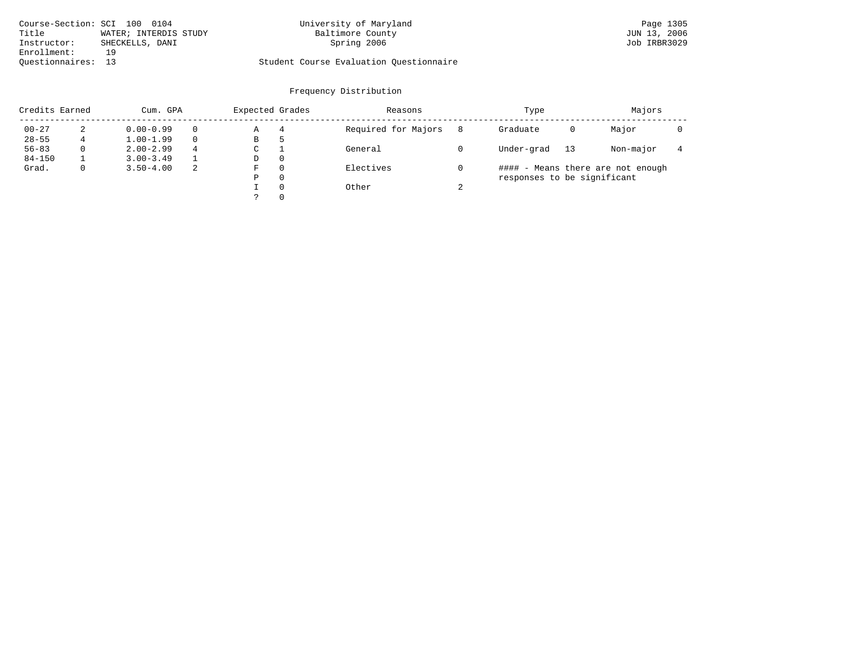| Course-Section: SCI 100 0104 |                       | University of Maryland                  | Page 1305    |
|------------------------------|-----------------------|-----------------------------------------|--------------|
| Title                        | WATER; INTERDIS STUDY | Baltimore County                        | JUN 13, 2006 |
| Instructor:                  | SHECKELLS, DANI       | Spring 2006                             | Job IRBR3029 |
| Enrollment:                  |                       |                                         |              |
| Ouestionnaires: 13           |                       | Student Course Evaluation Questionnaire |              |

| Credits Earned |   | Cum. GPA      |          | Expected Grades |          | Reasons             |        | Type                        |    | Majors                            |  |
|----------------|---|---------------|----------|-----------------|----------|---------------------|--------|-----------------------------|----|-----------------------------------|--|
| $00 - 27$      |   | $0.00 - 0.99$ | $\Omega$ | Α               | 4        | Required for Majors | 8      | Graduate                    | 0  | Major                             |  |
| $28 - 55$      | 4 | $1.00 - 1.99$ | $\Omega$ | B               | 5        |                     |        |                             |    |                                   |  |
| $56 - 83$      |   | $2.00 - 2.99$ | 4        | C               |          | General             |        | Under-grad                  | 13 | Non-major                         |  |
| $84 - 150$     |   | $3.00 - 3.49$ |          | D               | $\Omega$ |                     |        |                             |    |                                   |  |
| Grad.          |   | $3.50 - 4.00$ | 2        | F               | $\Omega$ | Electives           |        |                             |    | #### - Means there are not enough |  |
|                |   |               |          | Ρ               | 0        |                     |        | responses to be significant |    |                                   |  |
|                |   |               |          |                 | $\Omega$ | Other               | $\sim$ |                             |    |                                   |  |
|                |   |               |          |                 | $\Omega$ |                     |        |                             |    |                                   |  |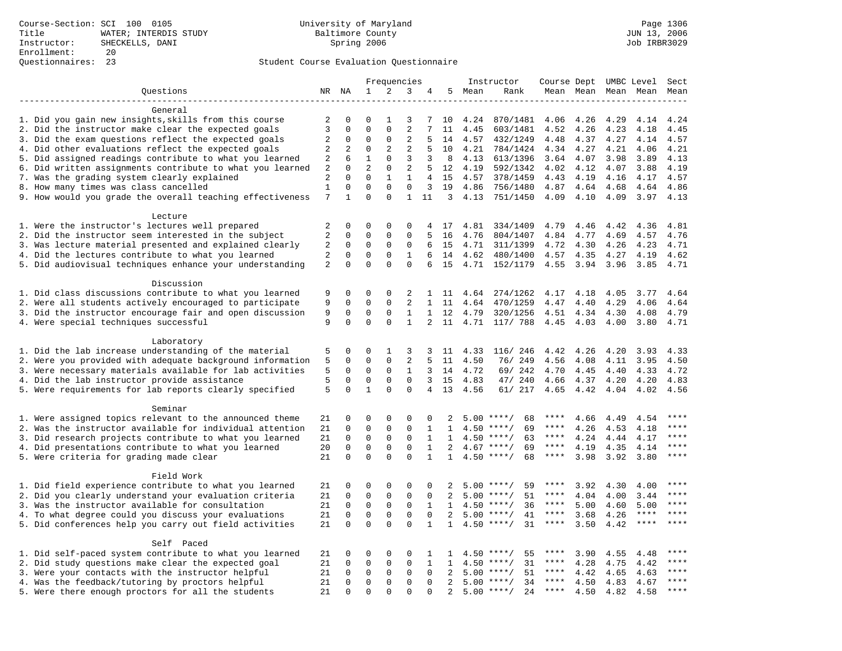|                                                                                                                     |                   |                         |               |                             | Frequencies      |                     |              |                 | Instructor                         | Course Dept UMBC Level |              |              |              | Sect         |
|---------------------------------------------------------------------------------------------------------------------|-------------------|-------------------------|---------------|-----------------------------|------------------|---------------------|--------------|-----------------|------------------------------------|------------------------|--------------|--------------|--------------|--------------|
| Questions                                                                                                           |                   | NR NA                   | $\mathbf{1}$  | 2                           | 3                | 4                   | 5            | Mean            | Rank                               |                        | Mean Mean    |              | Mean Mean    | Mean         |
|                                                                                                                     |                   |                         |               |                             |                  |                     |              |                 |                                    |                        |              |              |              |              |
| General                                                                                                             |                   |                         |               |                             |                  |                     |              |                 |                                    |                        |              |              |              |              |
| 1. Did you gain new insights, skills from this course                                                               | 2                 | $\Omega$                | 0             | 1                           | 3                | 7                   | 10           | 4.24            | 870/1481                           | 4.06                   | 4.26         | 4.29         | 4.14         | 4.24         |
| 2. Did the instructor make clear the expected goals                                                                 | 3                 | $\mathbf 0$             | $\mathbf{0}$  | $\mathbf 0$                 | 2                | 7                   | 11           | 4.45            | 603/1481                           | 4.52                   | 4.26         | 4.23         | 4.18         | 4.45         |
| 3. Did the exam questions reflect the expected goals                                                                | 2                 | 0                       | $\mathbf 0$   | $\mathbf 0$                 | 2                | 5                   | 14           | 4.57            | 432/1249                           | 4.48                   | 4.37         | 4.27         | 4.14         | 4.57         |
| 4. Did other evaluations reflect the expected goals                                                                 | 2                 | 2                       | $\mathbf 0$   | $\overline{a}$              | $\overline{2}$   | 5                   | 10           | 4.21            | 784/1424                           | 4.34                   | 4.27         | 4.21         | 4.06         | 4.21         |
| 5. Did assigned readings contribute to what you learned                                                             | $\overline{a}$    | 6                       | $\mathbf 1$   | $\mathbf 0$                 | 3                | 3                   | 8            | 4.13            | 613/1396                           | 3.64                   | 4.07         | 3.98         | 3.89         | 4.13         |
| 6. Did written assignments contribute to what you learned                                                           | $\overline{a}$    | $\mathbf 0$<br>$\Omega$ | 2<br>$\Omega$ | $\mathbf 0$                 | $\mathbf{2}$     | 5                   | 12           | 4.19            | 592/1342                           | 4.02                   | 4.12         | 4.07         | 3.88         | 4.19         |
| 7. Was the grading system clearly explained                                                                         | 2                 | $\mathbf 0$             | $\mathbf{0}$  | $\mathbf{1}$<br>$\mathbf 0$ | 1<br>$\mathbf 0$ | $\overline{4}$<br>3 | 15<br>19     | 4.57            | 378/1459                           | 4.43                   | 4.19         | 4.16         | 4.17         | 4.57         |
| 8. How many times was class cancelled<br>9. How would you grade the overall teaching effectiveness                  | $\mathbf{1}$<br>7 | $\mathbf{1}$            | $\Omega$      | $\Omega$                    | $\mathbf{1}$     | 11                  |              | 4.86<br>3, 4.13 | 756/1480<br>751/1450               | 4.87<br>4.09           | 4.64<br>4.10 | 4.68<br>4.09 | 4.64<br>3.97 | 4.86<br>4.13 |
|                                                                                                                     |                   |                         |               |                             |                  |                     |              |                 |                                    |                        |              |              |              |              |
| Lecture                                                                                                             |                   |                         |               |                             |                  |                     |              |                 |                                    |                        |              |              |              |              |
| 1. Were the instructor's lectures well prepared                                                                     | 2                 | $\mathbf 0$             | $\mathbf{0}$  | $\mathbf 0$                 | 0                | 4                   | 17           | 4.81            | 334/1409                           | 4.79                   | 4.46         | 4.42         | 4.36         | 4.81         |
| 2. Did the instructor seem interested in the subject                                                                | $\sqrt{2}$        | $\mathbf 0$             | $\mathbf 0$   | $\mathbf 0$                 | $\mathbf{0}$     | 5                   | 16           | 4.76            | 804/1407                           | 4.84                   | 4.77         | 4.69         | 4.57         | 4.76         |
| 3. Was lecture material presented and explained clearly                                                             | 2                 | 0                       | $\mathsf 0$   | 0                           | 0                | 6                   | 15           | 4.71            | 311/1399                           | 4.72                   | 4.30         | 4.26         | 4.23         | 4.71         |
| 4. Did the lectures contribute to what you learned                                                                  | 2                 | 0                       | $\mathbf{0}$  | $\mathbf 0$                 | 1                | 6                   | 14           | 4.62            | 480/1400                           | 4.57                   | 4.35         | 4.27         | 4.19         | 4.62         |
| 5. Did audiovisual techniques enhance your understanding                                                            | 2                 | $\mathbf 0$             | $\Omega$      | $\Omega$                    | $\Omega$         | 6                   | 15           | 4.71            | 152/1179                           | 4.55                   | 3.94         | 3.96         | 3.85         | 4.71         |
|                                                                                                                     |                   |                         |               |                             |                  |                     |              |                 |                                    |                        |              |              |              |              |
| Discussion                                                                                                          |                   |                         |               |                             |                  |                     |              |                 |                                    |                        |              |              |              |              |
| 1. Did class discussions contribute to what you learned                                                             | 9                 | 0                       | $\mathbf{0}$  | $\mathbf 0$                 | 2                | 1                   | 11           | 4.64            | 274/1262                           | 4.17                   | 4.18         | 4.05         | 3.77         | 4.64         |
| 2. Were all students actively encouraged to participate                                                             | 9                 | $\mathbf 0$             | $\mathbf 0$   | $\mathbf 0$                 | 2                | $\mathbf{1}$        | 11           | 4.64            | 470/1259                           | 4.47                   | 4.40         | 4.29         | 4.06         | 4.64         |
| 3. Did the instructor encourage fair and open discussion                                                            | 9                 | 0                       | $\mathbf 0$   | $\mathbf 0$                 | $\mathbf{1}$     | $\mathbf{1}$        | 12           | 4.79            | 320/1256                           | 4.51                   | 4.34         | 4.30         | 4.08         | 4.79         |
| 4. Were special techniques successful                                                                               | 9                 | $\Omega$                | $\Omega$      | $\Omega$                    | $\mathbf{1}$     | 2                   | 11           | 4.71            | 117/ 788                           | 4.45                   | 4.03         | 4.00         | 3.80         | 4.71         |
|                                                                                                                     |                   |                         |               |                             |                  |                     |              |                 |                                    |                        |              |              |              |              |
| Laboratory                                                                                                          |                   |                         |               |                             |                  |                     |              |                 |                                    |                        |              |              |              |              |
| 1. Did the lab increase understanding of the material                                                               | 5                 | 0                       | 0             | 1                           | 3                | 3                   | 11           | 4.33            | 116/ 246                           | 4.42                   | 4.26         | 4.20         | 3.93         | 4.33         |
| 2. Were you provided with adequate background information                                                           | 5                 | $\mathbf 0$             | $\mathbf{0}$  | $\mathbf 0$                 | $\mathbf{2}$     | 5                   | 11           | 4.50            | 76/ 249                            | 4.56                   | 4.08         | 4.11         | 3.95         | 4.50         |
| 3. Were necessary materials available for lab activities                                                            | 5                 | $\mathbf 0$             | $\mathbf{0}$  | $\mathbf 0$                 | $\mathbf{1}$     | 3                   | 14           | 4.72            | 69/ 242                            | 4.70                   | 4.45         | 4.40         | 4.33         | 4.72         |
| 4. Did the lab instructor provide assistance                                                                        | 5                 | 0                       | $\mathbf 0$   | $\mathbf 0$                 | $\mathbf 0$      | 3                   | 15           | 4.83            | 47/ 240                            | 4.66                   | 4.37         | 4.20         | 4.20         | 4.83         |
| 5. Were requirements for lab reports clearly specified                                                              | 5                 | $\Omega$                | $\mathbf{1}$  | $\Omega$                    | $\Omega$         | $\overline{4}$      | 13           | 4.56            | 61/ 217                            | 4.65                   | 4.42         | 4.04         | 4.02         | 4.56         |
|                                                                                                                     |                   |                         |               |                             |                  |                     |              |                 |                                    |                        |              |              |              |              |
| Seminar                                                                                                             |                   | $\mathbf 0$             | $\mathbf 0$   | $\mathsf 0$                 | $\mathsf 0$      |                     |              |                 |                                    | ****                   |              |              |              | ****         |
| 1. Were assigned topics relevant to the announced theme<br>2. Was the instructor available for individual attention | 21<br>21          | $\mathbf 0$             | $\mathbf 0$   | $\mathsf 0$                 | $\mathsf 0$      | 0<br>$\mathbf{1}$   | 1            | 4.50            | 68<br>$5.00$ ****/<br>$***/$<br>69 | $***$ * *              | 4.66<br>4.26 | 4.49<br>4.53 | 4.54<br>4.18 | ****         |
| 3. Did research projects contribute to what you learned                                                             | 21                | $\mathbf 0$             | $\mathbf 0$   | $\mathsf 0$                 | $\mathbf 0$      | $\mathbf{1}$        | 1            | 4.50            | $***$ /<br>63                      | $***$ * * *            | 4.24         | 4.44         | 4.17         | ****         |
| 4. Did presentations contribute to what you learned                                                                 | 20                | $\mathbf 0$             | $\mathbf{0}$  | $\mathbf 0$                 | $\mathbf{0}$     | $\mathbf{1}$        | 2            | 4.67            | $***$ /<br>69                      | $***$ * *              | 4.19         | 4.35         | 4.14         | ****         |
| 5. Were criteria for grading made clear                                                                             | 21                | $\mathbf 0$             | $\Omega$      | $\Omega$                    | $\Omega$         | $\mathbf{1}$        | $\mathbf{1}$ |                 | $4.50$ ****/<br>68                 | ****                   | 3.98         | 3.92         | 3.80         | ****         |
|                                                                                                                     |                   |                         |               |                             |                  |                     |              |                 |                                    |                        |              |              |              |              |
| Field Work                                                                                                          |                   |                         |               |                             |                  |                     |              |                 |                                    |                        |              |              |              |              |
| 1. Did field experience contribute to what you learned                                                              | 21                | 0                       | 0             | $\Omega$                    | $\Omega$         | $\Omega$            | 2            |                 | $5.00$ ****/<br>59                 | ****                   | 3.92         | 4.30         | 4.00         | ****         |
| 2. Did you clearly understand your evaluation criteria                                                              | 21                | $\mathbf 0$             | $\mathsf 0$   | $\mathbf 0$                 | $\mathbf 0$      | $\mathbf 0$         | 2            | 5.00            | 51<br>****/                        | ****                   | 4.04         | 4.00         | 3.44         | $***$ * * *  |
| 3. Was the instructor available for consultation                                                                    | 21                | 0                       | $\mathsf 0$   | 0                           | 0                | $\mathbf{1}$        | 1            | 4.50            | $***/$<br>36                       | ****                   | 5.00         | 4.60         | 5.00         | ****         |
| 4. To what degree could you discuss your evaluations                                                                | 21                | $\mathbf 0$             | $\mathbf 0$   | $\mathbf 0$                 | $\mathbf{0}$     | 0                   | 2            | 5.00            | $***/$<br>41                       | $***$ * *              | 3.68         | 4.26         | $***$ * * *  | $***$        |
| 5. Did conferences help you carry out field activities                                                              | 21                | $\Omega$                | $\Omega$      | $\Omega$                    | $\Omega$         | $\mathbf{1}$        | 1            | 4.50            | 31<br>$***/$                       | $***$ * *              | 3.50         | 4.42         | $***$ * * *  | ****         |
|                                                                                                                     |                   |                         |               |                             |                  |                     |              |                 |                                    |                        |              |              |              |              |
| Self Paced                                                                                                          |                   |                         |               |                             |                  |                     |              |                 |                                    |                        |              |              |              |              |
| 1. Did self-paced system contribute to what you learned                                                             | 21                | 0                       | $\mathbf 0$   | $\mathsf 0$                 | $\mathsf 0$      | 1                   | $\mathbf{1}$ | 4.50            | 55<br>$***$ /                      | ****                   | 3.90         | 4.55         | 4.48         |              |
| 2. Did study questions make clear the expected goal                                                                 | 21                | $\mathbf 0$             | $\mathbf 0$   | $\mathsf 0$                 | $\mathbf{0}$     | $\mathbf{1}$        | 1            | 4.50            | $***/$<br>31                       | $***$ * *              | 4.28         | 4.75         | 4.42         | ****         |
| 3. Were your contacts with the instructor helpful                                                                   | 21                | $\mathbf 0$             | $\mathsf 0$   | 0                           | $\mathbf 0$      | 0                   | 2            | 5.00            | 51<br>$***$ /                      | ****                   | 4.42         | 4.65         | 4.63         | ****         |
| 4. Was the feedback/tutoring by proctors helpful                                                                    | 21                | 0                       | $\mathbf 0$   | $\mathbf 0$                 | $\mathbf{0}$     | 0                   | 2            | 5.00            | $***/$<br>34                       | ****                   | 4.50         | 4.83         | 4.67         | * * * *      |
| 5. Were there enough proctors for all the students                                                                  | 21                | $\Omega$                | $\mathbf{0}$  | $\Omega$                    | $\Omega$         | $\Omega$            | 2            |                 | $5.00$ ****/<br>24                 | $***$ * * *            | 4.50         | 4.82         | 4.58         | ****         |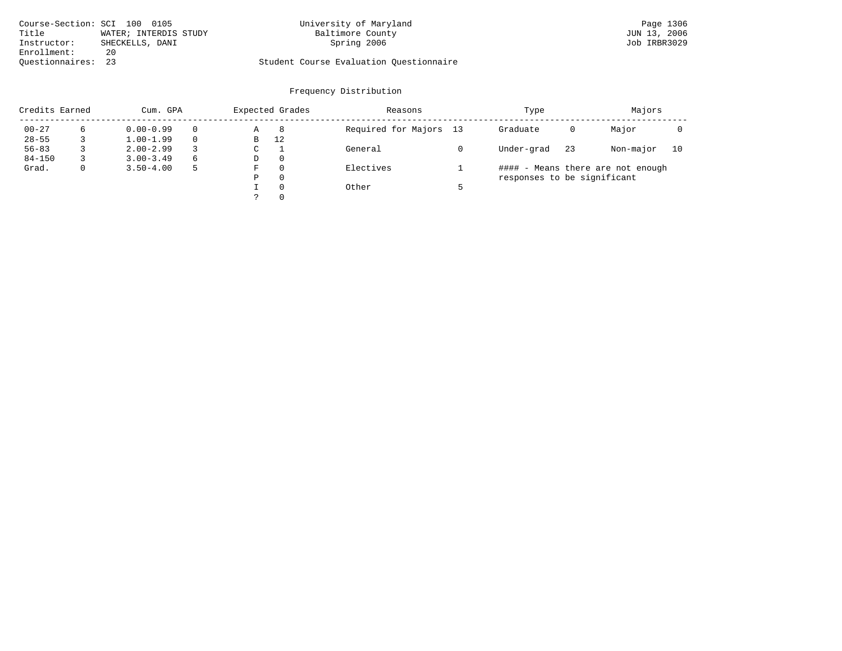| Course-Section: SCI 100 0105 |                       | University of Maryland                  | Page 1306    |
|------------------------------|-----------------------|-----------------------------------------|--------------|
| Title                        | WATER; INTERDIS STUDY | Baltimore County                        | JUN 13, 2006 |
| Instructor:                  | SHECKELLS, DANI       | Spring 2006                             | Job IRBR3029 |
| Enrollment:                  | 20                    |                                         |              |
| Ouestionnaires: 23           |                       | Student Course Evaluation Questionnaire |              |

| Credits Earned | Cum. GPA      |          | Expected Grades |          | Reasons                | Type                        |    | Majors                            |    |
|----------------|---------------|----------|-----------------|----------|------------------------|-----------------------------|----|-----------------------------------|----|
| $00 - 27$      | $0.00 - 0.99$ | $\Omega$ | Α               | 8        | Required for Majors 13 | Graduate                    | 0  | Major                             |    |
| $28 - 55$      | $1.00 - 1.99$ |          | B               | 12       |                        |                             |    |                                   |    |
| $56 - 83$      | $2.00 - 2.99$ |          | C               |          | General                | Under-grad                  | 23 | Non-major                         | 10 |
| $84 - 150$     | $3.00 - 3.49$ | 6        | D               | $\Omega$ |                        |                             |    |                                   |    |
| Grad.          | $3.50 - 4.00$ | 5        | F               | $\Omega$ | Electives              |                             |    | #### - Means there are not enough |    |
|                |               |          | Ρ               | 0        |                        | responses to be significant |    |                                   |    |
|                |               |          |                 | $\Omega$ | Other                  |                             |    |                                   |    |
|                |               |          |                 | $\Omega$ |                        |                             |    |                                   |    |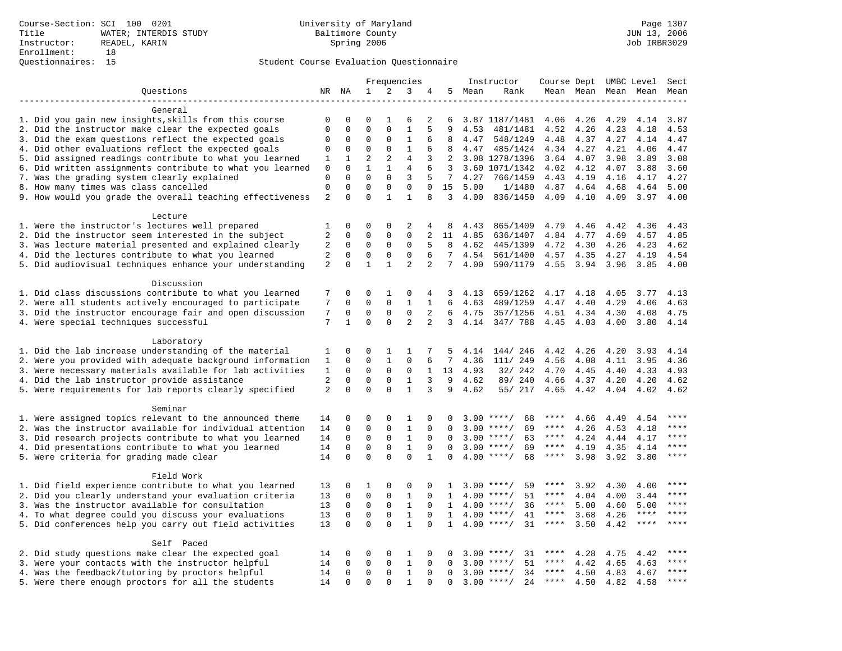|                                                           |                |              |                |                | Frequencies    |              |                 |      | Instructor         | Course Dept UMBC Level |           |      |             | Sect        |
|-----------------------------------------------------------|----------------|--------------|----------------|----------------|----------------|--------------|-----------------|------|--------------------|------------------------|-----------|------|-------------|-------------|
| Questions                                                 |                | NR NA        | 1              | 2              | 3              | 4            | 5               | Mean | Rank               |                        | Mean Mean |      | Mean Mean   | Mean        |
|                                                           |                |              |                |                |                |              |                 |      |                    |                        |           |      |             |             |
| General                                                   |                |              |                |                |                |              |                 |      |                    |                        |           |      |             |             |
| 1. Did you gain new insights, skills from this course     | 0              | $\mathbf 0$  | $\Omega$       | 1              | 6              | 2            | 6               |      | 3.87 1187/1481     | 4.06                   | 4.26      | 4.29 | 4.14        | 3.87        |
| 2. Did the instructor make clear the expected goals       | 0              | 0            | $\mathbf 0$    | $\mathbf{0}$   | $\mathbf 1$    | 5            | 9               | 4.53 | 481/1481           | 4.52                   | 4.26      | 4.23 | 4.18        | 4.53        |
| 3. Did the exam questions reflect the expected goals      | $\mathbf 0$    | $\mathbf 0$  | 0              | $\mathbf 0$    | 1              | 6            | 8               | 4.47 | 548/1249           | 4.48                   | 4.37      | 4.27 | 4.14        | 4.47        |
| 4. Did other evaluations reflect the expected goals       | $\mathbf 0$    | $\mathbf{0}$ | $\mathbf 0$    | $\mathbf{0}$   | $\mathbf{1}$   | 6            | 8               | 4.47 | 485/1424           | 4.34                   | 4.27      | 4.21 | 4.06        | 4.47        |
| 5. Did assigned readings contribute to what you learned   | 1              | 1            | $\overline{2}$ | $\overline{2}$ | $\overline{4}$ | 3            | 2               |      | 3.08 1278/1396     | 3.64                   | 4.07      | 3.98 | 3.89        | 3.08        |
| 6. Did written assignments contribute to what you learned | 0              | $\mathbf 0$  | 1              | 1              | 4              | 6            | 3               |      | 3.60 1071/1342     | 4.02                   | 4.12      | 4.07 | 3.88        | 3.60        |
| 7. Was the grading system clearly explained               | $\mathbf{0}$   | $\Omega$     | $\Omega$       | $\Omega$       | 3              | 5            | $7\overline{ }$ | 4.27 | 766/1459           | 4.43                   | 4.19      | 4.16 | 4.17        | 4.27        |
| 8. How many times was class cancelled                     | $\mathbf 0$    | $\mathbf 0$  | $\mathbf 0$    | $\mathbf{0}$   | $\mathbf{0}$   | 0            | 15              | 5.00 | 1/1480             | 4.87                   | 4.64      | 4.68 | 4.64        | 5.00        |
| 9. How would you grade the overall teaching effectiveness | 2              | 0            | $\Omega$       | $\mathbf{1}$   | $\mathbf{1}$   | 8            | $\overline{3}$  | 4.00 | 836/1450           | 4.09                   | 4.10      | 4.09 | 3.97        | 4.00        |
| Lecture                                                   |                |              |                |                |                |              |                 |      |                    |                        |           |      |             |             |
| 1. Were the instructor's lectures well prepared           | 1              | $\mathbf 0$  | 0              | $\mathbf 0$    | 2              | 4            | 8               | 4.43 | 865/1409           | 4.79                   | 4.46      | 4.42 | 4.36        | 4.43        |
| 2. Did the instructor seem interested in the subject      | $\sqrt{2}$     | $\mathbf 0$  | 0              | $\mathbf 0$    | 0              | 2            | 11              | 4.85 | 636/1407           | 4.84                   | 4.77      | 4.69 | 4.57        | 4.85        |
| 3. Was lecture material presented and explained clearly   | $\overline{2}$ | $\mathbf 0$  | $\mathbf 0$    | $\mathbf{0}$   | $\mathbf{0}$   | 5            | 8               | 4.62 | 445/1399           | 4.72                   | 4.30      | 4.26 | 4.23        | 4.62        |
| 4. Did the lectures contribute to what you learned        | 2              | $\mathbf 0$  | $\mathbf 0$    | $\mathbf 0$    | 0              | 6            | 7               | 4.54 | 561/1400           | 4.57                   | 4.35      | 4.27 | 4.19        | 4.54        |
| 5. Did audiovisual techniques enhance your understanding  | $\overline{2}$ | $\Omega$     | $\mathbf{1}$   | $\mathbf{1}$   | $\overline{2}$ | 2            | $7\overline{ }$ | 4.00 | 590/1179           | 4.55                   | 3.94      | 3.96 | 3.85        | 4.00        |
| Discussion                                                |                |              |                |                |                |              |                 |      |                    |                        |           |      |             |             |
| 1. Did class discussions contribute to what you learned   | 7              | 0            | 0              | 1              | 0              | 4            | 3               | 4.13 | 659/1262           | 4.17                   | 4.18      | 4.05 | 3.77        | 4.13        |
| 2. Were all students actively encouraged to participate   | 7              | 0            | $\Omega$       | $\Omega$       | 1              | $\mathbf{1}$ | 6               | 4.63 | 489/1259           | 4.47                   | 4.40      | 4.29 | 4.06        | 4.63        |
| 3. Did the instructor encourage fair and open discussion  | 7              | $\mathbf 0$  | $\mathbf 0$    | $\mathbf{0}$   | $\mathbf 0$    | 2            | 6               | 4.75 | 357/1256           | 4.51                   | 4.34      | 4.30 | 4.08        | 4.75        |
| 4. Were special techniques successful                     | 7              | $\mathbf{1}$ | $\Omega$       | $\Omega$       | $\overline{2}$ | 2            | $\mathbf{3}$    | 4.14 | 347/ 788           | 4.45                   | 4.03      | 4.00 | 3.80        | 4.14        |
|                                                           |                |              |                |                |                |              |                 |      |                    |                        |           |      |             |             |
| Laboratory                                                |                |              |                |                |                |              |                 |      |                    |                        |           |      |             |             |
| 1. Did the lab increase understanding of the material     | 1              | $\Omega$     | 0              | 1              | 1              | 7            | 5               | 4.14 | 144/246            | 4.42                   | 4.26      | 4.20 | 3.93        | 4.14        |
| 2. Were you provided with adequate background information | 1              | $\mathbf 0$  | $\mathbf 0$    | $\mathbf{1}$   | $\mathbf{0}$   | 6            | 7               | 4.36 | 111/ 249           | 4.56                   | 4.08      | 4.11 | 3.95        | 4.36        |
| 3. Were necessary materials available for lab activities  | 1              | 0            | $\mathbf 0$    | $\mathbf 0$    | 0              | $\mathbf{1}$ | 13              | 4.93 | 32/ 242            | 4.70                   | 4.45      | 4.40 | 4.33        | 4.93        |
| 4. Did the lab instructor provide assistance              | 2              | $\mathbf 0$  | $\mathbf 0$    | $\mathbf 0$    | $\mathbf{1}$   | 3            | 9               | 4.62 | 89/ 240            | 4.66                   | 4.37      | 4.20 | 4.20        | 4.62        |
| 5. Were requirements for lab reports clearly specified    | 2              | $\Omega$     | $\Omega$       | $\Omega$       | $\mathbf{1}$   | 3            | 9               | 4.62 | 55/ 217            | 4.65                   | 4.42      | 4.04 | 4.02        | 4.62        |
| Seminar                                                   |                |              |                |                |                |              |                 |      |                    |                        |           |      |             |             |
| 1. Were assigned topics relevant to the announced theme   | 14             | $\mathbf 0$  | $\mathbf 0$    | $\Omega$       | 1              | 0            | $\Omega$        |      | 68<br>$3.00$ ****/ | ****                   | 4.66      | 4.49 | 4.54        | ****        |
| 2. Was the instructor available for individual attention  | 14             | $\mathbf 0$  | 0              | $\mathbf{0}$   | $\mathbf{1}$   | 0            | 0               | 3.00 | $***/$<br>69       | ****                   | 4.26      | 4.53 | 4.18        | ****        |
| 3. Did research projects contribute to what you learned   | 14             | 0            | 0              | $\mathsf 0$    | $\mathbf{1}$   | $\mathbf 0$  | 0               |      | $3.00$ ****/<br>63 | $***$ * *              | 4.24      | 4.44 | 4.17        | ****        |
| 4. Did presentations contribute to what you learned       | 14             | $\Omega$     | $\mathbf 0$    | $\mathsf 0$    | $\mathbf{1}$   | $\Omega$     | $\Omega$        |      | $3.00$ ****/<br>69 | $***$ * * *            | 4.19      | 4.35 | 4.14        | $***$       |
| 5. Were criteria for grading made clear                   | 14             | $\Omega$     | $\Omega$       | $\Omega$       | $\Omega$       | $\mathbf{1}$ | $\Omega$        |      | $4.00$ ****/<br>68 | $***$ * *              | 3.98      | 3.92 | 3.80        | $***$       |
| Field Work                                                |                |              |                |                |                |              |                 |      |                    |                        |           |      |             |             |
| 1. Did field experience contribute to what you learned    | 13             | 0            | 1              | 0              | 0              | 0            | 1               |      | $3.00$ ****/<br>59 | ****                   | 3.92      | 4.30 | 4.00        | ****        |
| 2. Did you clearly understand your evaluation criteria    | 13             | $\mathbf 0$  | $\mathbf 0$    | $\mathbf{0}$   | $\mathbf{1}$   | $\mathbf 0$  | $\mathbf{1}$    |      | 51<br>$4.00$ ****/ | ****                   | 4.04      | 4.00 | 3.44        | $***$       |
| 3. Was the instructor available for consultation          | 13             | $\mathbf 0$  | $\mathbf 0$    | $\mathbf{0}$   | $\mathbf{1}$   | $\Omega$     | 1               |      | $4.00$ ****/<br>36 | $***$ * *              | 5.00      | 4.60 | 5.00        | ****        |
| 4. To what degree could you discuss your evaluations      | 13             | $\Omega$     | $\Omega$       | $\Omega$       | $1\,$          | $\Omega$     | 1               |      | $4.00$ ****/<br>41 | $***$ * * *            | 3.68      | 4.26 | $***$ * * * | $***$       |
| 5. Did conferences help you carry out field activities    | 13             | $\Omega$     | $\Omega$       | $\Omega$       | $\mathbf{1}$   | $\Omega$     | $\mathbf{1}$    |      | $4.00$ ****/<br>31 | $***$ * *              | 3.50      | 4.42 | $***$ * * * |             |
| Self Paced                                                |                |              |                |                |                |              |                 |      |                    |                        |           |      |             |             |
| 2. Did study questions make clear the expected goal       | 14             | $\mathbf 0$  | 0              | 0              | 1              | $\Omega$     | $\Omega$        |      | $3.00$ ****/<br>31 | ****                   | 4.28      | 4.75 | 4.42        |             |
| 3. Were your contacts with the instructor helpful         | 14             | $\Omega$     | $\mathbf 0$    | $\mathbf{0}$   | $\mathbf{1}$   | $\Omega$     | $\Omega$        | 3.00 | $***/$<br>51       | ****                   | 4.42      | 4.65 | 4.63        | $***$ * * * |
| 4. Was the feedback/tutoring by proctors helpful          | 14             | $\mathbf 0$  | $\mathbf 0$    | 0              | $\mathbf{1}$   | 0            | $\Omega$        |      | $3.00$ ****/<br>34 | ****                   | 4.50      | 4.83 | 4.67        | ****        |
| 5. Were there enough proctors for all the students        | 14             | $\mathbf 0$  | $\mathbf 0$    | $\mathbf 0$    | 1              | 0            | 0               |      | $3.00$ ****/<br>24 | ****                   | 4.50      | 4.82 | 4.58        | $***$       |
|                                                           |                |              |                |                |                |              |                 |      |                    |                        |           |      |             |             |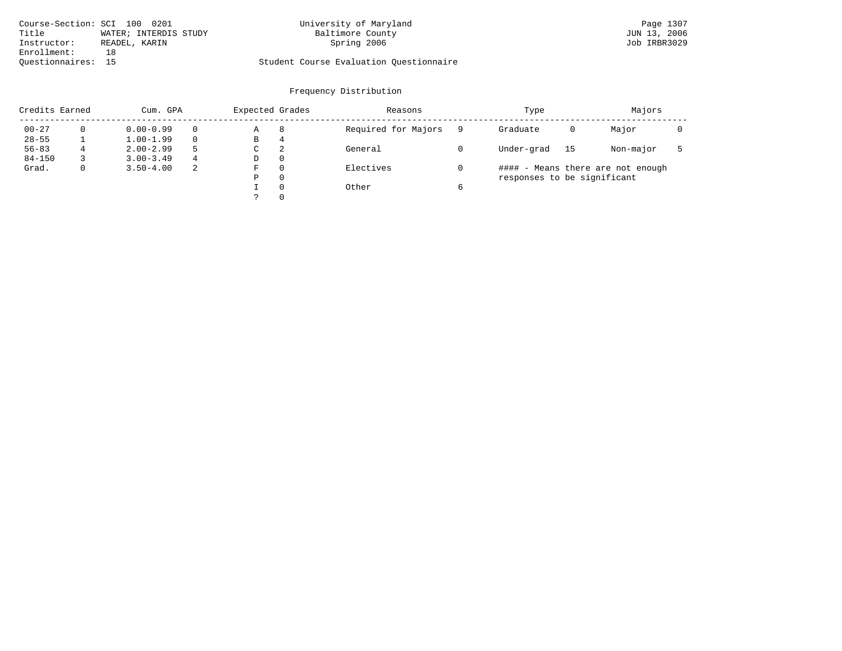| Course-Section: SCI 100 0201 |                       | University of Maryland                  | Page 1307    |
|------------------------------|-----------------------|-----------------------------------------|--------------|
| Title                        | WATER; INTERDIS STUDY | Baltimore County                        | JUN 13, 2006 |
| Instructor:                  | READEL, KARIN         | Spring 2006                             | Job IRBR3029 |
| Enrollment:                  | 1 R                   |                                         |              |
| Ouestionnaires: 15           |                       | Student Course Evaluation Questionnaire |              |

| Credits Earned |   | Cum. GPA      |          | Expected Grades |          | Reasons             | Type                        |    | Majors                            |  |
|----------------|---|---------------|----------|-----------------|----------|---------------------|-----------------------------|----|-----------------------------------|--|
| $00 - 27$      |   | $0.00 - 0.99$ | $\Omega$ | Α               | 8        | Required for Majors | Graduate                    | 0  | Major                             |  |
| $28 - 55$      |   | $1.00 - 1.99$ | $\Omega$ | В               | 4        |                     |                             |    |                                   |  |
| $56 - 83$      | 4 | $2.00 - 2.99$ | 5        | C               | 2        | General             | Under-grad                  | 15 | Non-major                         |  |
| $84 - 150$     |   | $3.00 - 3.49$ | 4        | D               | $\Omega$ |                     |                             |    |                                   |  |
| Grad.          |   | $3.50 - 4.00$ | 2        | F               | C        | Electives           |                             |    | #### - Means there are not enough |  |
|                |   |               |          | Ρ               | 0        |                     | responses to be significant |    |                                   |  |
|                |   |               |          |                 | $\Omega$ | Other               |                             |    |                                   |  |
|                |   |               |          |                 | $\Omega$ |                     |                             |    |                                   |  |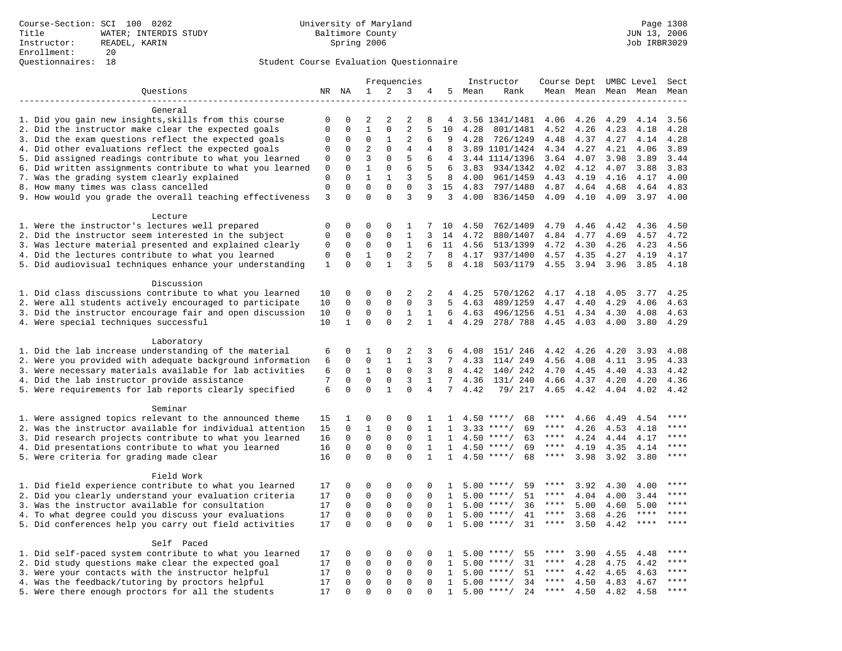|                                                                                                                     |                             |                          |                              |                  | Frequencies       |                   |              |              | Instructor                               | Course Dept UMBC Level |              |              |              | Sect         |
|---------------------------------------------------------------------------------------------------------------------|-----------------------------|--------------------------|------------------------------|------------------|-------------------|-------------------|--------------|--------------|------------------------------------------|------------------------|--------------|--------------|--------------|--------------|
| Questions                                                                                                           |                             | NR NA                    | $\mathbf{1}$                 | 2                | 3                 | 4                 | 5            | Mean         | Rank                                     |                        | Mean Mean    |              | Mean Mean    | Mean         |
|                                                                                                                     |                             |                          |                              |                  |                   |                   |              |              |                                          |                        |              |              |              |              |
| General                                                                                                             |                             |                          |                              |                  |                   |                   |              |              |                                          |                        |              |              |              |              |
| 1. Did you gain new insights, skills from this course                                                               | 0                           | 0                        | 2                            | 2                | 2                 | 8                 | 4            |              | 3.56 1341/1481                           | 4.06                   | 4.26         | 4.29         | 4.14         | 3.56         |
| 2. Did the instructor make clear the expected goals                                                                 | $\mathbf{0}$                | $\mathbf 0$              | $\mathbf{1}$                 | $\mathbf 0$      | $\overline{2}$    | 5                 | 10           | 4.28         | 801/1481                                 | 4.52                   | 4.26         | 4.23         | 4.18         | 4.28         |
| 3. Did the exam questions reflect the expected goals                                                                | 0                           | $\mathbf 0$              | 0                            | 1                | 2                 | 6                 | 9            | 4.28         | 726/1249                                 | 4.48                   | 4.37         | 4.27         | 4.14         | 4.28         |
| 4. Did other evaluations reflect the expected goals                                                                 | $\mathbf 0$                 | $\mathbf 0$              | $\overline{2}$               | $\Omega$         | $\overline{4}$    | 4                 | 8            |              | 3.89 1101/1424                           | 4.34                   | 4.27         | 4.21         | 4.06         | 3.89         |
| 5. Did assigned readings contribute to what you learned                                                             | $\mathbf 0$                 | $\mathbf 0$              | 3                            | $\mathbf 0$      | 5                 | 6                 | 4            |              | 3.44 1114/1396                           | 3.64                   | 4.07         | 3.98         | 3.89         | 3.44         |
| 6. Did written assignments contribute to what you learned                                                           | $\mathbf 0$                 | $\mathbf 0$              | $\mathbf{1}$<br>$\mathbf{1}$ | $\mathbf 0$      | 6                 | 5                 | 6            | 3.83         | 934/1342                                 | 4.02                   | 4.12         | 4.07         | 3.88         | 3.83         |
| 7. Was the grading system clearly explained                                                                         | $\mathbf 0$<br>$\mathbf{0}$ | $\Omega$<br>$\mathbf{0}$ | $\mathbf 0$                  | 1<br>$\mathbf 0$ | 3<br>$\mathbf{0}$ | 5<br>3            | 8            | 4.00         | 961/1459                                 | 4.43                   | 4.19         | 4.16         | 4.17         | 4.00         |
| 8. How many times was class cancelled<br>9. How would you grade the overall teaching effectiveness                  | 3                           | $\Omega$                 | $\Omega$                     | $\Omega$         | 3                 | 9                 | 15<br>3      | 4.83<br>4.00 | 797/1480<br>836/1450                     | 4.87<br>4.09           | 4.64<br>4.10 | 4.68<br>4.09 | 4.64<br>3.97 | 4.83<br>4.00 |
|                                                                                                                     |                             |                          |                              |                  |                   |                   |              |              |                                          |                        |              |              |              |              |
| Lecture                                                                                                             |                             |                          |                              |                  |                   |                   |              |              |                                          |                        |              |              |              |              |
| 1. Were the instructor's lectures well prepared                                                                     | $\mathbf 0$                 | $\mathbf 0$              | $\mathbf 0$                  | $\mathbf 0$      | 1                 |                   | 10           | 4.50         | 762/1409                                 | 4.79                   | 4.46         | 4.42         | 4.36         | 4.50         |
| 2. Did the instructor seem interested in the subject                                                                | $\mathbf{0}$                | $\mathbf 0$              | 0                            | $\mathbf{0}$     | $\mathbf{1}$      | 3                 | 14           | 4.72         | 880/1407                                 | 4.84                   | 4.77         | 4.69         | 4.57         | 4.72         |
| 3. Was lecture material presented and explained clearly                                                             | 0                           | $\mathbf 0$              | 0                            | $\mathbf 0$      | 1                 | 6                 | 11           | 4.56         | 513/1399                                 | 4.72                   | 4.30         | 4.26         | 4.23         | 4.56         |
| 4. Did the lectures contribute to what you learned                                                                  | $\mathbf 0$                 | $\mathbf 0$              | 1                            | $\mathbf{0}$     | $\overline{2}$    | 7                 | 8            | 4.17         | 937/1400                                 | 4.57                   | 4.35         | 4.27         | 4.19         | 4.17         |
| 5. Did audiovisual techniques enhance your understanding                                                            | $\mathbf{1}$                | $\Omega$                 | $\Omega$                     | $\mathbf{1}$     | 3                 | 5                 | 8            | 4.18         | 503/1179                                 | 4.55                   | 3.94         | 3.96         | 3.85         | 4.18         |
|                                                                                                                     |                             |                          |                              |                  |                   |                   |              |              |                                          |                        |              |              |              |              |
| Discussion                                                                                                          |                             |                          |                              |                  |                   |                   |              |              |                                          |                        |              |              |              |              |
| 1. Did class discussions contribute to what you learned                                                             | 10                          | $\mathbf 0$              | 0                            | $\mathbf{0}$     | 2                 | 2                 | 4            | 4.25         | 570/1262                                 | 4.17                   | 4.18         | 4.05         | 3.77         | 4.25         |
| 2. Were all students actively encouraged to participate                                                             | 10                          | $\mathbf 0$              | $\mathbf 0$                  | $\mathbf 0$      | $\mathbf 0$       | 3                 | 5            | 4.63         | 489/1259                                 | 4.47                   | 4.40         | 4.29         | 4.06         | 4.63         |
| 3. Did the instructor encourage fair and open discussion                                                            | 10                          | 0                        | $\mathbf 0$                  | 0                | $1\,$             | 1                 | 6            | 4.63         | 496/1256                                 | 4.51                   | 4.34         | 4.30         | 4.08         | 4.63         |
| 4. Were special techniques successful                                                                               | 10                          | $\mathbf{1}$             | $\Omega$                     | $\Omega$         | 2                 | $\mathbf{1}$      | 4            | 4.29         | 278/788                                  | 4.45                   | 4.03         | 4.00         | 3.80         | 4.29         |
|                                                                                                                     |                             |                          |                              |                  |                   |                   |              |              |                                          |                        |              |              |              |              |
| Laboratory                                                                                                          |                             |                          |                              |                  |                   |                   |              |              |                                          |                        |              |              |              |              |
| 1. Did the lab increase understanding of the material                                                               | 6                           | 0                        | 1                            | 0                | 2                 | 3                 | 6            | 4.08         | 151/ 246                                 | 4.42                   | 4.26         | 4.20         | 3.93         | 4.08         |
| 2. Were you provided with adequate background information                                                           | 6                           | $\mathbf 0$              | 0                            | $\mathbf{1}$     | $\mathbf{1}$      | 3                 | 7            | 4.33         | 114/ 249                                 | 4.56                   | 4.08         | 4.11         | 3.95         | 4.33         |
| 3. Were necessary materials available for lab activities                                                            | 6                           | $\mathbf 0$              | $\mathbf{1}$                 | $\mathbf 0$      | $\mathbf 0$       | 3                 | 8            | 4.42         | 140/242                                  | 4.70                   | 4.45         | 4.40         | 4.33         | 4.42         |
| 4. Did the lab instructor provide assistance                                                                        | 7                           | $\mathbf 0$              | $\mathbf 0$                  | $\mathbf 0$      | 3                 | $\mathbf{1}$      | 7            | 4.36         | 131/ 240                                 | 4.66                   | 4.37         | 4.20         | 4.20         | 4.36         |
| 5. Were requirements for lab reports clearly specified                                                              | 6                           | $\Omega$                 | $\Omega$                     | $\mathbf{1}$     | $\Omega$          | $\overline{4}$    | 7            | 4.42         | 79/ 217                                  | 4.65                   | 4.42         | 4.04         | 4.02         | 4.42         |
|                                                                                                                     |                             |                          |                              |                  |                   |                   |              |              |                                          |                        |              |              |              |              |
| Seminar                                                                                                             |                             |                          | 0                            | $\mathsf 0$      | $\Omega$          |                   | $\mathbf{1}$ |              |                                          | ****                   |              |              |              | ****         |
| 1. Were assigned topics relevant to the announced theme<br>2. Was the instructor available for individual attention | 15<br>15                    | 1<br>$\mathbf 0$         | $\mathbf{1}$                 | $\mathsf 0$      | $\mathbf 0$       | 1<br>$\mathbf{1}$ | 1            |              | 68<br>$4.50$ ****/<br>$3.33$ ****/<br>69 | $***$ * *              | 4.66<br>4.26 | 4.49<br>4.53 | 4.54<br>4.18 | ****         |
| 3. Did research projects contribute to what you learned                                                             | 16                          | $\mathbf 0$              | $\mathbf 0$                  | $\mathsf 0$      | $\mathbf 0$       | 1                 | 1            |              | 63<br>$4.50$ ****/                       | $***$ * * *            | 4.24         | 4.44         | 4.17         | ****         |
| 4. Did presentations contribute to what you learned                                                                 | 16                          | $\mathbf 0$              | $\mathbf 0$                  | $\mathbf 0$      | 0                 | $\mathbf{1}$      | 1            | 4.50         | $***/$<br>69                             | $***$ * *              | 4.19         | 4.35         | 4.14         | $***$        |
| 5. Were criteria for grading made clear                                                                             | 16                          | $\mathbf 0$              | $\Omega$                     | $\Omega$         | $\Omega$          | $\mathbf{1}$      | $\mathbf{1}$ |              | $4.50$ ****/<br>68                       | $***$ * * *            | 3.98         | 3.92         | 3.80         | ****         |
|                                                                                                                     |                             |                          |                              |                  |                   |                   |              |              |                                          |                        |              |              |              |              |
| Field Work                                                                                                          |                             |                          |                              |                  |                   |                   |              |              |                                          |                        |              |              |              |              |
| 1. Did field experience contribute to what you learned                                                              | 17                          | $\Omega$                 | $\Omega$                     | $\Omega$         | $\Omega$          | $\Omega$          | $\mathbf{1}$ |              | $5.00$ ****/<br>59                       | ****                   | 3.92         | 4.30         | 4.00         | ****         |
| 2. Did you clearly understand your evaluation criteria                                                              | 17                          | $\mathbf 0$              | $\mathbf 0$                  | $\mathbf 0$      | $\mathbf 0$       | $\mathbf 0$       | 1            | 5.00         | 51<br>****/                              | ****                   | 4.04         | 4.00         | 3.44         | $***$        |
| 3. Was the instructor available for consultation                                                                    | 17                          | $\mathbf 0$              | $\mathbf 0$                  | 0                | 0                 | $\mathbf 0$       | 1            |              | $5.00$ ****/<br>36                       | ****                   | 5.00         | 4.60         | 5.00         | ****         |
| 4. To what degree could you discuss your evaluations                                                                | 17                          | $\mathbf 0$              | $\mathbf 0$                  | $\mathbf{0}$     | $\mathbf 0$       | $\Omega$          | 1            |              | $5.00$ ****/<br>41                       | $***$ * *              | 3.68         | 4.26         | $***$ * * *  | $***$        |
| 5. Did conferences help you carry out field activities                                                              | 17                          | $\Omega$                 | $\Omega$                     | $\Omega$         | $\Omega$          | $\Omega$          | $\mathbf{1}$ | 5.00         | 31<br>$***/$                             | $***$ * *              | 3.50         | 4.42         | $***$ * * *  | ****         |
|                                                                                                                     |                             |                          |                              |                  |                   |                   |              |              |                                          |                        |              |              |              |              |
| Self Paced                                                                                                          |                             |                          |                              |                  |                   |                   |              |              |                                          |                        |              |              |              |              |
| 1. Did self-paced system contribute to what you learned                                                             | 17                          | $\Omega$                 | 0                            | $\mathsf 0$      | $\Omega$          | $\Omega$          | $\mathbf{1}$ |              | 55<br>$5.00$ ****/                       | ****                   | 3.90         | 4.55         | 4.48         | $***$ * * *  |
| 2. Did study questions make clear the expected goal                                                                 | 17                          | $\mathbf 0$              | $\mathbf 0$                  | $\mathbf 0$      | $\mathbf 0$       | $\mathbf{0}$      | 1            | 5.00         | $***/$<br>31                             | $***$ * *              | 4.28         | 4.75         | 4.42         | ****         |
| 3. Were your contacts with the instructor helpful                                                                   | 17                          | $\mathbf 0$              | $\mathbf 0$                  | $\mathbf 0$      | 0                 | $\Omega$          | 1            | 5.00         | 51<br>$***/$                             | ****                   | 4.42         | 4.65         | 4.63         | ****         |
| 4. Was the feedback/tutoring by proctors helpful                                                                    | 17                          | $\mathbf 0$              | $\mathbf 0$                  | $\mathbf 0$      | $\mathbf 0$       | $\Omega$          | $\mathbf{1}$ | 5.00         | $***/$<br>34                             | ****                   | 4.50         | 4.83         | 4.67         | ****         |
| 5. Were there enough proctors for all the students                                                                  | 17                          | $\Omega$                 | $\Omega$                     | $\Omega$         | $\Omega$          |                   | $\mathbf{1}$ |              | $5.00$ ****/<br>24                       | $***$ * * *            | 4.50         | 4.82         | 4.58         | ****         |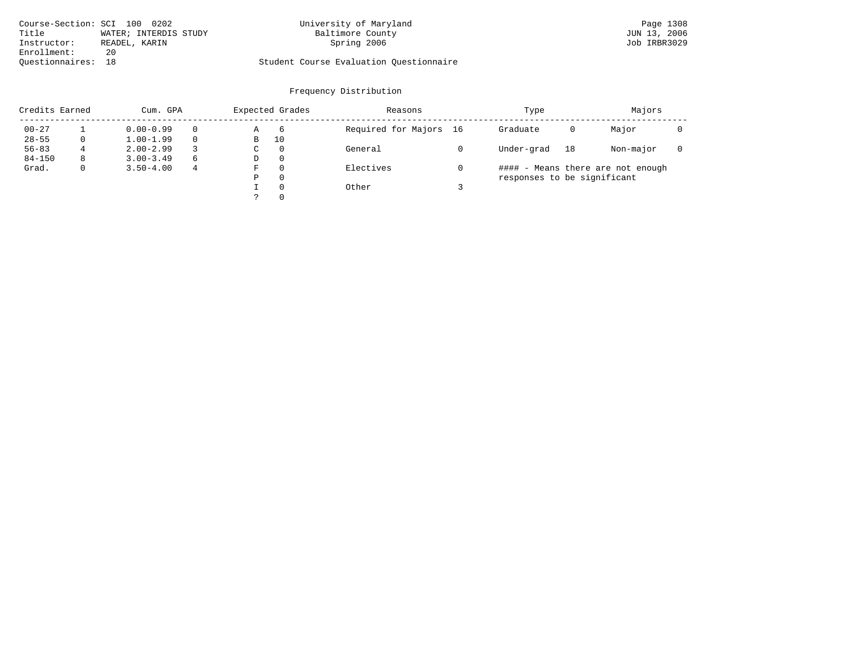| Course-Section: SCI 100 0202 |                       | University of Maryland                  | Page 1308    |
|------------------------------|-----------------------|-----------------------------------------|--------------|
| Title                        | WATER; INTERDIS STUDY | Baltimore County                        | JUN 13, 2006 |
| Instructor:                  | READEL, KARIN         | Spring 2006                             | Job IRBR3029 |
| Enrollment:                  | 20                    |                                         |              |
| Ouestionnaires: 18           |                       | Student Course Evaluation Questionnaire |              |

| Credits Earned |   | Cum. GPA      |          | Expected Grades |          | Reasons                | Type                        |    | Majors                            |  |
|----------------|---|---------------|----------|-----------------|----------|------------------------|-----------------------------|----|-----------------------------------|--|
| $00 - 27$      |   | $0.00 - 0.99$ | $\Omega$ | Α               | 6        | Required for Majors 16 | Graduate                    | 0  | Major                             |  |
| $28 - 55$      |   | $1.00 - 1.99$ |          | B               | 10       |                        |                             |    |                                   |  |
| $56 - 83$      | 4 | $2.00 - 2.99$ |          | C               | $\Omega$ | General                | Under-grad                  | 18 | Non-major                         |  |
| $84 - 150$     | 8 | $3.00 - 3.49$ | 6        | D               | -0       |                        |                             |    |                                   |  |
| Grad.          |   | $3.50 - 4.00$ | 4        | F               | $\Omega$ | Electives              |                             |    | #### - Means there are not enough |  |
|                |   |               |          | Ρ               | 0        |                        | responses to be significant |    |                                   |  |
|                |   |               |          |                 | $\Omega$ | Other                  |                             |    |                                   |  |
|                |   |               |          |                 | $\Omega$ |                        |                             |    |                                   |  |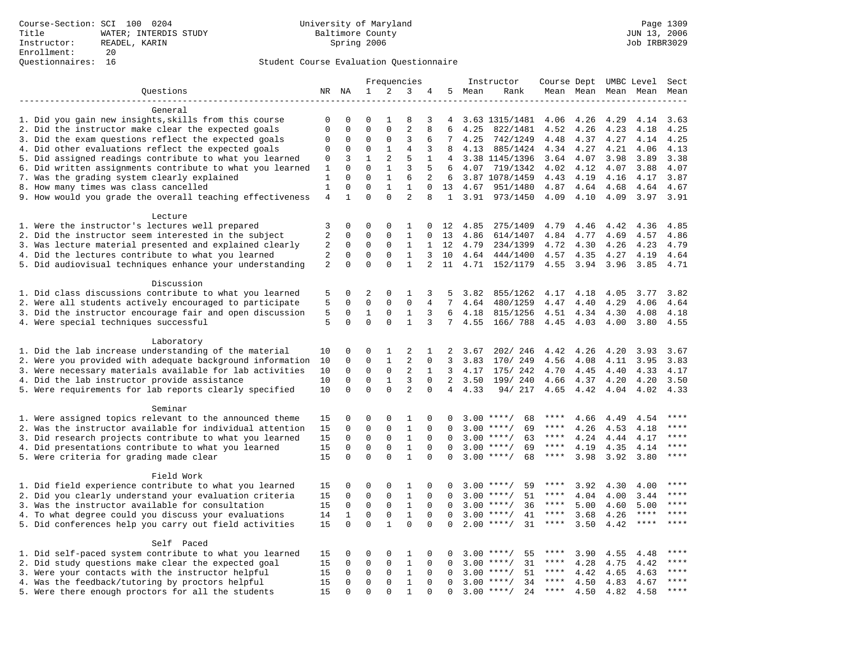|                                                           |                                |                             |                         |                          | Frequencies                    |                |                    |        | Instructor                | Course Dept UMBC Level |      |                     |             | Sect         |
|-----------------------------------------------------------|--------------------------------|-----------------------------|-------------------------|--------------------------|--------------------------------|----------------|--------------------|--------|---------------------------|------------------------|------|---------------------|-------------|--------------|
| Questions                                                 |                                | NR NA                       | 1                       | 2                        | 3                              | 4              |                    | 5 Mean | Rank                      |                        |      | Mean Mean Mean Mean |             | Mean         |
| -------------------                                       |                                |                             |                         |                          |                                |                |                    |        |                           |                        |      |                     |             |              |
| General                                                   |                                |                             |                         |                          |                                |                |                    |        |                           |                        |      |                     |             |              |
| 1. Did you gain new insights, skills from this course     | 0                              | 0                           | 0                       | 1                        | 8                              | 3              | 4                  |        | 3.63 1315/1481            | 4.06                   | 4.26 | 4.29                | 4.14        | 3.63         |
| 2. Did the instructor make clear the expected goals       | $\mathbf{0}$                   | $\mathbf 0$                 | $\mathbf 0$             | $\mathbf{0}$             | $\overline{2}$                 | 8              | 6                  | 4.25   | 822/1481                  | 4.52                   | 4.26 | 4.23                | 4.18        | 4.25         |
| 3. Did the exam questions reflect the expected goals      | $\mathbf 0$                    | $\mathbf 0$                 | $\Omega$                | $\mathbf 0$              | 3                              | 6              | 7                  | 4.25   | 742/1249                  | 4.48                   | 4.37 | 4.27                | 4.14        | 4.25         |
| 4. Did other evaluations reflect the expected goals       | 0                              | $\Omega$                    | $\Omega$                | $\mathbf{1}$             | $\overline{4}$                 | 3              | 8                  | 4.13   | 885/1424                  | 4.34                   | 4.27 | 4.21                | 4.06        | 4.13         |
| 5. Did assigned readings contribute to what you learned   | $\mathbf 0$                    | 3                           | $\mathbf{1}$            | 2                        | 5                              | $\mathbf{1}$   | 4                  |        | 3.38 1145/1396            | 3.64                   | 4.07 | 3.98                | 3.89        | 3.38         |
| 6. Did written assignments contribute to what you learned | 1                              | $\mathbf{0}$                | $\mathbf 0$             | $\mathbf{1}$             | 3                              | 5              | 6                  | 4.07   | 719/1342                  | 4.02                   | 4.12 | 4.07                | 3.88        | 4.07         |
| 7. Was the grading system clearly explained               | 1                              | $\Omega$                    | $\Omega$<br>$\mathbf 0$ | $\mathbf{1}$             | 6                              | 2              | 6                  |        | 3.87 1078/1459            | 4.43                   | 4.19 | 4.16                | 4.17        | 3.87         |
| 8. How many times was class cancelled                     | $\mathbf{1}$<br>$\overline{4}$ | $\mathbf 0$<br>$\mathbf{1}$ | $\Omega$                | $\mathbf{1}$<br>$\Omega$ | $\mathbf{1}$<br>$\overline{a}$ | $\Omega$<br>8  | 13<br>$\mathbf{1}$ | 4.67   | 951/1480<br>3.91 973/1450 | 4.87<br>4.09           | 4.64 | 4.68                | 4.64        | 4.67<br>3.91 |
| 9. How would you grade the overall teaching effectiveness |                                |                             |                         |                          |                                |                |                    |        |                           |                        | 4.10 | 4.09                | 3.97        |              |
| Lecture                                                   |                                |                             |                         |                          |                                |                |                    |        |                           |                        |      |                     |             |              |
| 1. Were the instructor's lectures well prepared           | 3                              | $\mathbf 0$                 | 0                       | $\mathbf 0$              | 1                              | 0              | 12                 | 4.85   | 275/1409                  | 4.79                   | 4.46 | 4.42                | 4.36        | 4.85         |
| 2. Did the instructor seem interested in the subject      | $\overline{2}$                 | 0                           | 0                       | $\mathbf 0$              | 1                              | 0              | 13                 | 4.86   | 614/1407                  | 4.84                   | 4.77 | 4.69                | 4.57        | 4.86         |
| 3. Was lecture material presented and explained clearly   | 2                              | 0                           | 0                       | $\mathbf 0$              | 1                              | 1              | 12                 | 4.79   | 234/1399                  | 4.72                   | 4.30 | 4.26                | 4.23        | 4.79         |
| 4. Did the lectures contribute to what you learned        | 2                              | $\Omega$                    | $\mathbf 0$             | $\Omega$                 | $\mathbf{1}$                   | 3              | 10                 | 4.64   | 444/1400                  | 4.57                   | 4.35 | 4.27                | 4.19        | 4.64         |
| 5. Did audiovisual techniques enhance your understanding  | 2                              | $\Omega$                    | $\Omega$                | $\Omega$                 | $\mathbf{1}$                   | $\overline{2}$ | 11                 | 4.71   | 152/1179                  | 4.55                   | 3.94 | 3.96                | 3.85        | 4.71         |
|                                                           |                                |                             |                         |                          |                                |                |                    |        |                           |                        |      |                     |             |              |
| Discussion                                                |                                |                             |                         |                          |                                |                |                    |        |                           |                        |      |                     |             |              |
| 1. Did class discussions contribute to what you learned   | 5                              | $\mathbf 0$                 | 2                       | $\mathbf{0}$             | 1                              | 3              | 5                  | 3.82   | 855/1262                  | 4.17                   | 4.18 | 4.05                | 3.77        | 3.82         |
| 2. Were all students actively encouraged to participate   | 5                              | 0                           | $\mathbf 0$             | $\mathbf 0$              | $\mathbf 0$                    | 4              | $7\overline{ }$    | 4.64   | 480/1259                  | 4.47                   | 4.40 | 4.29                | 4.06        | 4.64         |
| 3. Did the instructor encourage fair and open discussion  | 5                              | $\mathbf 0$                 | 1                       | $\mathbf 0$              | $\mathbf{1}$                   | 3              | 6                  | 4.18   | 815/1256                  | 4.51                   | 4.34 | 4.30                | 4.08        | 4.18         |
| 4. Were special techniques successful                     | 5                              | $\Omega$                    | $\Omega$                | $\Omega$                 | $\mathbf{1}$                   | 3              | $7\phantom{.0}$    | 4.55   | 166/788                   | 4.45                   | 4.03 | 4.00                | 3.80        | 4.55         |
|                                                           |                                |                             |                         |                          |                                |                |                    |        |                           |                        |      |                     |             |              |
| Laboratory                                                |                                |                             |                         |                          |                                |                |                    |        |                           |                        |      |                     |             |              |
| 1. Did the lab increase understanding of the material     | 10                             | 0                           | 0                       | 1                        | 2                              | $\mathbf{1}$   | 2                  | 3.67   | 202/246                   | 4.42                   | 4.26 | 4.20                | 3.93        | 3.67         |
| 2. Were you provided with adequate background information | 10                             | 0                           | $\mathbf 0$             | $\mathbf{1}$             | $\overline{2}$                 | 0              | 3                  | 3.83   | 170/ 249                  | 4.56                   | 4.08 | 4.11                | 3.95        | 3.83         |
| 3. Were necessary materials available for lab activities  | 10                             | $\mathbf 0$                 | 0                       | 0                        | 2                              | 1              | 3                  | 4.17   | 175/ 242                  | 4.70                   | 4.45 | 4.40                | 4.33        | 4.17         |
| 4. Did the lab instructor provide assistance              | 10                             | $\Omega$                    | $\mathbf 0$             | $\mathbf{1}$             | 3                              | $\Omega$       | $\overline{2}$     | 3.50   | 199/ 240                  | 4.66                   | 4.37 | 4.20                | 4.20        | 3.50         |
| 5. Were requirements for lab reports clearly specified    | 10                             | $\Omega$                    | $\Omega$                | $\Omega$                 | $\overline{a}$                 | $\Omega$       | $\overline{4}$     | 4.33   | 94/ 217                   | 4.65                   | 4.42 | 4.04                | 4.02        | 4.33         |
| Seminar                                                   |                                |                             |                         |                          |                                |                |                    |        |                           |                        |      |                     |             |              |
| 1. Were assigned topics relevant to the announced theme   | 15                             | $\mathbf 0$                 | 0                       | $\mathbf{0}$             | 1                              | 0              | 0                  |        | $3.00$ ****/<br>68        | ****                   | 4.66 | 4.49                | 4.54        | ****         |
| 2. Was the instructor available for individual attention  | 15                             | $\mathbf 0$                 | 0                       | $\mathsf 0$              | $\mathbf{1}$                   | $\mathbf 0$    | 0                  |        | $3.00$ ****/<br>69        | $***$ * *              | 4.26 | 4.53                | 4.18        |              |
| 3. Did research projects contribute to what you learned   | 15                             | $\mathbf 0$                 | $\mathbf 0$             | $\mathbf{0}$             | $\mathbf{1}$                   | $\mathbf 0$    | 0                  |        | $3.00$ ****/<br>63        | ****                   | 4.24 | 4.44                | 4.17        | ****         |
| 4. Did presentations contribute to what you learned       | 15                             | $\mathbf 0$                 | $\mathbf 0$             | $\mathbf 0$              | 1                              | $\mathbf 0$    | $\Omega$           |        | $3.00$ ****/<br>69        | $***$ * * *            | 4.19 | 4.35                | 4.14        | $***$        |
| 5. Were criteria for grading made clear                   | 15                             | $\Omega$                    | $\Omega$                | $\Omega$                 | $\mathbf{1}$                   | $\Omega$       | $\Omega$           |        | $3.00$ ****/<br>68        | ****                   | 3.98 | 3.92                | 3.80        | ****         |
|                                                           |                                |                             |                         |                          |                                |                |                    |        |                           |                        |      |                     |             |              |
| Field Work                                                |                                |                             |                         |                          |                                |                |                    |        |                           |                        |      |                     |             |              |
| 1. Did field experience contribute to what you learned    | 15                             | 0                           | 0                       | $\mathbf 0$              | 1                              | 0              | 0                  |        | $3.00$ ****/<br>59        | ****                   | 3.92 | 4.30                | 4.00        |              |
| 2. Did you clearly understand your evaluation criteria    | 15                             | $\mathbf 0$                 | $\mathbf 0$             | 0                        | 1                              | 0              | $\Omega$           |        | $3.00$ ****/<br>51        | ****                   | 4.04 | 4.00                | 3.44        | ****         |
| 3. Was the instructor available for consultation          | 15                             | 0                           | $\mathbf 0$             | $\mathbf 0$              | $\mathbf{1}$                   | $\mathbf 0$    | $\Omega$           |        | $3.00$ ****/<br>36        | ****                   | 5.00 | 4.60                | 5.00        | $***$ * * *  |
| 4. To what degree could you discuss your evaluations      | 14                             | 1                           | $\mathbf 0$             | $\mathbf{0}$             | $\mathbf{1}$                   | $\Omega$       | $\Omega$           |        | $3.00$ ****/<br>41        | $***$ * *              | 3.68 | 4.26                | ****        | $***$        |
| 5. Did conferences help you carry out field activities    | 15                             | $\Omega$                    | $\Omega$                | $\mathbf{1}$             | $\Omega$                       | $\Omega$       | $\Omega$           | 2.00   | 31<br>$***$ /             | $***$ * *              | 3.50 | 4.42                | $***$ * * * | $***$ * * *  |
|                                                           |                                |                             |                         |                          |                                |                |                    |        |                           |                        |      |                     |             |              |
| Self Paced                                                |                                |                             |                         |                          |                                |                |                    |        |                           |                        |      |                     |             |              |
| 1. Did self-paced system contribute to what you learned   | 15                             | 0                           | 0                       | 0                        | 1                              | 0              | 0                  | 3.00   | $***$ /<br>55             | ****                   | 3.90 | 4.55                | 4.48        | $***$        |
| 2. Did study questions make clear the expected goal       | 15                             | $\mathbf 0$                 | $\mathbf 0$             | $\mathbf 0$              | $\mathbf{1}$                   | 0              | $\mathbf 0$        |        | $3.00$ ****/<br>31        | ****                   | 4.28 | 4.75                | 4.42        | ****         |
| 3. Were your contacts with the instructor helpful         | 15                             | $\Omega$                    | 0                       | 0                        | 1                              | $\Omega$       | $\Omega$           | 3.00   | $***/$<br>51              | ****                   | 4.42 | 4.65                | 4.63        | ****         |
| 4. Was the feedback/tutoring by proctors helpful          | 15                             | $\mathbf 0$                 | $\mathbf 0$             | $\mathbf 0$              | $\mathbf{1}$                   | $\mathbf 0$    | $\Omega$           |        | $3.00$ ****/<br>34        | ****                   | 4.50 | 4.83                | 4.67        | ****         |
| 5. Were there enough proctors for all the students        | 15                             | $\Omega$                    | $\mathbf 0$             | $\Omega$                 | 1                              | $\Omega$       | $\Omega$           |        | $3.00$ ****/<br>24        | $***$ * * *            | 4.50 | 4.82                | 4.58        | $***$        |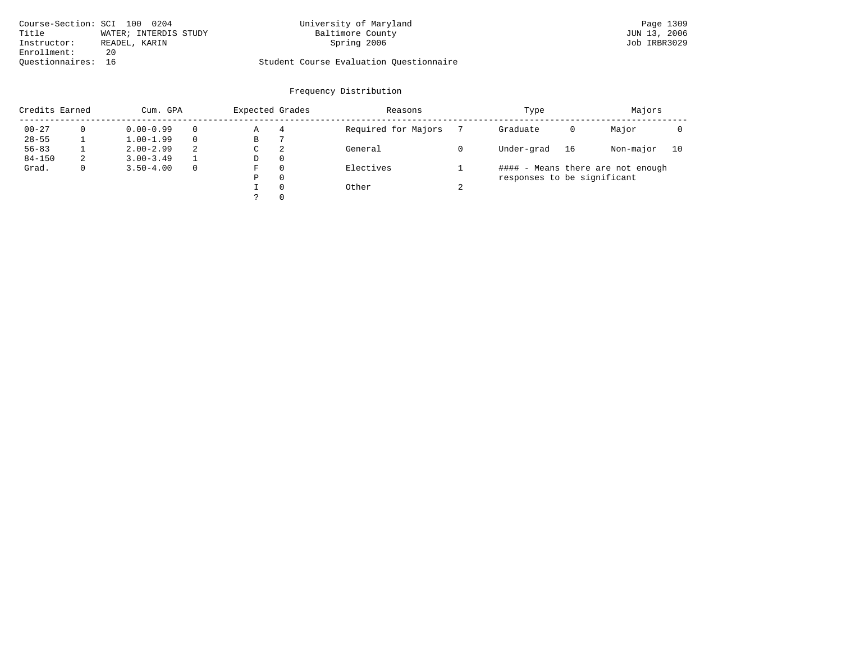| Course-Section: SCI 100 0204 |                       | University of Maryland                  | Page 1309    |
|------------------------------|-----------------------|-----------------------------------------|--------------|
| Title                        | WATER; INTERDIS STUDY | Baltimore County                        | JUN 13, 2006 |
| Instructor:                  | READEL, KARIN         | Spring 2006                             | Job IRBR3029 |
| Enrollment:                  | 20                    |                                         |              |
| Ouestionnaires: 16           |                       | Student Course Evaluation Questionnaire |              |

| Credits Earned |   | Cum. GPA      |          | Expected Grades |          | Reasons             |        | Type                        |    | Majors                            |    |
|----------------|---|---------------|----------|-----------------|----------|---------------------|--------|-----------------------------|----|-----------------------------------|----|
| $00 - 27$      |   | $0.00 - 0.99$ | $\Omega$ | Α               | 4        | Required for Majors |        | Graduate                    | 0  | Major                             |    |
| $28 - 55$      |   | $1.00 - 1.99$ | $\Omega$ | В               |          |                     |        |                             |    |                                   |    |
| $56 - 83$      |   | $2.00 - 2.99$ | 2        | C               | 2        | General             |        | Under-grad                  | 16 | Non-major                         | 10 |
| $84 - 150$     | 2 | $3.00 - 3.49$ |          | D               | $\Omega$ |                     |        |                             |    |                                   |    |
| Grad.          |   | $3.50 - 4.00$ | $\Omega$ | F               | $\Omega$ | Electives           |        |                             |    | #### - Means there are not enough |    |
|                |   |               |          | Ρ               | 0        |                     |        | responses to be significant |    |                                   |    |
|                |   |               |          |                 | $\Omega$ | Other               | $\sim$ |                             |    |                                   |    |
|                |   |               |          |                 | $\Omega$ |                     |        |                             |    |                                   |    |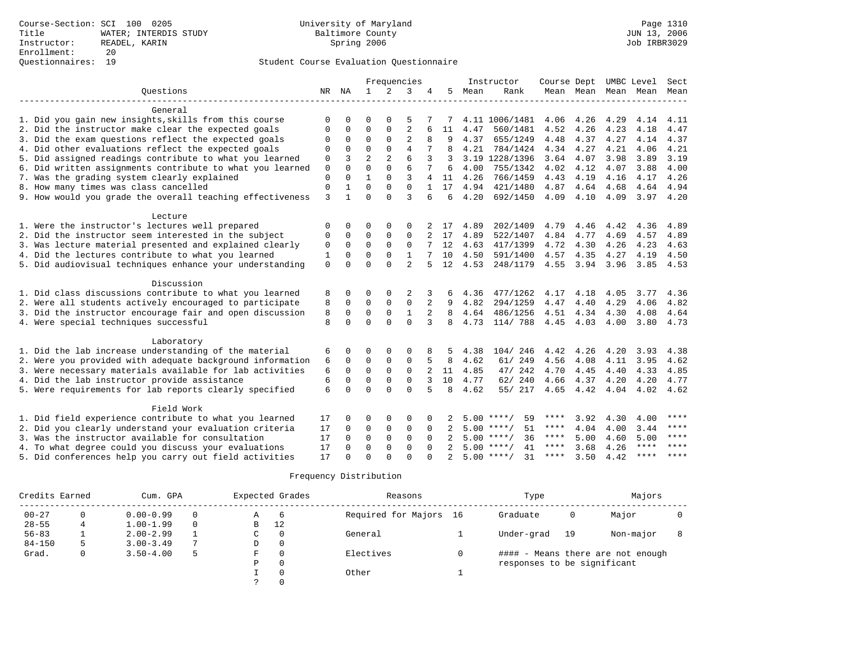|                                                           |              |              |                |                | Frequencies    |          |               |      | Instructor         | Course Dept |           |      | UMBC Level               | Sect  |
|-----------------------------------------------------------|--------------|--------------|----------------|----------------|----------------|----------|---------------|------|--------------------|-------------|-----------|------|--------------------------|-------|
| Questions                                                 | NR           | ΝA           | $\mathbf{1}$   | 2              | 3              |          | 5             | Mean | Rank               |             |           |      | Mean Mean Mean Mean Mean |       |
|                                                           |              |              |                |                |                |          |               |      |                    |             |           |      |                          |       |
| General                                                   |              |              |                |                |                |          |               |      |                    |             |           |      |                          |       |
| 1. Did you gain new insights, skills from this course     | $\cap$       |              | ∩              |                |                |          |               |      | 4.11 1006/1481     | 4.06        | 4.26      | 4.29 | 4.14                     | 4.11  |
| 2. Did the instructor make clear the expected goals       | $\Omega$     | $\Omega$     | $\mathbf 0$    | $\mathbf{0}$   | $\overline{2}$ |          | 11            | 4.47 | 560/1481           | 4.52        | 4.26      | 4.23 | 4.18                     | 4.47  |
| 3. Did the exam questions reflect the expected goals      | $\Omega$     | $\mathbf{0}$ | $\mathbf 0$    | $\mathbf 0$    | $\overline{2}$ |          | 9             | 4.37 | 655/1249           | 4.48        | 4.37      | 4.27 | 4.14                     | 4.37  |
| 4. Did other evaluations reflect the expected goals       | $\Omega$     | $\Omega$     | $\Omega$       | $\Omega$       | $\overline{4}$ |          | 8             | 4.21 | 784/1424           | 4.34        | 4.27      | 4.21 | 4.06                     | 4.21  |
| 5. Did assigned readings contribute to what you learned   | $\mathbf{0}$ | 3            | $\overline{2}$ | $\overline{a}$ | 6              | 3        | 3             |      | 3.19 1228/1396     | 3.64 4.07   |           | 3.98 | 3.89                     | 3.19  |
| 6. Did written assignments contribute to what you learned | $\mathbf{0}$ | $\Omega$     | $\Omega$       | $\Omega$       | 6              | 7        | 6             | 4.00 | 755/1342           | 4.02        | 4.12      | 4.07 | 3.88                     | 4.00  |
| 7. Was the grading system clearly explained               | $\mathbf{0}$ | $\Omega$     |                | $\Omega$       | 3              | 4        | 11            | 4.26 | 766/1459           | 4.43        | 4.19      | 4.16 | 4.17                     | 4.26  |
| 8. How many times was class cancelled                     | $\mathbf{0}$ |              | $\Omega$       | $\Omega$       | $\Omega$       |          | 17            | 4.94 | 421/1480           | 4.87        | 4.64      | 4.68 | 4.64                     | 4.94  |
| 9. How would you grade the overall teaching effectiveness | 3            | $\mathbf{1}$ | $\Omega$       | $\cap$         | $\mathbf{3}$   | б.       | 6             | 4.20 | 692/1450           | 4.09        | 4.10      | 4.09 | 3.97                     | 4.20  |
| Lecture                                                   |              |              |                |                |                |          |               |      |                    |             |           |      |                          |       |
| 1. Were the instructor's lectures well prepared           | 0            | 0            | $\Omega$       | $\mathbf 0$    | $\Omega$       |          | 17            | 4.89 | 202/1409           | 4.79        | 4.46      | 4.42 | 4.36                     | 4.89  |
| 2. Did the instructor seem interested in the subject      | 0            | $\mathbf 0$  | $\Omega$       | $\Omega$       | $\Omega$       |          | 17            | 4.89 | 522/1407           | 4.84        | 4.77      | 4.69 | 4.57                     | 4.89  |
| 3. Was lecture material presented and explained clearly   | 0            | $\mathbf 0$  | $\Omega$       | $\Omega$       | $\Omega$       |          | 12            | 4.63 | 417/1399           | 4.72        | 4.30      | 4.26 | 4.23                     | 4.63  |
| 4. Did the lectures contribute to what you learned        | 1            | $\Omega$     | $\Omega$       | $\Omega$       | $\mathbf{1}$   |          | 10            | 4.50 | 591/1400           | 4.57        | 4.35      | 4.27 | 4.19                     | 4.50  |
| 5. Did audiovisual techniques enhance your understanding  | $\mathbf 0$  | $\Omega$     | $\Omega$       | $\Omega$       | $\overline{a}$ |          | 12            | 4.53 | 248/1179           | 4.55        | 3.94 3.96 |      | 3.85                     | 4.53  |
|                                                           |              |              |                |                |                |          |               |      |                    |             |           |      |                          |       |
| Discussion                                                |              |              |                |                |                |          |               |      |                    |             |           |      |                          |       |
| 1. Did class discussions contribute to what you learned   | 8            | 0            | $\Omega$       | $\Omega$       | 2              | 3        |               | 4.36 | 477/1262           | 4.17        | 4.18      | 4.05 | 3.77                     | 4.36  |
| 2. Were all students actively encouraged to participate   | 8            | $\Omega$     | $\mathbf 0$    | $\mathbf{0}$   | $\mathbf 0$    | 2        | 9             | 4.82 | 294/1259           | 4.47        | 4.40      | 4.29 | 4.06                     | 4.82  |
| 3. Did the instructor encourage fair and open discussion  | 8            | $\mathbf 0$  | $\mathbf 0$    | $\mathbf{0}$   | $\mathbf{1}$   |          | 8             | 4.64 | 486/1256           |             | 4.51 4.34 | 4.30 | 4.08                     | 4.64  |
| 4. Were special techniques successful                     | 8            | $\Omega$     | $\Omega$       | $\Omega$       | $\Omega$       | 3        | 8             | 4.73 | 114/ 788           | 4.45 4.03   |           | 4.00 | 3.80                     | 4.73  |
| Laboratory                                                |              |              |                |                |                |          |               |      |                    |             |           |      |                          |       |
| 1. Did the lab increase understanding of the material     | 6            | 0            |                | $\Omega$       | 0              |          |               | 4.38 | 104/246            | 4.42        | 4.26      | 4.20 | 3.93                     | 4.38  |
| 2. Were you provided with adequate background information | 6            | $\Omega$     | $\mathbf 0$    | $\mathbf 0$    | $\mathbf{0}$   |          | 8             | 4.62 | 61/ 249            | 4.56        | 4.08      | 4.11 | 3.95                     | 4.62  |
| 3. Were necessary materials available for lab activities  | 6            | $\Omega$     | $\Omega$       | $\mathbf 0$    | $\mathbf 0$    | 2        | 11            | 4.85 | 47/ 242            | 4.70        | 4.45      | 4.40 | 4.33                     | 4.85  |
| 4. Did the lab instructor provide assistance              | 6            | $\Omega$     | $\Omega$       | $\mathbf{0}$   | $\mathbf{0}$   | 3        | 10            | 4.77 | 62/240             | 4.66        | 4.37      | 4.20 | 4.20                     | 4.77  |
| 5. Were requirements for lab reports clearly specified    | 6            | $\Omega$     | $\Omega$       | $\Omega$       | $\Omega$       |          | $\mathsf{R}$  | 4.62 | 55/ 217            | 4.65        | 4.42      | 4.04 | 4.02                     | 4.62  |
|                                                           |              |              |                |                |                |          |               |      |                    |             |           |      |                          |       |
| Field Work                                                |              |              |                |                |                |          |               |      |                    |             |           |      |                          |       |
| 1. Did field experience contribute to what you learned    | 17           | 0            | 0              | $\mathbf 0$    | $\Omega$       |          |               |      | $5.00$ ****/<br>59 | ****        | 3.92      | 4.30 | 4.00                     | ****  |
| 2. Did you clearly understand your evaluation criteria    | 17           | $\Omega$     | $\mathbf 0$    | $\mathbf 0$    | $\Omega$       | $\Omega$ |               |      | $5.00$ ****/<br>51 | ****        | 4.04      | 4.00 | 3.44                     | ****  |
| 3. Was the instructor available for consultation          | 17           | $\Omega$     | $\Omega$       | $\Omega$       | $\Omega$       | $\Omega$ |               |      | $5.00$ ****/<br>36 | $***$ * *   | 5.00      | 4.60 | 5.00                     | ****  |
| 4. To what degree could you discuss your evaluations      | 17           | $\Omega$     | $\Omega$       | $\Omega$       | $\Omega$       | $\Omega$ |               |      | $5.00$ ****/<br>41 | ****        | 3.68      | 4.26 | $***$ * * *              | $***$ |
| 5. Did conferences help you carry out field activities    | 17           | $\cap$       | $\Omega$       | $\cap$         | $\cap$         |          | $\mathcal{D}$ |      | 31<br>$5.00$ ****/ | ****        | 3.50      | 4.42 | ****                     | $***$ |

| Credits Earned |   | Cum. GPA      |          |   | Expected Grades | Reasons                | Type                        |    | Majors                            |  |
|----------------|---|---------------|----------|---|-----------------|------------------------|-----------------------------|----|-----------------------------------|--|
| $00 - 27$      |   | $0.00 - 0.99$ |          | Α | -6              | Required for Majors 16 | Graduate                    | 0  | Major                             |  |
| $28 - 55$      | 4 | $1.00 - 1.99$ | $\Omega$ | B | 12              |                        |                             |    |                                   |  |
| $56 - 83$      |   | $2.00 - 2.99$ |          | C | 0               | General                | Under-grad                  | 19 | Non-major                         |  |
| $84 - 150$     |   | $3.00 - 3.49$ | 7        | D | 0               |                        |                             |    |                                   |  |
| Grad.          |   | $3.50 - 4.00$ | 5        | F | 0               | Electives              |                             |    | #### - Means there are not enough |  |
|                |   |               |          | Ρ | $\Omega$        |                        | responses to be significant |    |                                   |  |
|                |   |               |          |   | 0               | Other                  |                             |    |                                   |  |
|                |   |               |          |   |                 |                        |                             |    |                                   |  |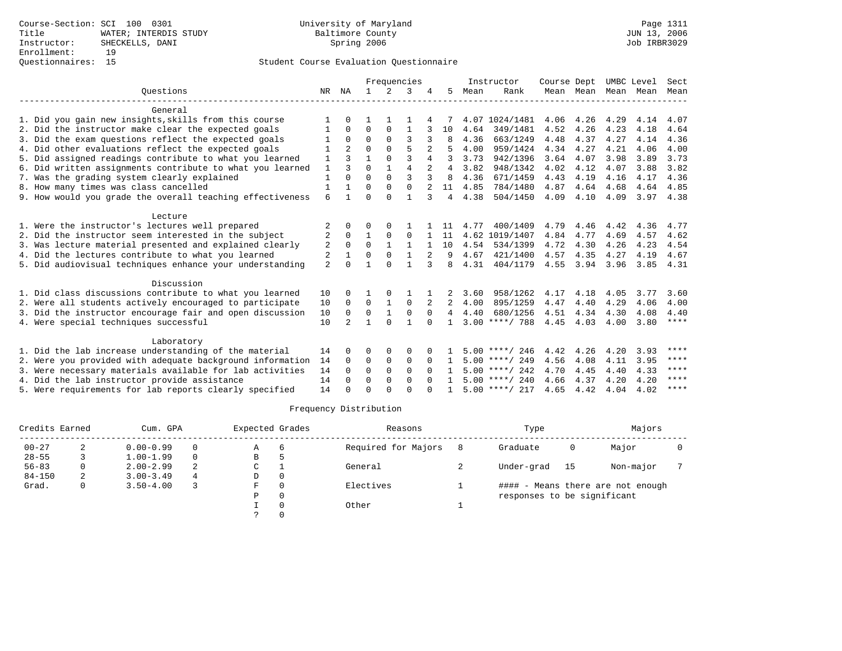|                                                           |                |                | Frequencies  |               |                |          |    | Instructor | Course Dept      |      | UMBC Level |      | Sect |             |
|-----------------------------------------------------------|----------------|----------------|--------------|---------------|----------------|----------|----|------------|------------------|------|------------|------|------|-------------|
| Ouestions                                                 | NR             | ΝA             | $\mathbf{1}$ | $\mathcal{L}$ | 3              |          | 5. | Mean       | Rank             |      | Mean Mean  | Mean | Mean | Mean        |
| General                                                   |                |                |              |               |                |          |    |            |                  |      |            |      |      |             |
| 1. Did you gain new insights, skills from this course     |                |                |              |               |                |          |    |            | 4.07 1024/1481   | 4.06 | 4.26       | 4.29 | 4.14 | 4.07        |
| 2. Did the instructor make clear the expected goals       |                | $\Omega$       | $\Omega$     | $\Omega$      | 1              |          | 10 | 4.64       | 349/1481         | 4.52 | 4.26       | 4.23 | 4.18 | 4.64        |
| 3. Did the exam questions reflect the expected goals      |                | $\Omega$       | $\Omega$     | $\Omega$      | 3              | 3        |    | 4.36       | 663/1249         | 4.48 | 4.37       | 4.27 | 4.14 | 4.36        |
| 4. Did other evaluations reflect the expected goals       |                | $\mathfrak{D}$ | $\Omega$     | $\Omega$      | 5              |          |    | 4.00       | 959/1424         | 4.34 | 4.27       | 4.21 | 4.06 | 4.00        |
| 5. Did assigned readings contribute to what you learned   |                | 3              | 1            | 0             | 3              | 4        | 3  | 3.73       | 942/1396         | 3.64 | 4.07       | 3.98 | 3.89 | 3.73        |
| 6. Did written assignments contribute to what you learned | 1              | ζ              | $\Omega$     | $\mathbf{1}$  | $\overline{4}$ | 2        | 4  | 3.82       | 948/1342         | 4.02 | 4.12       | 4.07 | 3.88 | 3.82        |
| 7. Was the grading system clearly explained               | $\mathbf{1}$   | $\Omega$       | $\Omega$     | $\Omega$      | 3              | 3        | 8  | 4.36       | 671/1459         | 4.43 | 4.19       | 4.16 | 4.17 | 4.36        |
| 8. How many times was class cancelled                     | 1              |                | $\Omega$     | $\Omega$      | $\Omega$       |          | 11 | 4.85       | 784/1480         | 4.87 | 4.64       | 4.68 | 4.64 | 4.85        |
| 9. How would you grade the overall teaching effectiveness | 6              |                | $\Omega$     | $\cap$        | $\mathbf{1}$   | 3        | 4  | 4.38       | 504/1450         | 4.09 | 4.10       | 4.09 | 3.97 | 4.38        |
| Lecture                                                   |                |                |              |               |                |          |    |            |                  |      |            |      |      |             |
| 1. Were the instructor's lectures well prepared           | 2              | <sup>0</sup>   | O            | $\Omega$      |                |          |    | 4.77       | 400/1409         | 4.79 | 4.46       | 4.42 | 4.36 | 4.77        |
| 2. Did the instructor seem interested in the subject      | 2              | $\Omega$       | $\mathbf{1}$ | $\Omega$      | $\Omega$       |          | 11 |            | 4.62 1019/1407   | 4.84 | 4.77       | 4.69 | 4.57 | 4.62        |
| 3. Was lecture material presented and explained clearly   | 2              | $\Omega$       | $\Omega$     |               | $\mathbf{1}$   |          | 10 | 4.54       | 534/1399         | 4.72 | 4.30       | 4.26 | 4.23 | 4.54        |
| 4. Did the lectures contribute to what you learned        | 2              |                | $\Omega$     | $\Omega$      | $\mathbf{1}$   |          | 9  | 4.67       | 421/1400         | 4.57 | 4.35       | 4.27 | 4.19 | 4.67        |
| 5. Did audiovisual techniques enhance your understanding  | $\overline{a}$ | <sup>n</sup>   | 1            | $\cap$        |                | 3        | 8  | 4.31       | 404/1179         | 4.55 | 3.94       | 3.96 | 3.85 | 4.31        |
| Discussion                                                |                |                |              |               |                |          |    |            |                  |      |            |      |      |             |
| 1. Did class discussions contribute to what you learned   | 10             | <sup>0</sup>   |              | $\Omega$      |                |          |    | 3.60       | 958/1262         | 4.17 | 4.18       | 4.05 | 3.77 | 3.60        |
| 2. Were all students actively encouraged to participate   | 10             | $\Omega$       | $\Omega$     |               | $\Omega$       | 2        | 2  | 4.00       | 895/1259         | 4.47 | 4.40       | 4.29 | 4.06 | 4.00        |
| 3. Did the instructor encourage fair and open discussion  | 10             | $\Omega$       | $\Omega$     | $\mathbf{1}$  | $\Omega$       | $\Omega$ | 4  | 4.40       | 680/1256         | 4.51 | 4.34       | 4.30 | 4.08 | 4.40        |
| 4. Were special techniques successful                     | 10             | $\mathfrak{D}$ | 1            | $\Omega$      | 1              | $\Omega$ |    |            | $3.00$ ****/ 788 | 4.45 | 4.03       | 4.00 | 3.80 | $***$ * * * |
| Laboratory                                                |                |                |              |               |                |          |    |            |                  |      |            |      |      |             |
| 1. Did the lab increase understanding of the material     | 14             | <sup>0</sup>   | O            | $\Omega$      | $\Omega$       |          |    |            | $5.00$ ****/ 246 | 4.42 | 4.26       | 4.20 | 3.93 | ****        |
| 2. Were you provided with adequate background information | 14             | 0              | 0            | $\mathbf 0$   | $\mathbf 0$    | $\Omega$ |    |            | $5.00$ ****/ 249 | 4.56 | 4.08       | 4.11 | 3.95 | ****        |
| 3. Were necessary materials available for lab activities  | 14             | $\Omega$       | $\Omega$     | $\Omega$      | $\Omega$       | $\Omega$ |    |            | $5.00$ ****/ 242 | 4.70 | 4.45       | 4.40 | 4.33 | ****        |
| 4. Did the lab instructor provide assistance              | 14             | $\Omega$       | $\Omega$     | $\Omega$      | $\Omega$       | $\Omega$ |    |            | $5.00$ ****/ 240 | 4.66 | 4.37       | 4.20 | 4.20 | ****        |
| 5. Were requirements for lab reports clearly specified    | 14             |                | $\Omega$     | $\cap$        | $\Omega$       | ∩        |    |            | $5.00$ ****/ 217 | 4.65 | 4.42       | 4.04 | 4.02 | ****        |

| Credits Earned |   | Cum. GPA      |          | Expected Grades |   | Reasons             |    | Type                        |    | Majors                            |  |
|----------------|---|---------------|----------|-----------------|---|---------------------|----|-----------------------------|----|-----------------------------------|--|
| $00 - 27$      |   | $0.00 - 0.99$ | $\Omega$ | Α               | 6 | Required for Majors | -8 | Graduate                    | 0  | Major                             |  |
| $28 - 55$      |   | $1.00 - 1.99$ | $\Omega$ | В               |   |                     |    |                             |    |                                   |  |
| $56 - 83$      |   | $2.00 - 2.99$ | 2        | C               |   | General             |    | Under-grad                  | 15 | Non-major                         |  |
| $84 - 150$     | 2 | $3.00 - 3.49$ | 4        | D               |   |                     |    |                             |    |                                   |  |
| Grad.          | 0 | $3.50 - 4.00$ |          | F               |   | Electives           |    |                             |    | #### - Means there are not enough |  |
|                |   |               |          | P               |   |                     |    | responses to be significant |    |                                   |  |
|                |   |               |          |                 |   | Other               |    |                             |    |                                   |  |
|                |   |               |          |                 |   |                     |    |                             |    |                                   |  |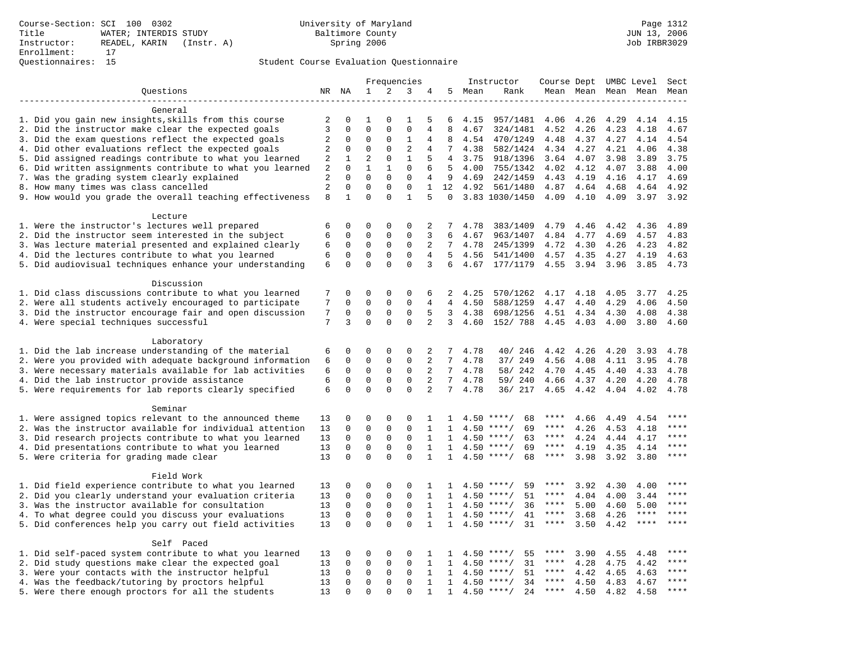|                                                                    |                     |                             |                         |                          | Frequencies             |                   |                 |        | Instructor         | Course Dept UMBC Level |      |                     |             | Sect        |
|--------------------------------------------------------------------|---------------------|-----------------------------|-------------------------|--------------------------|-------------------------|-------------------|-----------------|--------|--------------------|------------------------|------|---------------------|-------------|-------------|
| Questions                                                          |                     | NR NA                       | 1                       | 2                        | 3                       | 4                 |                 | 5 Mean | Rank               |                        |      | Mean Mean Mean Mean |             | Mean        |
|                                                                    |                     |                             |                         |                          |                         |                   |                 |        |                    |                        |      |                     |             |             |
| General                                                            |                     |                             |                         |                          |                         |                   |                 |        |                    |                        |      |                     |             |             |
| 1. Did you gain new insights, skills from this course              | 2                   | $\mathbf 0$                 | 1                       | $\Omega$                 | 1                       | 5                 | 6               | 4.15   | 957/1481           | 4.06                   | 4.26 | 4.29                | 4.14        | 4.15        |
| 2. Did the instructor make clear the expected goals                | 3                   | $\mathbf 0$                 | $\mathbf 0$             | $\Omega$                 | $\mathbf 0$             | 4                 | 8               | 4.67   | 324/1481           | 4.52                   | 4.26 | 4.23                | 4.18        | 4.67        |
| 3. Did the exam questions reflect the expected goals               | $\overline{c}$      | $\Omega$                    | $\Omega$                | $\Omega$                 | 1                       | 4                 | 8               | 4.54   | 470/1249           | 4.48                   | 4.37 | 4.27                | 4.14        | 4.54        |
| 4. Did other evaluations reflect the expected goals                | 2                   | $\mathbf 0$                 | $\mathbf 0$             | $\mathbf 0$              | $\overline{2}$          | 4                 | $7\overline{ }$ | 4.38   | 582/1424           | 4.34                   | 4.27 | 4.21                | 4.06        | 4.38        |
| 5. Did assigned readings contribute to what you learned            | 2                   | $\mathbf{1}$                | $\overline{2}$          | $\mathbf 0$              | $\mathbf{1}$            | 5                 | 4               | 3.75   | 918/1396           | 3.64                   | 4.07 | 3.98                | 3.89        | 3.75        |
| 6. Did written assignments contribute to what you learned          | 2                   | $\mathbf 0$                 | $\mathbf{1}$            | 1                        | $\mathbf{0}$            | 6                 | 5               | 4.00   | 755/1342           | 4.02                   | 4.12 | 4.07                | 3.88        | 4.00        |
| 7. Was the grading system clearly explained                        | 2<br>$\overline{2}$ | $\Omega$                    | $\Omega$<br>$\mathbf 0$ | $\Omega$                 | $\mathbf 0$<br>$\Omega$ | 4                 | 9               | 4.69   | 242/1459           | 4.43                   | 4.19 | 4.16                | 4.17        | 4.69        |
| 8. How many times was class cancelled                              | 8                   | $\mathbf 0$<br>$\mathbf{1}$ | $\Omega$                | $\mathbf{0}$<br>$\Omega$ | $\mathbf{1}$            | $\mathbf{1}$<br>5 | 12<br>$\Omega$  | 4.92   | 561/1480           | 4.87                   | 4.64 | 4.68                | 4.64        | 4.92        |
| 9. How would you grade the overall teaching effectiveness          |                     |                             |                         |                          |                         |                   |                 |        | 3.83 1030/1450     | 4.09                   | 4.10 | 4.09                | 3.97        | 3.92        |
| Lecture                                                            |                     |                             |                         |                          |                         |                   |                 |        |                    |                        |      |                     |             |             |
| 1. Were the instructor's lectures well prepared                    | 6                   | $\mathbf 0$                 | 0                       | $\mathbf 0$              | 0                       | 2                 | 7               | 4.78   | 383/1409           | 4.79                   | 4.46 | 4.42                | 4.36        | 4.89        |
| 2. Did the instructor seem interested in the subject               | 6                   | $\mathbf 0$                 | 0                       | $\mathbf 0$              | $\mathbf 0$             | 3                 | 6               | 4.67   | 963/1407           | 4.84                   | 4.77 | 4.69                | 4.57        | 4.83        |
| 3. Was lecture material presented and explained clearly            | 6                   | 0                           | 0                       | 0                        | $\mathbf 0$             | $\overline{a}$    | $7\phantom{.0}$ | 4.78   | 245/1399           | 4.72                   | 4.30 | 4.26                | 4.23        | 4.82        |
| 4. Did the lectures contribute to what you learned                 | 6                   | $\Omega$                    | $\mathbf 0$             | $\Omega$                 | $\Omega$                | 4                 | $5^{\circ}$     | 4.56   | 541/1400           | 4.57                   | 4.35 | 4.27                | 4.19        | 4.63        |
| 5. Did audiovisual techniques enhance your understanding           | 6                   | $\mathbf 0$                 | $\mathbf 0$             | $\mathbf 0$              | $\mathbf 0$             | 3                 | 6               | 4.67   | 177/1179           | 4.55                   | 3.94 | 3.96                | 3.85        | 4.73        |
|                                                                    |                     |                             |                         |                          |                         |                   |                 |        |                    |                        |      |                     |             |             |
| Discussion                                                         |                     |                             |                         |                          |                         |                   |                 |        |                    |                        |      |                     |             |             |
| 1. Did class discussions contribute to what you learned            | 7                   | $\mathbf 0$                 | 0                       | $\mathbf 0$              | 0                       | 6                 | 2               | 4.25   | 570/1262           | 4.17                   | 4.18 | 4.05                | 3.77        | 4.25        |
| 2. Were all students actively encouraged to participate            | 7                   | $\mathbf 0$                 | $\mathbf 0$             | $\mathbf 0$              | $\Omega$                | 4                 | $\overline{4}$  | 4.50   | 588/1259           | 4.47                   | 4.40 | 4.29                | 4.06        | 4.50        |
| 3. Did the instructor encourage fair and open discussion           | 7                   | $\mathbf 0$                 | $\mathbf 0$             | $\mathbf{0}$             | $\mathbf 0$             | 5                 | 3               | 4.38   | 698/1256           | 4.51                   | 4.34 | 4.30                | 4.08        | 4.38        |
| 4. Were special techniques successful                              | 7                   | 3                           | $\Omega$                | $\Omega$                 | $\Omega$                | $\overline{2}$    | 3               | 4.60   | 152/ 788           | 4.45                   | 4.03 | 4.00                | 3.80        | 4.60        |
|                                                                    |                     |                             |                         |                          |                         |                   |                 |        |                    |                        |      |                     |             |             |
| Laboratory                                                         |                     |                             |                         |                          |                         |                   |                 |        |                    |                        |      |                     |             |             |
| 1. Did the lab increase understanding of the material              | 6                   | $\mathbf 0$                 | 0                       | $\mathbf 0$              | $\mathbf 0$             | 2                 | 7               | 4.78   | 40/ 246            | 4.42                   | 4.26 | 4.20                | 3.93        | 4.78        |
| 2. Were you provided with adequate background information          | 6                   | $\mathbf 0$                 | $\mathbf 0$             | $\mathbf 0$              | $\mathbf{0}$            | 2                 | 7               | 4.78   | 37/ 249            | 4.56                   | 4.08 | 4.11                | 3.95        | 4.78        |
| 3. Were necessary materials available for lab activities           | 6                   | $\mathbf 0$                 | $\mathbf 0$             | $\mathbf 0$              | $\mathbf 0$             | 2                 | $7\overline{ }$ | 4.78   | 58/ 242            | 4.70                   | 4.45 | 4.40                | 4.33        | 4.78        |
| 4. Did the lab instructor provide assistance                       | 6                   | $\mathbf 0$                 | $\mathbf 0$             | $\mathbf{0}$             | $\mathbf 0$             | 2                 | $7^{\circ}$     | 4.78   | 59/ 240            | 4.66                   | 4.37 | 4.20                | 4.20        | 4.78        |
| 5. Were requirements for lab reports clearly specified             | 6                   | $\mathbf 0$                 | $\mathbf 0$             | $\Omega$                 | $\mathbf 0$             | 2                 | $7^{\circ}$     | 4.78   | 36/ 217            | 4.65                   | 4.42 | 4.04                | 4.02        | 4.78        |
|                                                                    |                     |                             |                         |                          |                         |                   |                 |        |                    |                        |      |                     |             |             |
| Seminar<br>1. Were assigned topics relevant to the announced theme | 13                  | $\mathbf 0$                 | 0                       | $\mathbf{0}$             | $\Omega$                | 1                 | 1               |        | 68<br>$4.50$ ****/ | ****                   | 4.66 | 4.49                | 4.54        | ****        |
| 2. Was the instructor available for individual attention           | 13                  | $\mathbf 0$                 | $\mathbf 0$             | $\mathbf 0$              | $\mathbf 0$             | $\mathbf{1}$      | 1               | 4.50   | $***$ /<br>69      | ****                   | 4.26 | 4.53                | 4.18        | ****        |
| 3. Did research projects contribute to what you learned            | 13                  | $\mathbf 0$                 | $\mathbf 0$             | $\mathsf 0$              | $\mathbf 0$             | 1                 | $\mathbf{1}$    |        | $4.50$ ****/<br>63 | $***$ * * *            | 4.24 | 4.44                | 4.17        | ****        |
| 4. Did presentations contribute to what you learned                | 13                  | $\mathbf 0$                 | $\mathbf 0$             | $\mathbf 0$              | $\mathbf 0$             | $\mathbf{1}$      | $\mathbf{1}$    | 4.50   | $***$ /<br>69      | $***$ * * *            | 4.19 | 4.35                | 4.14        | $***$       |
| 5. Were criteria for grading made clear                            | 13                  | $\mathbf 0$                 | $\Omega$                | $\Omega$                 | $\Omega$                | $\mathbf{1}$      | $\mathbf{1}$    |        | $4.50$ ****/<br>68 | ****                   | 3.98 | 3.92                | 3.80        | $***$       |
|                                                                    |                     |                             |                         |                          |                         |                   |                 |        |                    |                        |      |                     |             |             |
| Field Work                                                         |                     |                             |                         |                          |                         |                   |                 |        |                    |                        |      |                     |             |             |
| 1. Did field experience contribute to what you learned             | 13                  | $\mathbf 0$                 | 0                       | $\mathbf 0$              | 0                       | -1                | 1.              |        | $4.50$ ****/<br>59 | ****                   | 3.92 | 4.30                | 4.00        | * * * *     |
| 2. Did you clearly understand your evaluation criteria             | 13                  | $\Omega$                    | $\mathbf 0$             | $\mathsf 0$              | $\Omega$                | $\mathbf{1}$      | $\mathbf{1}$    | 4.50   | 51<br>$***/$       | ****                   | 4.04 | 4.00                | 3.44        | $***$       |
| 3. Was the instructor available for consultation                   | 13                  | $\mathbf 0$                 | $\mathbf 0$             | $\mathsf 0$              | $\mathbf 0$             | $\mathbf{1}$      | $\mathbf{1}$    |        | $4.50$ ****/<br>36 | $***$ * *              | 5.00 | 4.60                | 5.00        | $***$       |
| 4. To what degree could you discuss your evaluations               | 13                  | $\mathbf 0$                 | $\mathbf 0$             | $\mathbf 0$              | $\mathbf 0$             | 1                 | 1               |        | $4.50$ ****/<br>41 | $***$ * * *            | 3.68 | 4.26                | $***$ * * * | $***$       |
| 5. Did conferences help you carry out field activities             | 13                  | $\Omega$                    | $\Omega$                | $\Omega$                 | $\Omega$                | $\mathbf{1}$      | $\mathbf{1}$    | 4.50   | 31<br>$***/$       | $***$ * *              | 3.50 | 4.42                | $***$ * * * | ****        |
|                                                                    |                     |                             |                         |                          |                         |                   |                 |        |                    |                        |      |                     |             |             |
| Self Paced                                                         |                     |                             |                         |                          |                         |                   |                 |        |                    |                        |      |                     |             |             |
| 1. Did self-paced system contribute to what you learned            | 13                  | $\mathbf 0$                 | $\mathbf 0$             | 0                        | 0                       | 1                 | $\mathbf{1}$    |        | $4.50$ ****/<br>55 | ****                   | 3.90 | 4.55                | 4.48        | $***$ * * * |
| 2. Did study questions make clear the expected goal                | 13                  | $\mathbf 0$                 | 0                       | $\mathsf 0$              | $\mathbf 0$             | $\mathbf{1}$      | $\mathbf{1}$    | 4.50   | $***$ /<br>31      | $***$ * * *            | 4.28 | 4.75                | 4.42        | $***$ * * * |
| 3. Were your contacts with the instructor helpful                  | 13                  | $\mathbf 0$                 | $\mathbf 0$             | $\mathbf 0$              | 0                       | 1                 | 1               | 4.50   | 51<br>$***/$       | $***$ * *              | 4.42 | 4.65                | 4.63        | ****        |
| 4. Was the feedback/tutoring by proctors helpful                   | 13                  | $\mathbf 0$                 | $\mathbf 0$             | $\mathbf 0$              | $\mathbf 0$             | $\mathbf{1}$      | $\mathbf{1}$    | 4.50   | $***/$<br>34       | ****                   | 4.50 | 4.83                | 4.67        | ****        |
| 5. Were there enough proctors for all the students                 | 13                  | $\mathbf 0$                 | $\Omega$                | $\Omega$                 | $\Omega$                | $\mathbf{1}$      | $\mathbf{1}$    |        | $4.50$ ****/<br>24 | $***$ * * *            | 4.50 | 4.82                | 4.58        | ****        |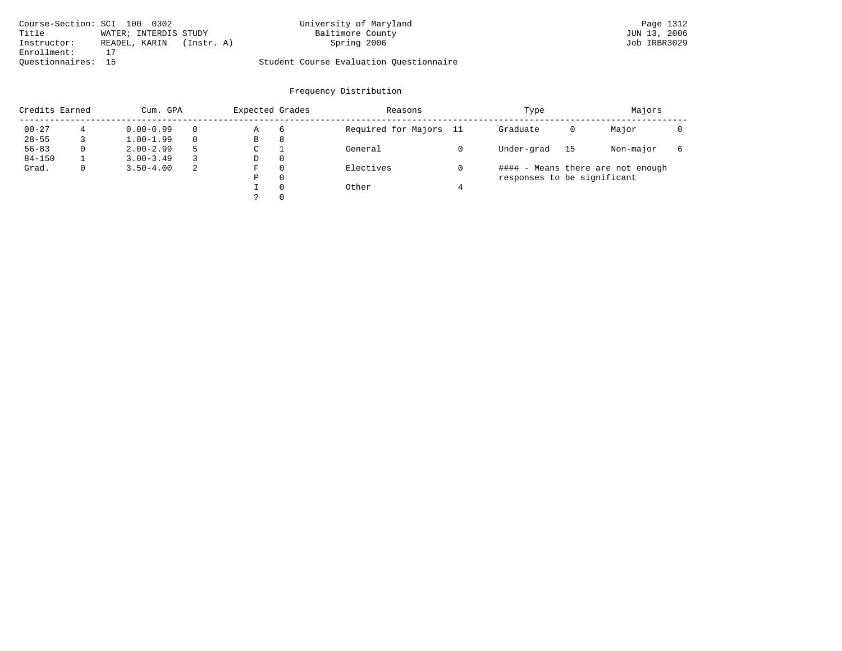| Course-Section: SCI 100 0302 |                              | University of Maryland                  | Page 1312    |
|------------------------------|------------------------------|-----------------------------------------|--------------|
| Title                        | WATER; INTERDIS STUDY        | Baltimore County                        | JUN 13, 2006 |
| Instructor:                  | READEL, KARIN<br>(Insert: A) | Spring 2006                             | Job IRBR3029 |
| Enrollment:                  |                              |                                         |              |
| Ouestionnaires: 15           |                              | Student Course Evaluation Questionnaire |              |

| Credits Earned |   | Cum. GPA      | Expected Grades |             | Reasons  | Type                   | Majors                      |    |                                   |   |
|----------------|---|---------------|-----------------|-------------|----------|------------------------|-----------------------------|----|-----------------------------------|---|
| $00 - 27$      |   | $0.00 - 0.99$ |                 | Α           | 6        | Required for Majors 11 | Graduate                    | 0  | Major                             |   |
| $28 - 55$      |   | $1.00 - 1.99$ |                 | В           | 8        |                        |                             |    |                                   |   |
| $56 - 83$      | 0 | $2.00 - 2.99$ | 5               | $\sim$<br>◡ |          | General                | Under-grad                  | 15 | Non-major                         | 6 |
| $84 - 150$     |   | $3.00 - 3.49$ |                 | D           | 0        |                        |                             |    |                                   |   |
| Grad.          | 0 | $3.50 - 4.00$ | 2               | F           | 0        | Electives              |                             |    | #### - Means there are not enough |   |
|                |   |               |                 | Ρ           | 0        |                        | responses to be significant |    |                                   |   |
|                |   |               |                 |             | $\Omega$ | Other                  |                             |    |                                   |   |
|                |   |               |                 | っ           | 0        |                        |                             |    |                                   |   |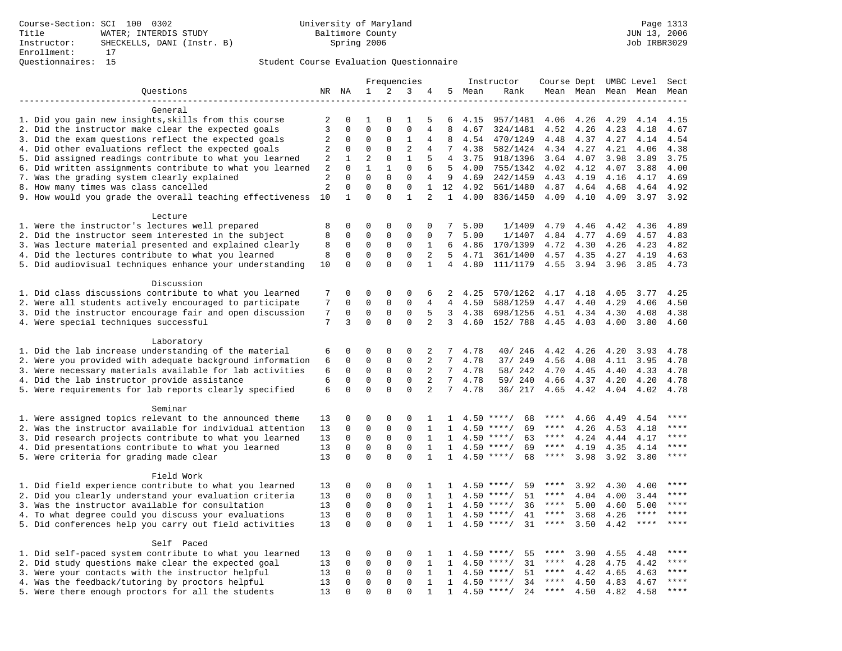|                                                           |                |                  |                  |                            | Frequencies                |                     |                              |      | Instructor                               | Course Dept UMBC Level |      |      |             | Sect    |
|-----------------------------------------------------------|----------------|------------------|------------------|----------------------------|----------------------------|---------------------|------------------------------|------|------------------------------------------|------------------------|------|------|-------------|---------|
| Ouestions                                                 |                | NR NA            | $\mathbf{1}$     | 2                          | 3                          |                     | 5                            | Mean | Rank                                     | Mean Mean              |      |      | Mean Mean   | Mean    |
|                                                           |                |                  |                  |                            |                            |                     |                              |      |                                          |                        |      |      |             |         |
| General                                                   |                |                  |                  |                            |                            |                     |                              |      |                                          |                        |      |      |             |         |
| 1. Did you gain new insights, skills from this course     | 2              | 0                | 1                | $\Omega$                   | 1                          | 5                   | 6                            | 4.15 | 957/1481                                 | 4.06                   | 4.26 | 4.29 | 4.14        | 4.15    |
| 2. Did the instructor make clear the expected goals       | 3              | $\mathbf 0$      | $\mathbf 0$      | $\mathbf{0}$               | $\mathbf 0$                | 4                   | 8                            | 4.67 | 324/1481                                 | 4.52                   | 4.26 | 4.23 | 4.18        | 4.67    |
| 3. Did the exam questions reflect the expected goals      | 2              | 0                | 0                | 0                          | 1                          | 4                   | 8                            | 4.54 | 470/1249                                 | 4.48                   | 4.37 | 4.27 | 4.14        | 4.54    |
| 4. Did other evaluations reflect the expected goals       | 2              | 0                | $\mathbf 0$      | $\mathbf{0}$               | 2                          | 4                   | 7                            | 4.38 | 582/1424                                 | 4.34                   | 4.27 | 4.21 | 4.06        | 4.38    |
| 5. Did assigned readings contribute to what you learned   | $\sqrt{2}$     | 1                | $\overline{2}$   | $\mathbf{0}$               | $\mathbf{1}$               | 5                   | 4                            | 3.75 | 918/1396                                 | 3.64                   | 4.07 | 3.98 | 3.89        | 3.75    |
| 6. Did written assignments contribute to what you learned | 2              | $\mathbf 0$      | $\mathbf{1}$     | $\mathbf{1}$               | $\mathbf 0$                | 6                   | 5                            | 4.00 | 755/1342                                 | 4.02                   | 4.12 | 4.07 | 3.88        | 4.00    |
| 7. Was the grading system clearly explained               | 2              | $\Omega$         | $\Omega$         | $\Omega$                   | $\mathbf{0}$               | 4                   | 9                            | 4.69 | 242/1459                                 | 4.43                   | 4.19 | 4.16 | 4.17        | 4.69    |
| 8. How many times was class cancelled                     | $\overline{2}$ | $\mathbf 0$      | $\mathbf 0$      | $\mathbf{0}$               | $\mathbf{0}$               | $\mathbf{1}$        | 12                           | 4.92 | 561/1480                                 | 4.87                   | 4.64 | 4.68 | 4.64        | 4.92    |
| 9. How would you grade the overall teaching effectiveness | 10             | $\mathbf{1}$     | $\Omega$         | $\Omega$                   | $\mathbf{1}$               | $\overline{a}$      | $\mathbf{1}$                 | 4.00 | 836/1450                                 | 4.09                   | 4.10 | 4.09 | 3.97        | 3.92    |
|                                                           |                |                  |                  |                            |                            |                     |                              |      |                                          |                        |      |      |             |         |
| Lecture                                                   |                |                  |                  |                            |                            |                     |                              |      |                                          |                        |      |      |             |         |
| 1. Were the instructor's lectures well prepared           | 8              | 0                | $\mathbf 0$      | $\mathbf{0}$               | $\mathbf{0}$               | $\mathbf 0$         | 7                            | 5.00 | 1/1409                                   | 4.79                   | 4.46 | 4.42 | 4.36        | 4.89    |
| 2. Did the instructor seem interested in the subject      | 8              | 0                | 0                | 0                          | 0                          | $\mathbf 0$         | 7                            | 5.00 | 1/1407                                   | 4.84                   | 4.77 | 4.69 | 4.57        | 4.83    |
| 3. Was lecture material presented and explained clearly   | 8              | 0                | 0                | 0                          | $\mathbf 0$                | 1                   | 6                            | 4.86 | 170/1399                                 | 4.72                   | 4.30 | 4.26 | 4.23        | 4.82    |
| 4. Did the lectures contribute to what you learned        | 8              | 0                | $\mathbf 0$      | 0                          | $\mathbf{0}$               | 2                   | 5                            | 4.71 | 361/1400                                 | 4.57                   | 4.35 | 4.27 | 4.19        | 4.63    |
| 5. Did audiovisual techniques enhance your understanding  | 10             | $\mathbf 0$      | $\mathbf 0$      | $\Omega$                   | $\Omega$                   | $\mathbf{1}$        | $\overline{4}$               | 4.80 | 111/1179                                 | 4.55                   | 3.94 | 3.96 | 3.85        | 4.73    |
|                                                           |                |                  |                  |                            |                            |                     |                              |      |                                          |                        |      |      |             |         |
| Discussion                                                |                |                  |                  |                            |                            |                     |                              |      |                                          |                        |      |      |             |         |
| 1. Did class discussions contribute to what you learned   | 7<br>7         | 0                | 0                | $\mathbf{0}$               | 0<br>$\mathbf 0$           | 6                   | 2<br>$\overline{4}$          | 4.25 | 570/1262                                 | 4.17                   | 4.18 | 4.05 | 3.77        | 4.25    |
| 2. Were all students actively encouraged to participate   |                | $\mathbf 0$      | $\mathbf 0$      | $\mathbf 0$                |                            | 4                   |                              | 4.50 | 588/1259                                 | 4.47                   | 4.40 | 4.29 | 4.06        | 4.50    |
| 3. Did the instructor encourage fair and open discussion  | 7<br>7         | 0<br>3           | 0<br>$\mathbf 0$ | $\mathsf 0$<br>$\Omega$    | $\mathsf 0$<br>$\mathbf 0$ | 5<br>$\overline{2}$ | 3<br>3                       | 4.38 | 698/1256                                 | 4.51                   | 4.34 | 4.30 | 4.08        | 4.38    |
| 4. Were special techniques successful                     |                |                  |                  |                            |                            |                     |                              | 4.60 | 152/ 788                                 | 4.45                   | 4.03 | 4.00 | 3.80        | 4.60    |
| Laboratory                                                |                |                  |                  |                            |                            |                     |                              |      |                                          |                        |      |      |             |         |
| 1. Did the lab increase understanding of the material     | 6              | 0                | 0                | 0                          | 0                          | 2                   | 7                            | 4.78 | 40/ 246                                  | 4.42                   | 4.26 | 4.20 | 3.93        | 4.78    |
| 2. Were you provided with adequate background information | 6              | 0                | 0                | $\mathbf 0$                | $\mathbf 0$                | 2                   | 7                            | 4.78 | 37/ 249                                  | 4.56                   | 4.08 | 4.11 | 3.95        | 4.78    |
| 3. Were necessary materials available for lab activities  | 6              | 0                | $\mathbf 0$      | $\mathbf 0$                | $\mathbf 0$                | 2                   | 7                            | 4.78 | 58/ 242                                  | 4.70                   | 4.45 | 4.40 | 4.33        | 4.78    |
| 4. Did the lab instructor provide assistance              | 6              | $\mathbf 0$      | $\mathbf 0$      | $\mathbf{0}$               | $\mathbf 0$                | 2                   | 7                            | 4.78 | 59/ 240                                  | 4.66                   | 4.37 | 4.20 | 4.20        | 4.78    |
| 5. Were requirements for lab reports clearly specified    | 6              | $\mathbf 0$      | $\mathbf 0$      | $\Omega$                   | $\mathbf 0$                | $\overline{a}$      | 7                            | 4.78 | 36/ 217                                  | 4.65                   | 4.42 | 4.04 | 4.02        | 4.78    |
|                                                           |                |                  |                  |                            |                            |                     |                              |      |                                          |                        |      |      |             |         |
| Seminar                                                   |                |                  |                  |                            |                            |                     |                              |      |                                          |                        |      |      |             |         |
| 1. Were assigned topics relevant to the announced theme   | 13             | 0                | 0                | $\mathbf{0}$               | $\mathbf{0}$               | 1                   | 1                            | 4.50 | $***/$<br>68                             | ****                   | 4.66 | 4.49 | 4.54        | $***$   |
| 2. Was the instructor available for individual attention  | 13             | 0                | 0                | $\mathsf 0$                | $\mathsf 0$                | $\mathbf{1}$        | 1                            | 4.50 | 69<br>****/                              | $***$ * *              | 4.26 | 4.53 | 4.18        |         |
| 3. Did research projects contribute to what you learned   | 13             | 0                | $\mathbf 0$      | $\mathsf 0$                | $\mathsf 0$                | 1                   | 1                            | 4.50 | $***/$<br>63                             | ****                   | 4.24 | 4.44 | 4.17        | ****    |
| 4. Did presentations contribute to what you learned       | 13             | $\mathbf 0$      | 0                | $\mathbf 0$                | $\mathbf 0$                | $\mathbf{1}$        | 1                            |      | $4.50$ ****/<br>69                       | $***$ * * *            | 4.19 | 4.35 | 4.14        | $***$   |
| 5. Were criteria for grading made clear                   | 13             | $\Omega$         | $\Omega$         | $\Omega$                   | $\Omega$                   | $\mathbf{1}$        | 1                            |      | $4.50$ ****/<br>68                       | ****                   | 3.98 | 3.92 | 3.80        | ****    |
|                                                           |                |                  |                  |                            |                            |                     |                              |      |                                          |                        |      |      |             |         |
| Field Work                                                |                |                  |                  |                            |                            |                     |                              |      |                                          |                        |      |      |             |         |
| 1. Did field experience contribute to what you learned    | 13             | 0                | 0                | $\mathbf 0$                | $\mathbf 0$                | 1                   | 1                            |      | $4.50$ ****/<br>59                       | ****                   | 3.92 | 4.30 | 4.00        | * * * * |
| 2. Did you clearly understand your evaluation criteria    | 13             | $\mathbf 0$      | $\mathbf 0$      | $\mathbf 0$                | $\mathbf{0}$               | $\mathbf{1}$        | $\mathbf{1}$                 |      | 51<br>$4.50$ ****/                       | ****                   | 4.04 | 4.00 | 3.44        | ****    |
| 3. Was the instructor available for consultation          | 13             | 0                | $\mathsf 0$      | $\mathsf 0$                | $\mathsf 0$                | $\mathbf{1}$        | $\mathbf{1}$                 |      | $4.50$ ****/<br>36                       | ****                   | 5.00 | 4.60 | 5.00        | ****    |
| 4. To what degree could you discuss your evaluations      | 13             | 0                | $\mathbf 0$      | $\mathsf 0$                | $\mathsf 0$                | $\mathbf{1}$        | $\mathbf{1}$                 | 4.50 | $***/$<br>41                             | $***$ * *              | 3.68 | 4.26 | $***$ * * * | ****    |
| 5. Did conferences help you carry out field activities    | 13             | $\mathbf 0$      | $\mathbf 0$      | $\Omega$                   | $\mathbf 0$                | $\mathbf{1}$        | $\mathbf{1}$                 |      | 31<br>$4.50$ ****/                       | $***$ * * *            | 3.50 | 4.42 | $***$ * * * | ****    |
|                                                           |                |                  |                  |                            |                            |                     |                              |      |                                          |                        |      |      |             |         |
| Self Paced                                                |                |                  |                  | $\mathbf 0$                | $\mathbf 0$                |                     |                              |      | $***$ /                                  |                        |      |      |             |         |
| 1. Did self-paced system contribute to what you learned   | 13             | 0<br>$\mathbf 0$ | 0<br>$\mathbf 0$ | $\mathbf 0$                | $\mathbf 0$                | 1<br>$\mathbf{1}$   | 1                            | 4.50 | 55<br>31                                 | ****                   | 3.90 | 4.55 | 4.48        | ****    |
| 2. Did study questions make clear the expected goal       | 13             | $\Omega$         | $\mathbf 0$      |                            | $\mathbf 0$                |                     | 1                            |      | $4.50$ ****/<br>$***$ /                  | $***$ * * *            | 4.28 | 4.75 | 4.42        | $***$   |
| 3. Were your contacts with the instructor helpful         | 13             | $\Omega$         | $\mathbf 0$      | $\mathbf 0$<br>$\mathbf 0$ | $\mathbf 0$                | 1<br>$\mathbf{1}$   | 1                            | 4.50 | 51                                       | ****                   | 4.42 | 4.65 | 4.63        | ****    |
| 4. Was the feedback/tutoring by proctors helpful          | 13<br>13       | $\Omega$         | $\Omega$         | $\Omega$                   | $\Omega$                   | 1                   | $\mathbf{1}$<br>$\mathbf{1}$ |      | $4.50$ ****/<br>34<br>$4.50$ ****/<br>24 | $***$ * *              | 4.50 | 4.83 | 4.67        | $***$   |
| 5. Were there enough proctors for all the students        |                |                  |                  |                            |                            |                     |                              |      |                                          |                        | 4.50 | 4.82 | 4.58        |         |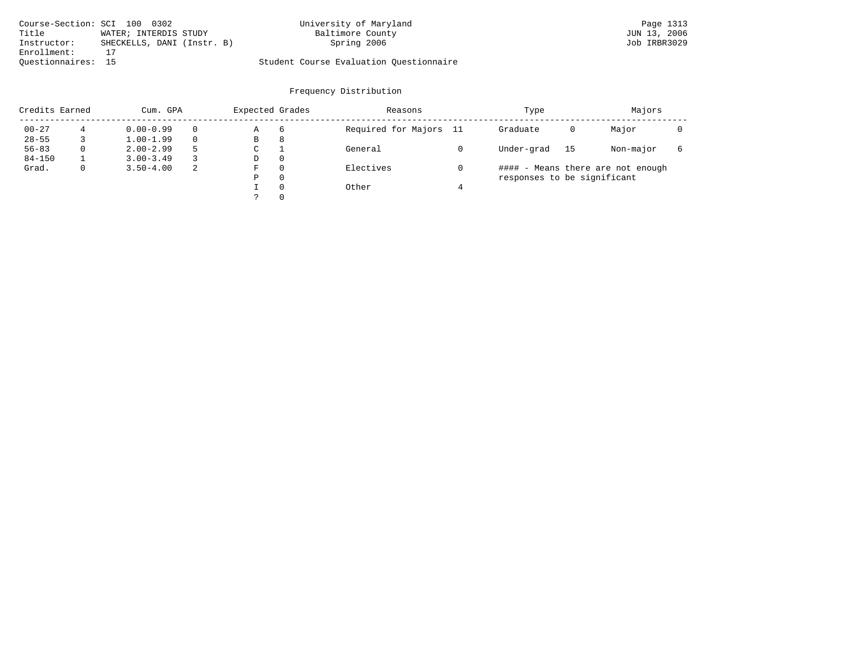| Course-Section: SCI 100 0302 |                            | University of Maryland                  | Page 1313    |
|------------------------------|----------------------------|-----------------------------------------|--------------|
| Title                        | WATER; INTERDIS STUDY      | Baltimore County                        | JUN 13, 2006 |
| Instructor:                  | SHECKELLS, DANI (Instr. B) | Spring 2006                             | Job IRBR3029 |
| Enrollment:                  |                            |                                         |              |
| Ouestionnaires: 15           |                            | Student Course Evaluation Ouestionnaire |              |

|            | Credits Earned |               | Cum. GPA | Expected Grades |          | Reasons                | Type                        | Majors |                                   |  |
|------------|----------------|---------------|----------|-----------------|----------|------------------------|-----------------------------|--------|-----------------------------------|--|
| $00 - 27$  |                | $0.00 - 0.99$ |          | Α               | 6        | Required for Majors 11 | Graduate                    | 0      | Major                             |  |
| $28 - 55$  |                | $1.00 - 1.99$ |          | В               | 8        |                        |                             |        |                                   |  |
| $56 - 83$  | 0              | $2.00 - 2.99$ |          | $\sim$<br>◡     |          | General                | Under-grad                  | 15     | Non-major                         |  |
| $84 - 150$ |                | $3.00 - 3.49$ |          | D               | 0        |                        |                             |        |                                   |  |
| Grad.      | 0              | $3.50 - 4.00$ | 2        | F               | 0        | Electives              |                             |        | #### - Means there are not enough |  |
|            |                |               |          | Ρ               | 0        |                        | responses to be significant |        |                                   |  |
|            |                |               |          |                 | $\Omega$ | Other                  |                             |        |                                   |  |
|            |                |               |          |                 | 0        |                        |                             |        |                                   |  |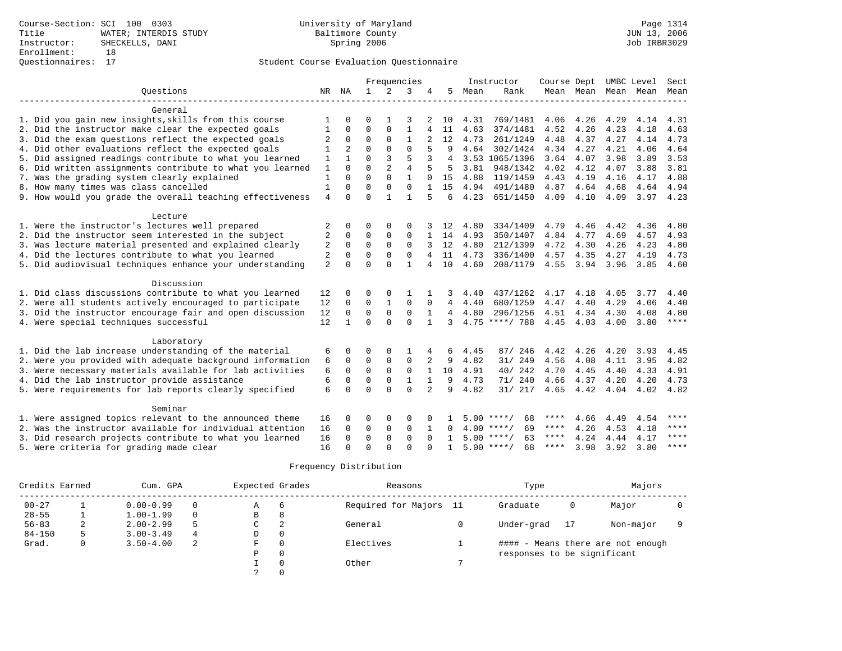|                                                           |                |                |              |                | Frequencies    |              |                |      | Instructor         | Course Dept |      |                     | UMBC Level | Sect        |
|-----------------------------------------------------------|----------------|----------------|--------------|----------------|----------------|--------------|----------------|------|--------------------|-------------|------|---------------------|------------|-------------|
| Ouestions                                                 |                | NR NA          | $\mathbf{1}$ | 2              | 3              |              | 5              | Mean | Rank               |             |      | Mean Mean Mean Mean |            | Mean        |
|                                                           |                |                |              |                |                |              |                |      |                    |             |      |                     |            |             |
| General                                                   |                |                |              |                |                |              |                |      |                    |             |      |                     |            |             |
| 1. Did you gain new insights, skills from this course     |                | U              | U            |                | 3              |              | 10             | 4.31 | 769/1481           | 4.06        | 4.26 | 4.29                | 4.14       | 4.31        |
| 2. Did the instructor make clear the expected goals       | 1              | $\Omega$       | $\Omega$     | 0              | 1              | 4            | 11             | 4.63 | 374/1481           | 4.52        | 4.26 | 4.23                | 4.18       | 4.63        |
| 3. Did the exam questions reflect the expected goals      | 2              | 0              | $\Omega$     | 0              | $\mathbf{1}$   |              | 12             | 4.73 | 261/1249           | 4.48        | 4.37 | 4.27                | 4.14       | 4.73        |
| 4. Did other evaluations reflect the expected goals       | 1              | $\overline{2}$ | $\Omega$     | $\Omega$       | $\Omega$       |              | q              | 4.64 | 302/1424           | 4.34        | 4.27 | 4.21                | 4.06       | 4.64        |
| 5. Did assigned readings contribute to what you learned   | 1              |                | $\Omega$     | 3              | 5              | 3            | $\overline{4}$ |      | 3.53 1065/1396     | 3.64        | 4.07 | 3.98                | 3.89       | 3.53        |
| 6. Did written assignments contribute to what you learned | $\mathbf{1}$   | $\Omega$       | $\Omega$     | $\overline{2}$ | $\overline{4}$ |              | .5             | 3.81 | 948/1342           | 4.02        | 4.12 | 4.07                | 3.88       | 3.81        |
| 7. Was the grading system clearly explained               | $\mathbf{1}$   | $\Omega$       | $\Omega$     | $\Omega$       | $\mathbf{1}$   |              | 1.5            | 4.88 | 119/1459           | 4.43        | 4.19 | 4.16                | 4.17       | 4.88        |
| 8. How many times was class cancelled                     | $\mathbf{1}$   | $\Omega$       | $\Omega$     | $\mathbf 0$    | $\mathbf 0$    |              | 15             | 4.94 | 491/1480           | 4.87        | 4.64 | 4.68                | 4.64       | 4.94        |
| 9. How would you grade the overall teaching effectiveness | $\overline{4}$ | $\Omega$       | $\Omega$     | 1              | $\mathbf{1}$   | 5            | 6              | 4.23 | 651/1450           | 4.09        | 4.10 | 4.09                | 3.97 4.23  |             |
|                                                           |                |                |              |                |                |              |                |      |                    |             |      |                     |            |             |
| Lecture                                                   |                |                |              |                |                |              |                |      |                    |             |      |                     |            |             |
| 1. Were the instructor's lectures well prepared           | 2              | 0              | 0            | 0              | $\Omega$       |              | 12             | 4.80 | 334/1409           | 4.79        | 4.46 | 4.42                | 4.36       | 4.80        |
| 2. Did the instructor seem interested in the subject      | 2              | 0              | $\Omega$     | $\Omega$       | $\mathbf 0$    |              | 14             | 4.93 | 350/1407           | 4.84        | 4.77 | 4.69                | 4.57       | 4.93        |
| 3. Was lecture material presented and explained clearly   | 2              | $\Omega$       | $\Omega$     | $\Omega$       | $\Omega$       |              | 12             | 4.80 | 212/1399           | 4.72        | 4.30 | 4.26                | 4.23       | 4.80        |
| 4. Did the lectures contribute to what you learned        | $\overline{2}$ | 0              | 0            | 0              | $\Omega$       | 4            | 11             | 4.73 | 336/1400           | 4.57        | 4.35 | 4.27                | 4.19       | 4.73        |
| 5. Did audiovisual techniques enhance your understanding  | $\overline{2}$ | $\Omega$       | $\Omega$     | $\Omega$       | 1              | 4            | 10             | 4.60 | 208/1179           | 4.55        | 3.94 | 3.96                | 3.85       | 4.60        |
| Discussion                                                |                |                |              |                |                |              |                |      |                    |             |      |                     |            |             |
| 1. Did class discussions contribute to what you learned   | 12             | 0              | 0            | $\Omega$       |                |              |                | 4.40 | 437/1262           | 4.17        | 4.18 | 4.05                | 3.77       | 4.40        |
| 2. Were all students actively encouraged to participate   | 12             | $\Omega$       | 0            | $\mathbf{1}$   | $\mathbf 0$    | $\Omega$     | 4              | 4.40 | 680/1259           | 4.47        | 4.40 | 4.29                | 4.06       | 4.40        |
| 3. Did the instructor encourage fair and open discussion  | 12             | 0              | 0            | $\mathsf 0$    | $\mathbf 0$    |              | 4              | 4.80 | 296/1256           | 4.51        | 4.34 | 4.30                | 4.08       | 4.80        |
| 4. Were special techniques successful                     | 12             | $\mathbf{1}$   | $\Omega$     | $\Omega$       | $\Omega$       | $\mathbf{1}$ | 3              |      | $4.75$ ****/ 788   | 4.45        | 4.03 | 4.00                | 3.80       | $***$ * * * |
|                                                           |                |                |              |                |                |              |                |      |                    |             |      |                     |            |             |
| Laboratory                                                |                |                |              |                |                |              |                |      |                    |             |      |                     |            |             |
| 1. Did the lab increase understanding of the material     | 6              | 0              | O            | $\Omega$       | 1              |              | 6              | 4.45 | 87/ 246            | 4.42        | 4.26 | 4.20                | 3.93       | 4.45        |
| 2. Were you provided with adequate background information | 6              | $\Omega$       | $\Omega$     | $\Omega$       | $\Omega$       | 2            | 9              | 4.82 | 31/ 249            | 4.56        | 4.08 | 4.11                | 3.95       | 4.82        |
| 3. Were necessary materials available for lab activities  | 6              | $\mathbf 0$    | $\Omega$     | $\Omega$       | $\mathbf 0$    | $\mathbf{1}$ | 10             | 4.91 | 40/242             | 4.70        | 4.45 | 4.40                | 4.33       | 4.91        |
| 4. Did the lab instructor provide assistance              | 6              | 0              | 0            | $\mathbf 0$    | $\mathbf{1}$   |              | 9              | 4.73 | 71/ 240            | 4.66        | 4.37 | 4.20                | 4.20       | 4.73        |
| 5. Were requirements for lab reports clearly specified    | 6              | $\Omega$       | $\Omega$     | $\Omega$       | $\Omega$       | 2            | 9              | 4.82 | 31/ 217            | 4.65        | 4.42 | 4.04                | 4.02       | 4.82        |
|                                                           |                |                |              |                |                |              |                |      |                    |             |      |                     |            |             |
| Seminar                                                   |                |                |              |                |                |              |                |      |                    |             |      |                     |            |             |
| 1. Were assigned topics relevant to the announced theme   | 16             | 0              | O            | $\Omega$       | $\Omega$       |              |                | 5.00 | 68<br>****/        | ****        | 4.66 | 4.49                | 4.54       | ****        |
| 2. Was the instructor available for individual attention  | 16             | 0              | $\Omega$     | 0              | $\mathbf 0$    |              | 0              |      | 69<br>$4.00$ ****/ | ****        | 4.26 | 4.53                | 4.18       | ****        |
| 3. Did research projects contribute to what you learned   | 16             | 0              | $\Omega$     | $\Omega$       | $\Omega$       | $\Omega$     |                |      | $5.00$ ****/<br>63 | ****        | 4.24 | 4.44                | 4.17       | $***$ * * * |
| 5. Were criteria for grading made clear                   | 16             | $\cap$         | $\cap$       | $\cap$         | $\Omega$       |              | 1              |      | $5.00$ ****/<br>68 | ****        | 3.98 | 3.92                | 3.80       | $* * * * *$ |

|            | Credits Earned<br>Cum. GPA |               |   | Expected Grades |          | Reasons                | Type                        |    | Majors                            |  |  |
|------------|----------------------------|---------------|---|-----------------|----------|------------------------|-----------------------------|----|-----------------------------------|--|--|
| $00 - 27$  |                            | $0.00 - 0.99$ |   | Α               | -6       | Required for Majors 11 | Graduate                    | 0  | Major                             |  |  |
| $28 - 55$  |                            | $1.00 - 1.99$ |   | В               | 8        |                        |                             |    |                                   |  |  |
| $56 - 83$  | 2                          | $2.00 - 2.99$ | 5 | C               | 2        | General                | Under-grad                  | 17 | Non-major                         |  |  |
| $84 - 150$ |                            | $3.00 - 3.49$ | 4 | D               | 0        |                        |                             |    |                                   |  |  |
| Grad.      | 0                          | $3.50 - 4.00$ | 2 | F               | $\Omega$ | Electives              |                             |    | #### - Means there are not enough |  |  |
|            |                            |               |   | Ρ               | 0        |                        | responses to be significant |    |                                   |  |  |
|            |                            |               |   |                 |          | Other                  |                             |    |                                   |  |  |
|            |                            |               |   |                 |          |                        |                             |    |                                   |  |  |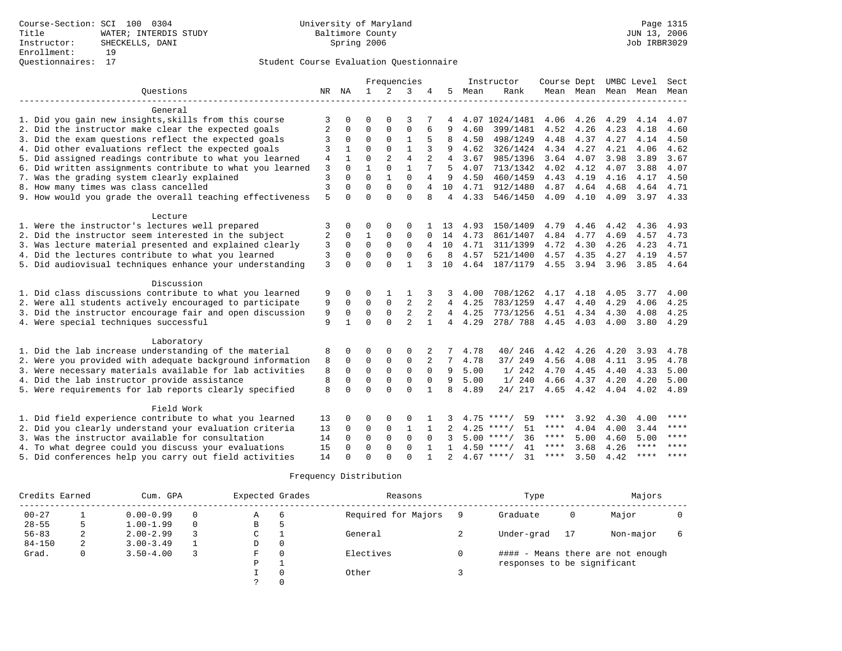|                                                           |       |              |                            | Frequencies                 |                             |                |                 |      | Instructor         |             |           |      | Course Dept UMBC Level   | Sect        |
|-----------------------------------------------------------|-------|--------------|----------------------------|-----------------------------|-----------------------------|----------------|-----------------|------|--------------------|-------------|-----------|------|--------------------------|-------------|
| Ouestions                                                 |       | NR NA        | $\mathbf{1}$               | 2                           | 3                           | 4              | 5               | Mean | Rank               |             |           |      | Mean Mean Mean Mean Mean |             |
|                                                           |       |              |                            |                             |                             |                |                 |      |                    |             |           |      |                          |             |
| General                                                   |       |              |                            |                             |                             |                |                 |      |                    |             |           |      |                          |             |
| 1. Did you gain new insights, skills from this course     | 3     | $\Omega$     | $\Omega$                   | $\cap$                      | 3                           |                |                 |      | 4.07 1024/1481     | 4.06        | 4.26      | 4.29 | 4.14                     | 4.07        |
| 2. Did the instructor make clear the expected goals       | 2     | 0            | $\mathbf 0$<br>$\mathbf 0$ | $\mathbf{0}$<br>$\mathbf 0$ | $\mathbf 0$<br>$\mathbf{1}$ | 6              | 9               | 4.60 | 399/1481           | 4.52        | 4.26      | 4.23 | 4.18                     | 4.60        |
| 3. Did the exam questions reflect the expected goals      | 3     | $\mathbf 0$  |                            |                             |                             |                | 8               | 4.50 | 498/1249           | 4.48        | 4.37      | 4.27 | 4.14                     | 4.50        |
| 4. Did other evaluations reflect the expected goals       | 3     |              | $\Omega$                   | $\Omega$                    | $\mathbf{1}$                | 3              | 9               | 4.62 | 326/1424           | 4.34        | 4.27      | 4.21 | 4.06                     | 4.62        |
| 5. Did assigned readings contribute to what you learned   | $\,4$ | $\mathbf{1}$ | $\Omega$<br>$\mathbf{1}$   | $\overline{2}$              | $\overline{4}$              |                | 4               | 3.67 | 985/1396           | 3.64        | 4.07      | 3.98 | 3.89                     | 3.67        |
| 6. Did written assignments contribute to what you learned | 3     | $\Omega$     |                            | $\Omega$                    | 1                           | 7              | .5              | 4.07 | 713/1342           | 4.02        | 4.12      | 4.07 | 3.88                     | 4.07        |
| 7. Was the grading system clearly explained               | 3     | $\Omega$     | $\Omega$<br>$\Omega$       |                             | $\Omega$                    | 4              | 9               | 4.50 | 460/1459           | 4.43        | 4.19      | 4.16 | 4.17                     | 4.50        |
| 8. How many times was class cancelled                     | 3     | $\Omega$     |                            | $\Omega$                    | $\Omega$                    | 4              | 10              | 4.71 | 912/1480           | 4.87        | 4.64      | 4.68 | 4.64                     | 4.71        |
| 9. How would you grade the overall teaching effectiveness | 5     | $\cap$       | $\cap$                     | $\cap$                      | $\Omega$                    | 8              | $\overline{4}$  | 4.33 | 546/1450           | 4.09        | 4.10      | 4.09 | $3.97$ 4.33              |             |
| Lecture                                                   |       |              |                            |                             |                             |                |                 |      |                    |             |           |      |                          |             |
| 1. Were the instructor's lectures well prepared           | 3     | 0            | 0                          | $\mathbf 0$                 | $\Omega$                    |                | 13              | 4.93 | 150/1409           | 4.79        | 4.46      | 4.42 | 4.36                     | 4.93        |
| 2. Did the instructor seem interested in the subject      | 2     | $\mathbf 0$  | $\mathbf{1}$               | $\Omega$                    | $\Omega$                    | $\Omega$       | 14              | 4.73 | 861/1407           | 4.84        | 4.77      | 4.69 | 4.57                     | 4.73        |
| 3. Was lecture material presented and explained clearly   | 3     | $\Omega$     | $\Omega$                   | $\Omega$                    | $\Omega$                    | $\overline{4}$ | 10              | 4.71 | 311/1399           | 4.72        | 4.30      | 4.26 | 4.23                     | 4.71        |
| 4. Did the lectures contribute to what you learned        | 3     | $\Omega$     | $\Omega$                   | $\Omega$                    | $\Omega$                    | 6              | 8               | 4.57 | 521/1400           | 4.57        | 4.35      | 4.27 | 4.19                     | 4.57        |
| 5. Did audiovisual techniques enhance your understanding  | 3     | $\Omega$     | $\Omega$                   | $\Omega$                    |                             |                | 10              | 4.64 | 187/1179           | 4.55        | 3.94 3.96 |      | 3.85                     | 4.64        |
|                                                           |       |              |                            |                             |                             |                |                 |      |                    |             |           |      |                          |             |
| Discussion                                                |       |              |                            |                             |                             |                |                 |      |                    |             |           |      |                          |             |
| 1. Did class discussions contribute to what you learned   | 9     | $\Omega$     | $\Omega$                   |                             |                             |                | 3               | 4.00 | 708/1262           | 4.17        | 4.18      | 4.05 | 3.77                     | 4.00        |
| 2. Were all students actively encouraged to participate   | 9     | $\Omega$     | $\Omega$                   | $\mathbf 0$                 | $\overline{2}$              |                | $\overline{4}$  | 4.25 | 783/1259           | 4.47        | 4.40      | 4.29 | 4.06                     | 4.25        |
| 3. Did the instructor encourage fair and open discussion  | 9     | $\Omega$     | $\mathbf 0$                | $\mathbf 0$                 | $\overline{c}$              |                | $4\overline{ }$ | 4.25 | 773/1256           | 4.51        | 4.34      | 4.30 | 4.08                     | 4.25        |
| 4. Were special techniques successful                     | 9     | $\mathbf{1}$ | $\Omega$                   | $\Omega$                    | $\overline{2}$              | $\mathbf{1}$   | $\overline{4}$  | 4.29 | 278/788            | 4.45 4.03   |           | 4.00 | 3.80                     | 4.29        |
| Laboratory                                                |       |              |                            |                             |                             |                |                 |      |                    |             |           |      |                          |             |
| 1. Did the lab increase understanding of the material     | 8     |              | $\Omega$                   | $\Omega$                    | $\Omega$                    |                |                 | 4.78 | 40/ 246            | 4.42        | 4.26      | 4.20 | 3.93                     | 4.78        |
| 2. Were you provided with adequate background information | 8     | $\Omega$     | $\mathbf 0$                | 0                           | $\mathbf 0$                 |                | 7               | 4.78 | 37/ 249            | 4.56        | 4.08      | 4.11 | 3.95                     | 4.78        |
| 3. Were necessary materials available for lab activities  | 8     | $\Omega$     | $\Omega$                   | $\Omega$                    | $\Omega$                    | $\Omega$       | 9               | 5.00 | 1/242              | 4.70        | 4.45      | 4.40 | 4.33                     | 5.00        |
| 4. Did the lab instructor provide assistance              | 8     | $\Omega$     | $\Omega$                   | $\mathbf 0$                 | $\mathbf 0$                 | $\Omega$       | 9               | 5.00 | 1/240              | 4.66        | 4.37      | 4.20 | 4.20                     | 5.00        |
| 5. Were requirements for lab reports clearly specified    | 8     | $\Omega$     | $\Omega$                   | $\cap$                      | $\Omega$                    |                | $\mathsf{R}$    | 4.89 | 24/ 217            |             | 4.65 4.42 | 4.04 | 4.02                     | 4.89        |
|                                                           |       |              |                            |                             |                             |                |                 |      |                    |             |           |      |                          |             |
| Field Work                                                |       |              |                            |                             |                             |                |                 |      |                    |             |           |      |                          |             |
| 1. Did field experience contribute to what you learned    | 13    | $\Omega$     | 0                          | 0                           | 0                           |                |                 |      | $4.75$ ****/<br>59 | ****        | 3.92      | 4.30 | 4.00                     | ****        |
| 2. Did you clearly understand your evaluation criteria    | 13    | 0            | 0                          | 0                           | 1                           |                |                 |      | $4.25$ ****/<br>51 | ****        | 4.04      | 4.00 | 3.44                     | $***$ * * * |
| 3. Was the instructor available for consultation          | 14    | $\Omega$     | $\Omega$                   | $\Omega$                    | $\Omega$                    | $\Omega$       | 3               |      | $5.00$ ****/<br>36 | $***$ * * * | 5.00      | 4.60 | 5.00                     | $* * * * *$ |
| 4. To what degree could you discuss your evaluations      | 15    | $\Omega$     | $\Omega$                   | $\Omega$                    | $\Omega$                    |                | $\mathbf{1}$    |      | $4.50$ ****/<br>41 | $***$ * *   | 3.68      | 4.26 | $***$ * * *              | $***$       |
| 5. Did conferences help you carry out field activities    | 14    | $\cap$       | $\Omega$                   | $\cap$                      | $\cap$                      |                | $\mathfrak{D}$  |      | $4.67$ ****/<br>31 | $***$ * * * | 3.50      | 4.42 | $***$ * * *              | $***$       |

|            | Credits Earned |               | Cum. GPA | Expected Grades |          | Reasons             | Type                        | Majors |                                   |  |
|------------|----------------|---------------|----------|-----------------|----------|---------------------|-----------------------------|--------|-----------------------------------|--|
| $00 - 27$  |                | $0.00 - 0.99$ | $\Omega$ | Α               | 6        | Required for Majors | Graduate                    | 0      | Major                             |  |
| $28 - 55$  |                | $1.00 - 1.99$ | $\Omega$ | B               | ל        |                     |                             |        |                                   |  |
| $56 - 83$  |                | $2.00 - 2.99$ |          | C               |          | General             | Under-grad                  | 17     | Non-major                         |  |
| $84 - 150$ | 2              | $3.00 - 3.49$ |          | D               | $\circ$  |                     |                             |        |                                   |  |
| Grad.      | 0              | $3.50 - 4.00$ |          | F               | $\Omega$ | Electives           |                             |        | #### - Means there are not enough |  |
|            |                |               |          | D               |          |                     | responses to be significant |        |                                   |  |
|            |                |               |          |                 | $\Omega$ | Other               |                             |        |                                   |  |
|            |                |               |          |                 | $\Omega$ |                     |                             |        |                                   |  |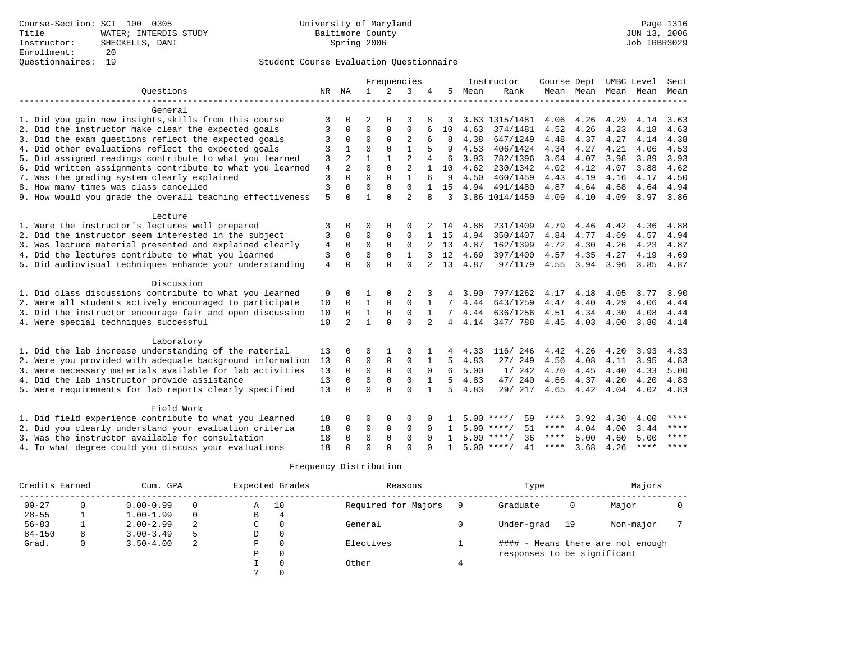|                                                           |                |                |              |                | Frequencies    |                |     |      | Instructor         | Course Dept |      | UMBC Level          |             | Sect        |
|-----------------------------------------------------------|----------------|----------------|--------------|----------------|----------------|----------------|-----|------|--------------------|-------------|------|---------------------|-------------|-------------|
| Ouestions                                                 |                | NR NA          | $\mathbf{1}$ | $\mathfrak{D}$ | 3              |                | 5   | Mean | Rank               |             |      | Mean Mean Mean Mean |             | Mean        |
|                                                           |                |                |              |                |                |                |     |      |                    |             |      |                     |             |             |
| General                                                   |                |                |              |                |                |                |     |      |                    |             |      |                     |             |             |
| 1. Did you gain new insights, skills from this course     | 3              | <sup>0</sup>   | 2            | $\Omega$       | 3              |                |     |      | 3.63 1315/1481     | 4.06        | 4.26 | 4.29                | 4.14        | 3.63        |
| 2. Did the instructor make clear the expected goals       | 3              | $\Omega$       | $\Omega$     | 0              | $\mathbf 0$    |                | 10  | 4.63 | 374/1481           | 4.52        | 4.26 | 4.23                | 4.18        | 4.63        |
| 3. Did the exam questions reflect the expected goals      | 3              | $\Omega$       | $\Omega$     | 0              | $\overline{2}$ | 6              | 8   | 4.38 | 647/1249           | 4.48        | 4.37 | 4.27                | 4.14        | 4.38        |
| 4. Did other evaluations reflect the expected goals       | 3              | 1              | $\Omega$     | $\Omega$       | $\mathbf{1}$   | 5              | 9   | 4.53 | 406/1424           | 4.34        | 4.27 | 4.21                | 4.06        | 4.53        |
| 5. Did assigned readings contribute to what you learned   | 3              | $\overline{2}$ | $\mathbf{1}$ | $\mathbf{1}$   | $\overline{a}$ | $\overline{4}$ | 6   | 3.93 | 782/1396           | 3.64        | 4.07 | 3.98                | 3.89        | 3.93        |
| 6. Did written assignments contribute to what you learned | $\overline{4}$ |                | 0            | 0              | $\overline{2}$ |                | 10  | 4.62 | 230/1342           | 4.02        | 4.12 | 4.07                | 3.88        | 4.62        |
| 7. Was the grading system clearly explained               | 3              | $\Omega$       | $\Omega$     | $\Omega$       | $\mathbf{1}$   | 6              | 9   | 4.50 | 460/1459           | 4.43        | 4.19 | 4.16                | 4.17        | 4.50        |
| 8. How many times was class cancelled                     | 3              | $\Omega$       | $\Omega$     | $\mathbf 0$    | $\mathbf 0$    |                | 15  | 4.94 | 491/1480           | 4.87        | 4.64 | 4.68                | 4.64        | 4.94        |
| 9. How would you grade the overall teaching effectiveness | 5              | $\cap$         | 1            | $\Omega$       | $\mathcal{D}$  | 8              | 3   |      | 3.86 1014/1450     | 4.09        | 4.10 | 4.09                | 3.97        | 3.86        |
|                                                           |                |                |              |                |                |                |     |      |                    |             |      |                     |             |             |
| Lecture                                                   |                |                |              |                |                |                |     |      |                    |             |      |                     |             |             |
| 1. Were the instructor's lectures well prepared           | 3              | 0              | O            | 0              | $\Omega$       |                | 14  | 4.88 | 231/1409           | 4.79        | 4.46 | 4.42                | 4.36        | 4.88        |
| 2. Did the instructor seem interested in the subject      | 3              | 0              | 0            | 0              | $\mathbf 0$    |                | 15  | 4.94 | 350/1407           | 4.84        | 4.77 | 4.69                | 4.57        | 4.94        |
| 3. Was lecture material presented and explained clearly   | 4              | 0              | $\Omega$     | $\Omega$       | $\Omega$       |                | 13  | 4.87 | 162/1399           | 4.72        | 4.30 | 4.26                | 4.23        | 4.87        |
| 4. Did the lectures contribute to what you learned        | 3              | 0              | $\Omega$     | $\Omega$       | $\mathbf{1}$   | 3              | 12  | 4.69 | 397/1400           | 4.57        | 4.35 | 4.27                | 4.19        | 4.69        |
| 5. Did audiovisual techniques enhance your understanding  | $\overline{4}$ | $\Omega$       | $\Omega$     | $\Omega$       | $\Omega$       |                | 13  | 4.87 | 97/1179            | 4.55        | 3.94 | 3.96                | 3.85        | 4.87        |
|                                                           |                |                |              |                |                |                |     |      |                    |             |      |                     |             |             |
| Discussion                                                |                |                |              |                |                |                |     |      |                    |             |      |                     |             |             |
| 1. Did class discussions contribute to what you learned   | 9              | 0              |              | $\Omega$       | 2              | 3              |     | 3.90 | 797/1262           | 4.17        | 4.18 | 4.05                | 3.77        | 3.90        |
| 2. Were all students actively encouraged to participate   | 10             | 0              | $\mathbf{1}$ | $\Omega$       | $\mathbf 0$    |                |     | 4.44 | 643/1259           | 4.47        | 4.40 | 4.29                | 4.06        | 4.44        |
| 3. Did the instructor encourage fair and open discussion  | 10             | 0              | $\mathbf{1}$ | 0              | $\mathbf 0$    | 1              |     | 4.44 | 636/1256           | 4.51        | 4.34 | 4.30                | 4.08        | 4.44        |
| 4. Were special techniques successful                     | 10             | $\mathfrak{D}$ | $\mathbf{1}$ | $\Omega$       | $\Omega$       | $\mathfrak{D}$ | 4   | 4.14 | 347/788            | 4.45 4.03   |      | 4.00                | 3.80        | 4.14        |
|                                                           |                |                |              |                |                |                |     |      |                    |             |      |                     |             |             |
| Laboratory                                                |                |                |              |                |                |                |     |      |                    |             |      |                     |             |             |
| 1. Did the lab increase understanding of the material     | 13             | $\Omega$       | O            |                | $\Omega$       |                |     | 4.33 | 116/ 246           | 4.42        | 4.26 | 4.20                | 3.93        | 4.33        |
| 2. Were you provided with adequate background information | 13             | 0              | 0            | 0              | $\mathbf 0$    | 1              | 5.  | 4.83 | 27/249             | 4.56        | 4.08 | 4.11                | 3.95        | 4.83        |
| 3. Were necessary materials available for lab activities  | 13             | 0              | $\mathbf 0$  | $\mathbf 0$    | $\mathbf 0$    | $\mathbf 0$    | 6   | 5.00 | 1/242              | 4.70        | 4.45 | 4.40                | 4.33        | 5.00        |
| 4. Did the lab instructor provide assistance              | 13             | $\Omega$       | 0            | 0              | $\mathbf 0$    |                | 5   | 4.83 | 47/240             | 4.66        | 4.37 | 4.20                | 4.20        | 4.83        |
| 5. Were requirements for lab reports clearly specified    | 13             | $\Omega$       | $\Omega$     | $\Omega$       | $\Omega$       | $\mathbf{1}$   | 5   | 4.83 | 29/ 217            | 4.65        | 4.42 | 4.04                | 4.02        | 4.83        |
|                                                           |                |                |              |                |                |                |     |      |                    |             |      |                     |             |             |
| Field Work                                                |                |                |              |                |                |                |     |      |                    |             |      |                     |             |             |
| 1. Did field experience contribute to what you learned    | 18             | 0              | O            | $\Omega$       | $\Omega$       | $\Omega$       |     | 5.00 | ****/<br>59        | ****        | 3.92 | 4.30                | 4.00        | $* * * * *$ |
| 2. Did you clearly understand your evaluation criteria    | 18             | 0              | 0            | $\mathbf 0$    | $\mathbf 0$    | $\Omega$       | -1. |      | $5.00$ ****/<br>51 | $***$ * * * | 4.04 | 4.00                | 3.44        | $***$ * * * |
| 3. Was the instructor available for consultation          | 18             | $\Omega$       | $\mathbf 0$  | $\mathbf 0$    | $\mathbf 0$    | $\Omega$       |     |      | $5.00$ ****/<br>36 | ****        | 5.00 | 4.60                | 5.00        | $* * * *$   |
| 4. To what degree could you discuss your evaluations      | 18             |                | $\Omega$     | $\cap$         | $\Omega$       |                | 1   |      | $5.00$ ****/<br>41 | $***$ * * * | 3.68 | 4.26                | $***$ * * * | $* * * * *$ |

| Credits Earned |   | Cum. GPA      |          |   | Expected Grades | Reasons             | Type                        | Majors |                                   |  |
|----------------|---|---------------|----------|---|-----------------|---------------------|-----------------------------|--------|-----------------------------------|--|
| $00 - 27$      |   | $0.00 - 0.99$ | 0        | Α | 10              | Required for Majors | Graduate                    | 0      | Major                             |  |
| $28 - 55$      |   | $1.00 - 1.99$ | $\Omega$ | В | 4               |                     |                             |        |                                   |  |
| $56 - 83$      |   | $2.00 - 2.99$ | 2        | C |                 | General             | Under-grad                  | 19     | Non-major                         |  |
| $84 - 150$     | 8 | $3.00 - 3.49$ | 5        | D | 0               |                     |                             |        |                                   |  |
| Grad.          | 0 | $3.50 - 4.00$ | 2        | F |                 | Electives           |                             |        | #### - Means there are not enough |  |
|                |   |               |          | Ρ |                 |                     | responses to be significant |        |                                   |  |
|                |   |               |          |   |                 | Other               |                             |        |                                   |  |
|                |   |               |          |   |                 |                     |                             |        |                                   |  |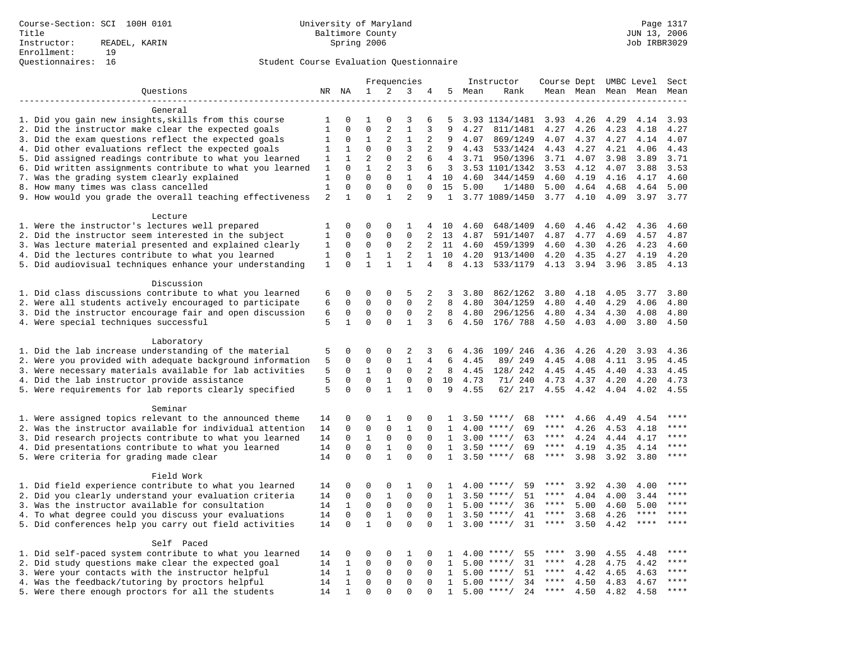|                                                                    |                |              | Frequencies          |                          |                |                |              | Instructor | Course Dept UMBC Level             |             |              |                     | Sect         |             |
|--------------------------------------------------------------------|----------------|--------------|----------------------|--------------------------|----------------|----------------|--------------|------------|------------------------------------|-------------|--------------|---------------------|--------------|-------------|
| Questions                                                          |                | NR NA        | 1                    | 2                        | 3              | 4              |              | 5 Mean     | Rank                               |             |              | Mean Mean Mean Mean |              | Mean        |
|                                                                    |                |              |                      |                          |                |                |              |            |                                    |             |              |                     |              |             |
| General                                                            |                |              |                      |                          |                |                |              |            |                                    |             |              |                     |              |             |
| 1. Did you gain new insights, skills from this course              | 1              | 0            | 1                    | $\Omega$                 | 3              | 6              | 5            |            | 3.93 1134/1481                     | 3.93        | 4.26         | 4.29                | 4.14         | 3.93        |
| 2. Did the instructor make clear the expected goals                | $\mathbf{1}$   | $\Omega$     | $\mathbf 0$          | $\overline{2}$           | $\mathbf{1}$   | 3              | 9            | 4.27       | 811/1481                           | 4.27        | 4.26         | 4.23                | 4.18         | 4.27        |
| 3. Did the exam questions reflect the expected goals               | 1              | $\Omega$     | $\mathbf{1}$         | $\overline{c}$           | 1              | 2              | 9            | 4.07       | 869/1249                           | 4.07        | 4.37         | 4.27                | 4.14         | 4.07        |
| 4. Did other evaluations reflect the expected goals                | 1              | $\mathbf{1}$ | $\mathbf 0$          | $\mathbf 0$              | 3              | 2              | 9            | 4.43       | 533/1424                           | 4.43        | 4.27         | 4.21                | 4.06         | 4.43        |
| 5. Did assigned readings contribute to what you learned            | 1              | $\mathbf{1}$ | $\overline{2}$       | $\mathbf 0$              | $\overline{2}$ | 6              | 4            |            | 3.71 950/1396                      | 3.71        | 4.07         | 3.98                | 3.89         | 3.71        |
| 6. Did written assignments contribute to what you learned          | 1              | $\mathbf 0$  | $\mathbf{1}$         | 2                        | 3              | 6              | 3            |            | 3.53 1101/1342                     | 3.53        | 4.12         | 4.07                | 3.88         | 3.53        |
| 7. Was the grading system clearly explained                        | 1              | $\Omega$     | $\Omega$             | $\Omega$                 | $\mathbf{1}$   | $\overline{4}$ | 10           | 4.60       | 344/1459                           | 4.60        | 4.19         | 4.16                | 4.17         | 4.60        |
| 8. How many times was class cancelled                              | $\mathbf{1}$   | $\mathbf 0$  | $\Omega$<br>$\Omega$ | $\Omega$<br>$\mathbf{1}$ | $\Omega$       | $\Omega$<br>9  | 15           | 5.00       | 1/1480                             | 5.00        | 4.64         | 4.68                | 4.64         | 5.00        |
| 9. How would you grade the overall teaching effectiveness          | $\overline{2}$ | $\mathbf{1}$ |                      |                          | $\overline{2}$ |                | $\mathbf{1}$ |            | 3.77 1089/1450                     | 3.77        | 4.10         | 4.09                | 3.97         | 3.77        |
| Lecture                                                            |                |              |                      |                          |                |                |              |            |                                    |             |              |                     |              |             |
| 1. Were the instructor's lectures well prepared                    | 1              | $\mathbf 0$  | 0                    | $\mathbf 0$              | 1              |                | 4 10         | 4.60       | 648/1409                           | 4.60        | 4.46         | 4.42                | 4.36         | 4.60        |
| 2. Did the instructor seem interested in the subject               | $\mathbf{1}$   | $\mathbf 0$  | $\Omega$             | $\Omega$                 | $\mathbf{0}$   | 2              | 13           | 4.87       | 591/1407                           | 4.87        | 4.77         | 4.69                | 4.57         | 4.87        |
| 3. Was lecture material presented and explained clearly            | 1              | $\mathbf 0$  | 0                    | $\mathsf 0$              | 2              | 2              | 11           | 4.60       | 459/1399                           | 4.60        | 4.30         | 4.26                | 4.23         | 4.60        |
| 4. Did the lectures contribute to what you learned                 | $\mathbf{1}$   | $\mathbf 0$  | $\mathbf{1}$         | $\mathbf{1}$             | 2              | $\mathbf{1}$   | 10           | 4.20       | 913/1400                           | 4.20        | 4.35         | 4.27                | 4.19         | 4.20        |
| 5. Did audiovisual techniques enhance your understanding           | $\mathbf{1}$   | $\mathbf 0$  | $\mathbf{1}$         | $\mathbf{1}$             | $\mathbf{1}$   | 4              | 8            | 4.13       | 533/1179                           | 4.13        | 3.94         | 3.96                | 3.85         | 4.13        |
|                                                                    |                |              |                      |                          |                |                |              |            |                                    |             |              |                     |              |             |
| Discussion                                                         |                |              |                      |                          |                |                |              |            |                                    |             |              |                     |              |             |
| 1. Did class discussions contribute to what you learned            | 6              | $\Omega$     | $\Omega$             | $\Omega$                 | 5              | 2              | 3            | 3.80       | 862/1262                           | 3.80        | 4.18         | 4.05                | 3.77         | 3.80        |
| 2. Were all students actively encouraged to participate            | 6              | $\mathbf 0$  | $\mathbf 0$          | $\mathbf 0$              | $\mathbf 0$    | 2              | 8            | 4.80       | 304/1259                           | 4.80        | 4.40         | 4.29                | 4.06         | 4.80        |
| 3. Did the instructor encourage fair and open discussion           | 6              | $\mathbf 0$  | $\mathbf 0$          | $\mathbf{0}$             | $\mathbf 0$    | 2              | 8            | 4.80       | 296/1256                           | 4.80        | 4.34         | 4.30                | 4.08         | 4.80        |
| 4. Were special techniques successful                              | 5              | $\mathbf{1}$ | $\Omega$             | $\Omega$                 | $\mathbf{1}$   | 3              | 6            | 4.50       | 176/ 788                           | 4.50        | 4.03         | 4.00                | 3.80         | 4.50        |
|                                                                    |                |              |                      |                          |                |                |              |            |                                    |             |              |                     |              |             |
| Laboratory                                                         |                |              |                      |                          |                |                |              |            |                                    |             |              |                     |              |             |
| 1. Did the lab increase understanding of the material              | 5              | 0            | $\Omega$             | $\Omega$                 | 2              | 3              | 6            | 4.36       | 109/ 246                           | 4.36        | 4.26         | 4.20                | 3.93         | 4.36        |
| 2. Were you provided with adequate background information          | 5              | $\mathbf 0$  | $\mathbf 0$          | $\mathbf 0$              | $\mathbf{1}$   | $\overline{4}$ | 6            | 4.45       | 89/ 249                            | 4.45        | 4.08         | 4.11                | 3.95         | 4.45        |
| 3. Were necessary materials available for lab activities           | 5              | $\mathbf 0$  | 1                    | $\mathbf 0$              | 0              | 2              | 8            | 4.45       | 128/ 242                           | 4.45        | 4.45         | 4.40                | 4.33         | 4.45        |
| 4. Did the lab instructor provide assistance                       | 5              | $\mathbf 0$  | $\mathbf 0$          | 1                        | $\mathbf{0}$   | $\Omega$       | 10           | 4.73       | 71/ 240                            | 4.73        | 4.37         | 4.20                | 4.20         | 4.73        |
| 5. Were requirements for lab reports clearly specified             | 5              | $\Omega$     | $\Omega$             | $\mathbf{1}$             | $\mathbf{1}$   | $\Omega$       | 9            | 4.55       | 62/ 217                            | 4.55        | 4.42         | 4.04                | 4.02         | 4.55        |
|                                                                    |                |              |                      |                          |                |                |              |            |                                    |             |              |                     |              |             |
| Seminar<br>1. Were assigned topics relevant to the announced theme |                | $\mathbf 0$  | $\mathbf 0$          | $\mathbf{1}$             | $\Omega$       | 0              |              |            |                                    | ****        |              |                     |              | $***$ * * * |
| 2. Was the instructor available for individual attention           | 14<br>14       | $\mathbf 0$  | 0                    | $\mathbf 0$              | 1              | 0              | 1<br>1       | 4.00       | $3.50$ ****/<br>68<br>$***/$<br>69 | ****        | 4.66<br>4.26 | 4.49<br>4.53        | 4.54<br>4.18 | ****        |
| 3. Did research projects contribute to what you learned            | 14             | $\mathbf 0$  | $\mathbf{1}$         | $\mathbf{0}$             | $\mathbf 0$    | $\Omega$       | $\mathbf{1}$ |            | $3.00$ ****/<br>63                 | $***$ * * * | 4.24         | 4.44                | 4.17         | ****        |
| 4. Did presentations contribute to what you learned                | 14             | $\Omega$     | $\Omega$             | $\mathbf{1}$             | $\Omega$       | $\Omega$       | 1            | 3.50       | $***/$<br>69                       | $***$ * *   | 4.19         | 4.35                | 4.14         | $***$       |
| 5. Were criteria for grading made clear                            | 14             | $\Omega$     | $\Omega$             | $\mathbf{1}$             | $\Omega$       | $\Omega$       | $\mathbf{1}$ |            | $3.50$ ****/<br>68                 | ****        | 3.98         | 3.92                | 3.80         | ****        |
|                                                                    |                |              |                      |                          |                |                |              |            |                                    |             |              |                     |              |             |
| Field Work                                                         |                |              |                      |                          |                |                |              |            |                                    |             |              |                     |              |             |
| 1. Did field experience contribute to what you learned             | 14             | 0            | 0                    | $\mathbf 0$              | 1              | $\Omega$       | 1.           |            | 59<br>$4.00$ ****/                 | ****        | 3.92         | 4.30                | 4.00         | * * * *     |
| 2. Did you clearly understand your evaluation criteria             | 14             | $\mathbf 0$  | $\mathbf 0$          | $\mathbf{1}$             | $\mathbf 0$    | $\Omega$       | $\mathbf{1}$ |            | 51<br>$3.50$ ****/                 | ****        | 4.04         | 4.00                | 3.44         | ****        |
| 3. Was the instructor available for consultation                   | 14             | $\mathbf{1}$ | $\mathbf 0$          | $\mathbf 0$              | $\mathbf 0$    | $\Omega$       | $\mathbf{1}$ | 5.00       | $***/$<br>36                       | $***$ * * * | 5.00         | 4.60                | 5.00         | ****        |
| 4. To what degree could you discuss your evaluations               | 14             | $\mathbf 0$  | $\mathbf 0$          | $\mathbf{1}$             | $\mathbf 0$    | $\mathbf{0}$   | $\mathbf{1}$ |            | $3.50$ ****/<br>41                 | $***$ * * * | 3.68         | 4.26                | $***$ * * *  | $***$       |
| 5. Did conferences help you carry out field activities             | 14             | $\mathbf 0$  | $\mathbf{1}$         | $\Omega$                 | $\Omega$       | $\Omega$       | 1            | 3.00       | $***$ /<br>31                      | $***$ * * * | 3.50         | 4.42                | $***$ * * *  | $***$       |
|                                                                    |                |              |                      |                          |                |                |              |            |                                    |             |              |                     |              |             |
| Self Paced                                                         |                |              |                      |                          |                |                |              |            |                                    |             |              |                     |              |             |
| 1. Did self-paced system contribute to what you learned            | 14             | $\mathbf 0$  | 0                    | 0                        | 1              | 0              | -1.          |            | $4.00$ ****/<br>55                 | ****        | 3.90         | 4.55                | 4.48         |             |
| 2. Did study questions make clear the expected goal                | 14             | $\mathbf{1}$ | 0                    | $\Omega$                 | $\Omega$       | $\Omega$       | $\mathbf{1}$ |            | $5.00$ ****/<br>31                 | $***$ * * * | 4.28         | 4.75                | 4.42         | ****        |
| 3. Were your contacts with the instructor helpful                  | 14             | $\mathbf{1}$ | $\mathbf 0$          | $\mathsf 0$              | $\mathbf 0$    | $\mathbf 0$    | 1            | 5.00       | 51<br>$***/$                       | $***$ * * * | 4.42         | 4.65                | 4.63         | ****        |
| 4. Was the feedback/tutoring by proctors helpful                   | 14             | 1            | $\mathbf 0$          | $\mathbf 0$              | $\mathbf 0$    | $\Omega$       | $\mathbf{1}$ |            | $5.00$ ****/<br>34                 | ****        | 4.50         | 4.83                | 4.67         | ****        |
| 5. Were there enough proctors for all the students                 | 14             | $\mathbf{1}$ | $\Omega$             | $\Omega$                 | $\Omega$       | $\Omega$       | $\mathbf{1}$ |            | $5.00$ ****/<br>24                 | $***$ * * * | 4.50         | 4.82                | 4.58         | ****        |
|                                                                    |                |              |                      |                          |                |                |              |            |                                    |             |              |                     |              |             |